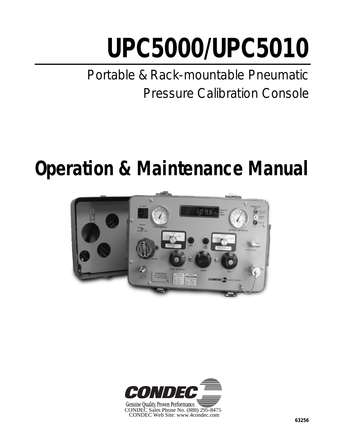# **UPC5000/UPC5010**

*Portable & Rack-mountable Pneumatic Pressure Calibration Console*

# **Operation & Maintenance Manual**



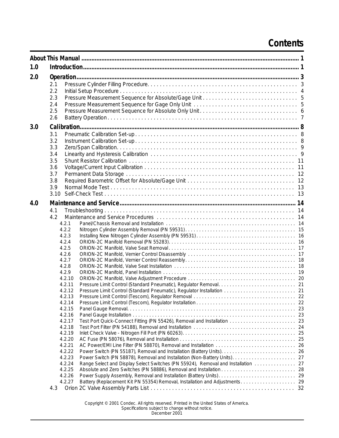# **Contents**

| 1.0 |                                                                                                                                                                                                                                                                                                                                                                                                                                                             |
|-----|-------------------------------------------------------------------------------------------------------------------------------------------------------------------------------------------------------------------------------------------------------------------------------------------------------------------------------------------------------------------------------------------------------------------------------------------------------------|
| 2.0 |                                                                                                                                                                                                                                                                                                                                                                                                                                                             |
|     | 2.1<br>2.2<br>2.3<br>2.4<br>2.5                                                                                                                                                                                                                                                                                                                                                                                                                             |
|     | 2.6                                                                                                                                                                                                                                                                                                                                                                                                                                                         |
| 3.0 |                                                                                                                                                                                                                                                                                                                                                                                                                                                             |
|     | 3.1<br>3.2<br>3.3<br>3.4<br>3.5<br>3.6<br>3.7<br>3.8<br>3.9<br>3.10                                                                                                                                                                                                                                                                                                                                                                                         |
| 4.0 |                                                                                                                                                                                                                                                                                                                                                                                                                                                             |
|     | 4.1<br>4.2<br>4.2.1<br>4.2.2<br>4.2.3<br>4.2.4<br>4.2.5<br>4.2.6<br>4.2.7<br>4.2.8<br>4.2.9<br>4.2.10<br>4.2.11<br>4.2.12<br>4.2.13<br>4.2.14<br>4.2.15<br>4.2.16<br>4.2.17<br>4.2.18<br>4.2.19<br>4.2.20<br>4.2.21<br>4.2.22<br>4.2.23<br>4.2.24<br>Range Select and Display Select Switches (PN 55924), Removal and Installation  27<br>4.2.25<br>4.2.26<br>Battery (Replacement Kit PN 55354) Removal, Installation and Adjustments. 29<br>4.2.27<br>4.3 |

Copyright © 2001 Condec. All rights reserved. Printed in the United States of America. Specifications subject to change without notice. December 2001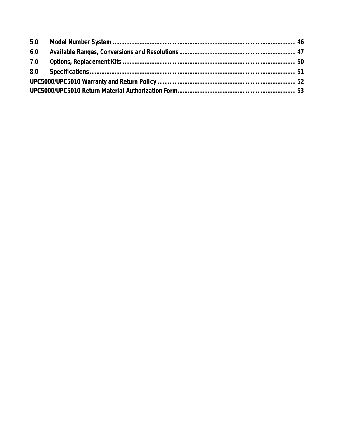| 6.0 |  |  |  |  |
|-----|--|--|--|--|
|     |  |  |  |  |
|     |  |  |  |  |
|     |  |  |  |  |
|     |  |  |  |  |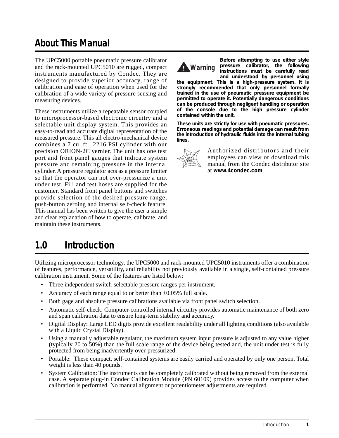# **About This Manual**

The UPC5000 portable pneumatic pressure calibrator and the rack-mounted UPC5010 are rugged, compact instruments manufactured by Condec. They are designed to provide superior accuracy, range of calibration and ease of operation when used for the calibration of a wide variety of pressure sensing and measuring devices.

These instruments utilize a repeatable sensor coupled to microprocessor-based electronic circuitry and a selectable unit display system. This provides an easy-to-read and accurate digital representation of the measured pressure. This all electro-mechanical device combines a 7 cu. ft., 2216 PSI cylinder with our precision ORION-2C vernier. The unit has one test port and front panel gauges that indicate system pressure and remaining pressure in the internal cylinder. A pressure regulator acts as a pressure limiter so that the operator can not over-pressurize a unit under test. Fill and test hoses are supplied for the customer. Standard front panel buttons and switches provide selection of the desired pressure range, push-button zeroing and internal self-check feature. This manual has been written to give the user a simple and clear explanation of how to operate, calibrate, and maintain these instruments.



*Before attempting to use either style pressure calibrator, the following instructions must be carefully read and understood by personnel using*

*the equipment. This is a high-pressure system. It is strongly recommended that only personnel formally trained in the use of pneumatic pressure equipment be permitted to operate it. Potentially dangerous conditions can be produced through negligent handling or operation of the console due to the high pressure cylinder contained within the unit.*

*These units are strictly for use with pneumatic pressures. Erroneous readings and potential damage can result from the introduction of hydraulic fluids into the internal tubing lines.*



Authorized distributors and their employees can view or download this manual from the Condec distributor site at **www.4condec.com**.

# **1.0 Introduction**

Utilizing microprocessor technology, the UPC5000 and rack-mounted UPC5010 instruments offer a combination of features, performance, versatility, and reliability not previously available in a single, self-contained pressure calibration instrument. Some of the features are listed below:

- Three independent switch-selectable pressure ranges per instrument.
- Accuracy of each range equal to or better than  $\pm 0.05\%$  full scale.
- Both gage and absolute pressure calibrations available via front panel switch selection.
- Automatic self-check: Computer-controlled internal circuitry provides automatic maintenance of both zero and span calibration data to ensure long-term stability and accuracy.
- Digital Display: Large LED digits provide excellent readability under all lighting conditions (also available with a Liquid Crystal Display).
- Using a manually adjustable regulator, the maximum system input pressure is adjusted to any value higher (typically 20 to 50%) than the full scale range of the device being tested and, the unit under test is fully protected from being inadvertently over-pressurized.
- Portable: These compact, self-contained systems are easily carried and operated by only one person. Total weight is less than 40 pounds.
- System Calibration: The instruments can be completely calibrated without being removed from the external case. A separate plug-in Condec Calibration Module (PN 60109) provides access to the computer when calibration is performed. No manual alignment or potentiometer adjustments are required.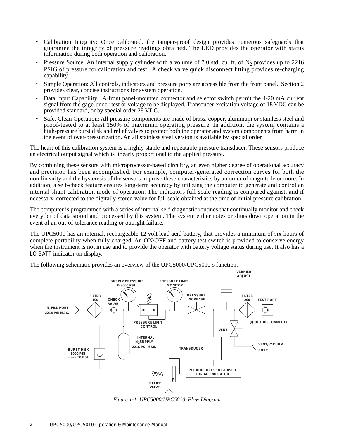- Calibration Integrity: Once calibrated, the tamper-proof design provides numerous safeguards that guarantee the integrity of pressure readings obtained. The LED provides the operator with status information during both operation and calibration.
- Pressure Source: An internal supply cylinder with a volume of 7.0 std. cu. ft. of  $N_2$  provides up to 2216 PSIG of pressure for calibration and test. A check valve quick disconnect fitting provides re-charging capability.
- Simple Operation: All controls, indicators and pressure ports are accessible from the front panel. Section 2 provides clear, concise instructions for system operation.
- Data Input Capability: A front panel-mounted connector and selector switch permit the 4-20 mA current signal from the gage-under-test or voltage to be displayed. Transducer excitation voltage of 18 VDC can be provided standard, or by special order 28 VDC.
- Safe, Clean Operation: All pressure components are made of brass, copper, aluminum or stainless steel and proof-tested to at least 150% of maximum operating pressure. In addition, the system contains a high-pressure burst disk and relief valves to protect both the operator and system components from harm in the event of over-pressurization. An all stainless steel version is available by special order.

The heart of this calibration system is a highly stable and repeatable pressure transducer. These sensors produce an electrical output signal which is linearly proportional to the applied pressure.

By combining these sensors with microprocessor-based circuitry, an even higher degree of operational accuracy and precision has been accomplished. For example, computer-generated correction curves for both the non-linearity and the hysteresis of the sensors improve these characteristics by an order of magnitude or more. In addition, a self-check feature ensures long-term accuracy by utilizing the computer to generate and control an internal shunt calibration mode of operation. The indicators full-scale reading is compared against, and if necessary, corrected to the digitally-stored value for full scale obtained at the time of initial pressure calibration.

The computer is programmed with a series of internal self-diagnostic routines that continually monitor and check every bit of data stored and processed by this system. The system either notes or shuts down operation in the event of an out-of-tolerance reading or outright failure.

The UPC5000 has an internal, rechargeable 12 volt lead acid battery, that provides a minimum of six hours of complete portability when fully charged. An ON/OFF and battery test switch is provided to conserve energy when the instrument is not in use and to provide the operator with battery voltage status during use. It also has a *LO BATT* indicator on display.



The following schematic provides an overview of the UPC5000/UPC5010's function.

*Figure 1-1. UPC5000/UPC5010 Flow Diagram*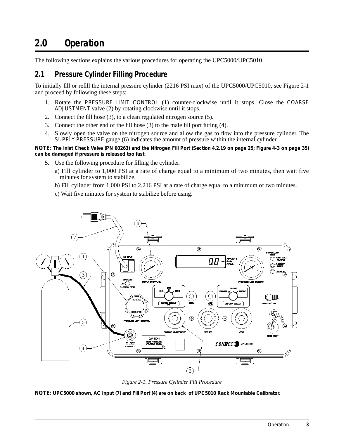# **2.0 Operation**

The following sections explains the various procedures for operating the UPC5000/UPC5010.

## **2.1 Pressure Cylinder Filling Procedure**

To initially fill or refill the internal pressure cylinder (2216 PSI max) of the UPC5000/UPC5010, see Figure 2-1 and proceed by following these steps:

- 1. Rotate the *PRESSURE LIMIT CONTROL* (1) counter-clockwise until it stops. Close the *COARSE ADJUSTMENT* valve (2) by rotating clockwise until it stops.
- 2. Connect the fill hose (3), to a clean regulated nitrogen source (5).
- 3. Connect the other end of the fill hose (3) to the male fill port fitting (4).
- 4. Slowly open the valve on the nitrogen source and allow the gas to flow into the pressure cylinder. The *SUPPLY PRESSURE* gauge (6) indicates the amount of pressure within the internal cylinder.

**NOTE:** *The Inlet Check Valve (PN 60263) and the Nitrogen Fill Port (Section 4.2.19 on page 25; Figure 4-3 on page 35) can be damaged if pressure is released too fast.*

- 5. Use the following procedure for filling the cylinder:
	- a) Fill cylinder to 1,000 PSI at a rate of charge equal to a minimum of two minutes, then wait five minutes for system to stabilize.
	- b) Fill cylinder from 1,000 PSI to 2,216 PSI at a rate of charge equal to a minimum of two minutes.
	- c) Wait five minutes for system to stabilize before using.



*Figure 2-1. Pressure Cylinder Fill Procedure*

**NOTE:** *UPC5000 shown, AC Input (7) and Fill Port (4) are on back of UPC5010 Rack Mountable Calibrator.*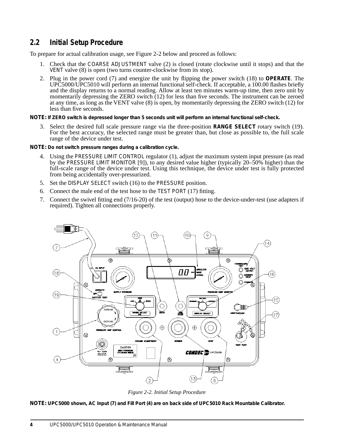## **2.2 Initial Setup Procedure**

To prepare for actual calibration usage, see Figure 2-2 below and proceed as follows:

- 1. Check that the *COARSE ADJUSTMENT* valve (2) is closed (rotate clockwise until it stops) and that the *VENT* valve (8) is open (two turns counter-clockwise from its stop).
- 2. Plug in the power cord (7) and energize the unit by flipping the power switch (18) to **OPERATE**. The UPC5000/UPC5010 will perform an internal functional self-check. If acceptable, a 100.00 flashes briefly and the display returns to a normal reading. Allow at least ten minutes warm-up time, then zero unit by momentarily depressing the ZERO switch (12) for less than five seconds. The instrument can be zeroed at any time, as long as the VENT valve (8) is open, by momentarily depressing the ZERO switch (12) for less than five seconds.
- **NOTE:** *If ZERO switch is depressed longer than 5 seconds unit will perform an internal functional self-check.*
	- 3. Select the desired full scale pressure range via the three-position **RANGE SELECT** rotary switch (19). For the best accuracy, the selected range must be greater than, but close as possible to, the full scale range of the device under test.

**NOTE:** *Do not switch pressure ranges during a calibration cycle.*

- 4. Using the *PRESSURE LIMIT CONTROL* regulator (1), adjust the maximum system input pressure (as read by the *PRESSURE LIMIT MONITOR* [9]), to any desired value higher (typically 20–50% higher) than the full-scale range of the device under test. Using this technique, the device under test is fully protected from being accidentally over-pressurized.
- 5. Set the *DISPLAY SELECT* switch (16) to the *PRESSURE* position.
- 6. Connect the male end of the test hose to the *TEST PORT* (17) fitting.
- 7. Connect the swivel fitting end (7/16-20) of the test (output) hose to the device-under-test (use adapters if required). Tighten all connections properly.



*Figure 2-2. Initial Setup Procedure*

**NOTE***: UPC5000 shown, AC Input (7) and Fill Port (4) are on back side of UPC5010 Rack Mountable Calibrator.*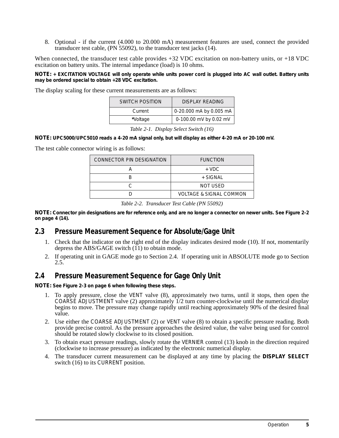8. Optional - if the current (4.000 to 20.000 mA) measurement features are used, connect the provided transducer test cable, (PN 55092), to the transducer test jacks (14).

When connected, the transducer test cable provides +32 VDC excitation on non-battery units, or +18 VDC excitation on battery units. The internal impedance (load) is 10 ohms.

**NOTE:** *+ EXCITATION VOLTAGE will only operate while units power cord is plugged into AC wall outlet. Battery units may be ordered special to obtain +28 VDC excitation.* 

The display scaling for these current measurements are as follows:

| <b>SWITCH POSITION</b> | DISPLAY READING         |
|------------------------|-------------------------|
| Current                | 0-20.000 mA by 0.005 mA |
| *Voltage               | 0-100.00 mV by 0.02 mV  |

*Table 2-1. Display Select Switch (16)*

**NOTE:** *UPC5000/UPC5010 reads a 4-20 mA signal only, but will display as either 4-20 mA or 20-100 mV.* 

The test cable connector wiring is as follows:

| CONNECTOR PIN DESIGNATION | <b>FUNCTION</b>                    |
|---------------------------|------------------------------------|
|                           | $+$ VDC.                           |
|                           | + SIGNAL                           |
|                           | NOT USED                           |
|                           | <b>VOLTAGE &amp; SIGNAL COMMON</b> |

*Table 2-2. Transducer Test Cable (PN 55092)*

**NOTE:** *Connector pin designations are for reference only, and are no longer a connector on newer units. See Figure 2-2 on page 4 (14).*

## **2.3 Pressure Measurement Sequence for Absolute/Gage Unit**

- 1. Check that the indicator on the right end of the display indicates desired mode (10). If not, momentarily depress the ABS/GAGE switch (11) to obtain mode.
- 2. If operating unit in GAGE mode go to Section 2.4. If operating unit in ABSOLUTE mode go to Section 2.5.

## **2.4 Pressure Measurement Sequence for Gage Only Unit**

**NOTE:** *See Figure 2-3 on page 6 when following these steps.*

- 1. To apply pressure, close the *VENT* valve (8), approximately two turns, until it stops, then open the *COARSE ADJUSTMENT* valve (2) approximately 1/2 turn counter-clockwise until the numerical display begins to move. The pressure may change rapidly until reaching approximately 90% of the desired final value.
- 2. Use either the *COARSE ADJUSTMENT* (2) or *VENT* valve (8) to obtain a specific pressure reading. Both provide precise control. As the pressure approaches the desired value, the valve being used for control should be rotated slowly clockwise to its closed position.
- 3. To obtain exact pressure readings, slowly rotate the *VERNIER* control (13) knob in the direction required (clockwise to increase pressure) as indicated by the electronic numerical display.
- 4. The transducer current measurement can be displayed at any time by placing the **DISPLAY SELECT** switch (16) to its *CURRENT* position.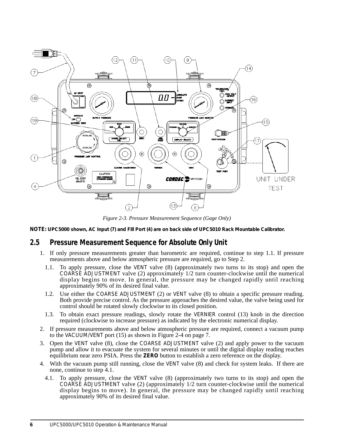

*Figure 2-3. Pressure Measurement Sequence (Gage Only)*

**NOTE***: UPC5000 shown, AC Input (7) and Fill Port (4) are on back side of UPC5010 Rack Mountable Calibrator.*

## **2.5 Pressure Measurement Sequence for Absolute Only Unit**

- 1. If only pressure measurements greater than barometric are required, continue to step 1.1. If pressure measurements above and below atmospheric pressure are required, go to Step 2.
	- 1.1. To apply pressure, close the *VENT* valve (8) (approximately two turns to its stop) and open the *COARSE ADJUSTMENT* valve (2) approximately 1/2 turn counter-clockwise until the numerical display begins to move. In general, the pressure may be changed rapidly until reaching approximately 90% of its desired final value.
	- 1.2. Use either the *COARSE ADJUSTMENT* (2) or *VENT* valve (8) to obtain a specific pressure reading. Both provide precise control. As the pressure approaches the desired value, the valve being used for control should be rotated slowly clockwise to its closed position.
	- 1.3. To obtain exact pressure readings, slowly rotate the *VERNIER* control (13) knob in the direction required (clockwise to increase pressure) as indicated by the electronic numerical display.
- 2. If pressure measurements above and below atmospheric pressure are required, connect a vacuum pump to the *VACUUM/VENT* port (15) as shown in Figure 2-4 on page 7.
- 3. Open the *VENT* valve (8), close the *COARSE ADJUSTMENT* valve (2) and apply power to the vacuum pump and allow it to evacuate the system for several minutes or until the digital display reading reaches equilibrium near zero PSIA. Press the **ZERO** button to establish a zero reference on the display.
- 4. With the vacuum pump still running, close the *VENT* valve (8) and check for system leaks. If there are none, continue to step 4.1.
	- 4.1. To apply pressure, close the *VENT* valve (8) (approximately two turns to its stop) and open the *COARSE ADJUSTMENT* valve (2) (approximately 1/2 turn counter-clockwise until the numerical display begins to move). In general, the pressure may be changed rapidly until reaching approximately 90% of its desired final value.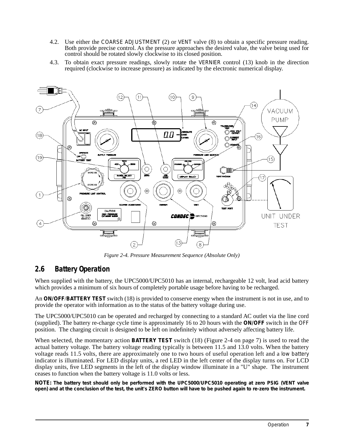- 4.2. Use either the *COARSE ADJUSTMENT* (2) or *VENT* valve (8) to obtain a specific pressure reading. Both provide precise control. As the pressure approaches the desired value, the valve being used for control should be rotated slowly clockwise to its closed position.
- 4.3. To obtain exact pressure readings, slowly rotate the *VERNIER* control (13) knob in the direction required (clockwise to increase pressure) as indicated by the electronic numerical display.



*Figure 2-4. Pressure Measurement Sequence (Absolute Only)*

## **2.6 Battery Operation**

When supplied with the battery, the UPC5000/UPC5010 has an internal, rechargeable 12 volt, lead acid battery which provides a minimum of six hours of completely portable usage before having to be recharged.

An **ON/OFF**/**BATTERY TEST** switch (18) is provided to conserve energy when the instrument is not in use, and to provide the operator with information as to the status of the battery voltage during use.

The UPC5000/UPC5010 can be operated and recharged by connecting to a standard AC outlet via the line cord (supplied). The battery re-charge cycle time is approximately 16 to 20 hours with the **ON/OFF** switch in the *OFF* position. The charging circuit is designed to be left on indefinitely without adversely affecting battery life.

When selected, the momentary action **BATTERY TEST** switch (18) (Figure 2-4 on page 7) is used to read the actual battery voltage. The battery voltage reading typically is between 11.5 and 13.0 volts. When the battery voltage reads 11.5 volts, there are approximately one to two hours of useful operation left and a *low battery* indicator is illuminated. For LED display units, a red LED in the left center of the display turns on. For LCD display units, five LED segments in the left of the display window illuminate in a "U" shape. The instrument ceases to function when the battery voltage is 11.0 volts or less.

**NOTE:** *The battery test should only be performed with the UPC5000/UPC5010 operating at zero PSIG (VENT valve open) and at the conclusion of the test, the unit's ZERO button will have to be pushed again to re-zero the instrument.*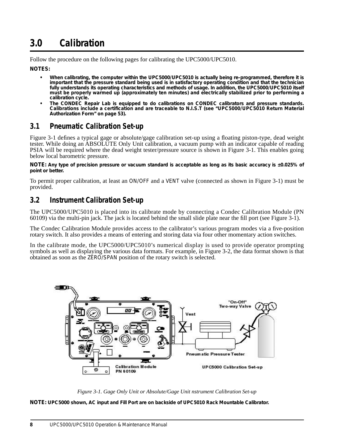# **3.0 Calibration**

Follow the procedure on the following pages for calibrating the UPC5000/UPC5010.

**NOTES:**

- *• When calibrating, the computer within the UPC5000/UPC5010 is actually being re-programmed, therefore it is important that the pressure standard being used is in satisfactory operating condition and that the technician fully understands its operating characteristics and methods of usage. In addition, the UPC5000/UPC5010 itself must be properly warmed up (approximately ten minutes) and electrically stabilized prior to performing a calibration cycle.*
- *• The CONDEC Repair Lab is equipped to do calibrations on CONDEC calibrators and pressure standards. Calibrations include a certification and are traceable to N.I.S.T (see "UPC5000/UPC5010 Return Material Authorization Form" on page 53).*

## **3.1 Pneumatic Calibration Set-up**

Figure 3-1 defines a typical gage or absolute/gage calibration set-up using a floating piston-type, dead weight tester. While doing an ABSOLUTE Only Unit calibration, a vacuum pump with an indicator capable of reading PSIA will be required where the dead weight tester/pressure source is shown in Figure 3-1. This enables going below local barometric pressure.

**NOTE:** *Any type of precision pressure or vacuum standard is acceptable as long as its basic accuracy is ±0.025% of point or better.*

To permit proper calibration, at least an *ON/OFF* and a *VENT* valve (connected as shown in Figure 3-1) must be provided.

## **3.2 Instrument Calibration Set-up**

The UPC5000/UPC5010 is placed into its calibrate mode by connecting a Condec Calibration Module (PN 60109) via the multi-pin jack. The jack is located behind the small slide plate near the fill port (see Figure 3-1).

The Condec Calibration Module provides access to the calibrator's various program modes via a five-position rotary switch. It also provides a means of entering and storing data via four other momentary action switches.

In the calibrate mode, the UPC5000/UPC5010's numerical display is used to provide operator prompting symbols as well as displaying the various data formats. For example, in Figure 3-2, the data format shown is that obtained as soon as the *ZERO/SPAN* position of the rotary switch is selected.



*Figure 3-1. Gage Only Unit or Absolute/Gage Unit nstrument Calibration Set-up*

**NOTE:** *UPC5000 shown, AC input and Fill Port are on backside of UPC5010 Rack Mountable Calibrator.*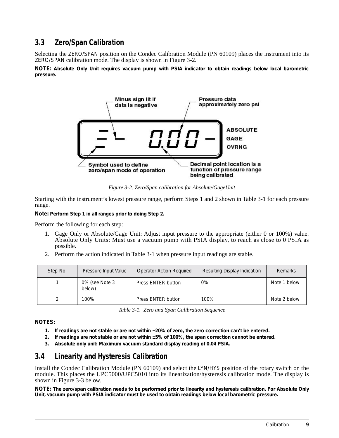## **3.3 Zero/Span Calibration**

Selecting the *ZERO/SPAN* position on the Condec Calibration Module (PN 60109) places the instrument into its *ZERO/SPAN* calibration mode. The display is shown in Figure 3-2.

**NOTE:** *Absolute Only Unit requires vacuum pump with PSIA indicator to obtain readings below local barometric pressure.*



*Figure 3-2. Zero/Span calibration for Absolute/GageUnit*

Starting with the instrument's lowest pressure range, perform Steps 1 and 2 shown in Table 3-1 for each pressure range.

**Note:** *Perform Step 1 in all ranges prior to doing Step 2.*

Perform the following for each step:

- 1. Gage Only or Absolute/Gage Unit: Adjust input pressure to the appropriate (either 0 or 100%) value. Absolute Only Units: Must use a vacuum pump with PSIA display, to reach as close to 0 PSIA as possible.
- 2. Perform the action indicated in Table 3-1 when pressure input readings are stable.

| Step No. | <b>Operator Action Required</b><br>Pressure Input Value |                    | Resulting Display Indication | <b>Remarks</b> |
|----------|---------------------------------------------------------|--------------------|------------------------------|----------------|
|          | 0% (see Note 3<br>below)                                | Press ENTER button | 0%                           | Note 1 below   |
|          | 100%                                                    | Press ENTER button | 100%                         | Note 2 below   |

|  |  |  | Table 3-1. Zero and Span Calibration Sequence |  |
|--|--|--|-----------------------------------------------|--|
|--|--|--|-----------------------------------------------|--|

**NOTES:**

- *1. If readings are not stable or are not within ±20% of zero, the zero correction can't be entered.*
- *2. If readings are not stable or are not within ±5% of 100%, the span correction cannot be entered.*
- *3. Absolute only unit: Maximum vacuum standard display reading of 0.04 PSIA.*

## **3.4 Linearity and Hysteresis Calibration**

Install the Condec Calibration Module (PN 60109) and select the *LYN/HYS* position of the rotary switch on the module. This places the UPC5000/UPC5010 into its linearization/hysteresis calibration mode. The display is shown in Figure 3-3 below.

**NOTE:** *The zero/span calibration needs to be performed prior to linearity and hysteresis calibration. For Absolute Only Unit, vacuum pump with PSIA indicator must be used to obtain readings below local barometric pressure.*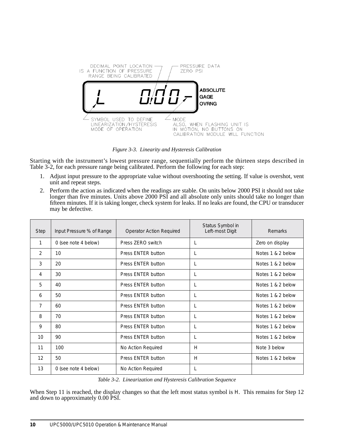

*Figure 3-3. Linearity and Hysteresis Calibration*

Starting with the instrument's lowest pressure range, sequentially perform the thirteen steps described in Table 3-2, for each pressure range being calibrated. Perform the following for each step:

- 1. Adjust input pressure to the appropriate value without overshooting the setting. If value is overshot, vent unit and repeat steps.
- 2. Perform the action as indicated when the readings are stable. On units below 2000 PSI it should not take longer than five minutes. Units above 2000 PSI and all absolute only units should take no longer than fifteen minutes. If it is taking longer, check system for leaks. If no leaks are found, the CPU or transducer may be defective.

| <b>Step</b> | Input Pressure % of Range | <b>Operator Action Required</b> | Status Symbol in<br>Left-most Digit | Remarks           |
|-------------|---------------------------|---------------------------------|-------------------------------------|-------------------|
| 1           | 0 (see note 4 below)      | Press ZERO switch               | L                                   | Zero on display   |
| 2           | 10                        | Press ENTER button              | L                                   | Notes 1 & 2 below |
| 3           | 20                        | Press ENTER button              | L                                   | Notes 1 & 2 below |
| 4           | 30                        | Press ENTER button              | L                                   | Notes 1 & 2 below |
| 5           | 40                        | Press ENTER button              | L                                   | Notes 1 & 2 below |
| 6           | 50                        | Press ENTER button              | L                                   | Notes 1 & 2 below |
| 7           | 60                        | Press ENTER button              | L                                   | Notes 1 & 2 below |
| 8           | 70                        | Press ENTER button              | L                                   | Notes 1 & 2 below |
| 9           | 80                        | Press ENTER button              | L                                   | Notes 1 & 2 below |
| 10          | 90                        | Press ENTER button              | L                                   | Notes 1 & 2 below |
| 11          | 100                       | No Action Required              | H                                   | Note 3 below      |
| 12          | 50                        | Press ENTER button              | H                                   | Notes 1 & 2 below |
| 13          | 0 (see note 4 below)      | No Action Required              | L                                   |                   |

*Table 3-2. Linearization and Hysteresis Calibration Sequence* 

When Step 11 is reached, the display changes so that the left most status symbol is *H*. This remains for Step 12 and down to approximately 0.00 PSI.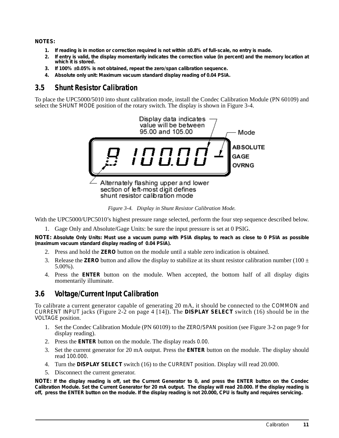#### **NOTES:**

- *1. If reading is in motion or correction required is not within ±0.8% of full-scale, no entry is made.*
- *2. If entry is valid, the display momentarily indicates the correction value (in percent) and the memory location at which it is stored.*
- *3. If 100% ±0.05% is not obtained, repeat the zero/span calibration sequence.*
- *4. Absolute only unit: Maximum vacuum standard display reading of 0.04 PSIA.*

## **3.5 Shunt Resistor Calibration**

To place the UPC5000/5010 into shunt calibration mode, install the Condec Calibration Module (PN 60109) and select the *SHUNT MODE* position of the rotary switch. The display is shown in Figure 3-4.



*Figure 3-4. Display in Shunt Resistor Calibration Mode.*

With the UPC5000/UPC5010's highest pressure range selected, perform the four step sequence described below.

1. Gage Only and Absolute/Gage Units: be sure the input pressure is set at 0 PSIG.

**NOTE:** *Absolute Only Units: Must use a vacuum pump with PSIA display, to reach as close to 0 PSIA as possible (maximum vacuum standard display reading of 0.04 PSIA).*

- 2. Press and hold the **ZERO** button on the module until a stable zero indication is obtained.
- 3. Release the **ZERO** button and allow the display to stabilize at its shunt resistor calibration number (100  $\pm$ 5.00%).
- 4. Press the **ENTER** button on the module. When accepted, the bottom half of all display digits momentarily illuminate.

## **3.6 Voltage/Current Input Calibration**

To calibrate a current generator capable of generating 20 mA, it should be connected to the *COMMON* and *CURRENT INPUT* jacks (Figure 2-2 on page 4 [14]). The **DISPLAY SELECT** switch (16) should be in the *VOLTAGE* position.

- 1. Set the Condec Calibration Module (PN 60109) to the *ZERO/SPAN* position (see Figure 3-2 on page 9 for display reading).
- 2. Press the **ENTER** button on the module. The display reads *0.00*.
- 3. Set the current generator for 20 mA output. Press the **ENTER** button on the module. The display should read *100.000*.
- 4. Turn the **DISPLAY SELECT** switch (16) to the *CURRENT* position. Display will read 20.000.
- 5. Disconnect the current generator.

**NOTE:** *If the display reading is off, set the Current Generator to 0, and press the ENTER button on the Condec Calibration Module. Set the Current Generator for 20 mA output. The display will read 20.000. If the display reading is off, press the ENTER button on the module. If the display reading is not 20.000, CPU is faulty and requires servicing.*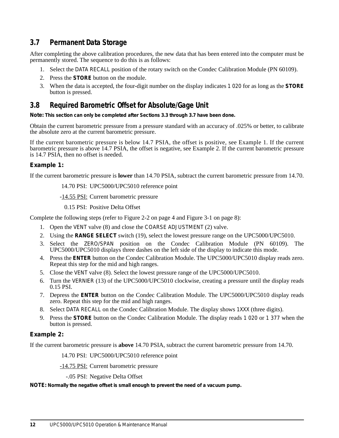## **3.7 Permanent Data Storage**

After completing the above calibration procedures, the new data that has been entered into the computer must be permanently stored. The sequence to do this is as follows:

- 1. Select the *DATA RECALL* position of the rotary switch on the Condec Calibration Module (PN 60109).
- 2. Press the **STORE** button on the module.
- 3. When the data is accepted, the four-digit number on the display indicates *1 020* for as long as the **STORE** button is pressed.

## **3.8 Required Barometric Offset for Absolute/Gage Unit**

**Note:** *This section can only be completed after Sections 3.3 through 3.7 have been done.*

Obtain the current barometric pressure from a pressure standard with an accuracy of .025% or better, to calibrate the absolute zero at the current barometric pressure.

If the current barometric pressure is below 14.7 PSIA, the offset is positive, see Example 1. If the current barometric pressure is above 14.7 PSIA, the offset is negative, see Example 2. If the current barometric pressure is 14.7 PSIA, then no offset is needed.

#### **Example 1:**

If the current barometric pressure is **lower** than 14.70 PSIA, subtract the current barometric pressure from 14.70.

14.70 PSI: UPC5000/UPC5010 reference point

-14.55 PSI: Current barometric pressure

0.15 PSI: Positive Delta Offset

Complete the following steps (refer to Figure 2-2 on page 4 and Figure 3-1 on page 8):

- 1. Open the *VENT* valve (8) and close the *COARSE ADJUSTMENT* (2) valve.
- 2. Using the **RANGE SELECT** switch (19), select the lowest pressure range on the UPC5000/UPC5010.
- 3. Select the *ZERO/SPAN* position on the Condec Calibration Module (PN 60109). The UPC5000/UPC5010 displays three dashes on the left side of the display to indicate this mode.
- 4. Press the **ENTER** button on the Condec Calibration Module. The UPC5000/UPC5010 display reads zero. Repeat this step for the mid and high ranges.
- 5. Close the *VENT* valve (8). Select the lowest pressure range of the UPC5000/UPC5010.
- 6. Turn the *VERNIER* (13) of the UPC5000/UPC5010 clockwise, creating a pressure until the display reads 0.15 PSI.
- 7. Depress the **ENTER** button on the Condec Calibration Module. The UPC5000/UPC5010 display reads zero. Repeat this step for the mid and high ranges.
- 8. Select *DATA RECALL* on the Condec Calibration Module. The display shows *1XXX* (three digits).
- 9. Press the **STORE** button on the Condec Calibration Module. The display reads *1 020* or *1 377* when the button is pressed.

#### **Example 2:**

If the current barometric pressure is **above** 14.70 PSIA, subtract the current barometric pressure from 14.70.

14.70 PSI: UPC5000/UPC5010 reference point

-14.75 PSI: Current barometric pressure

-.05 PSI: Negative Delta Offset

**NOTE:** *Normally the negative offset is small enough to prevent the need of a vacuum pump.*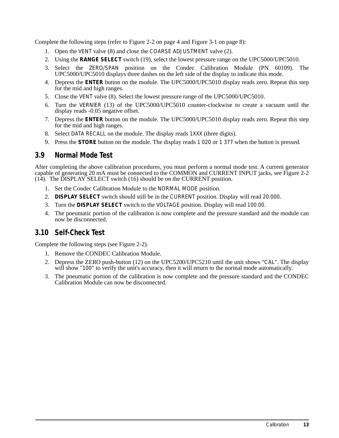Complete the following steps (refer to Figure 2-2 on page 4 and Figure 3-1 on page 8):

- 1. Open the *VENT* valve (8) and close the *COARSE ADJUSTMENT* valve (2).
- 2. Using the **RANGE SELECT** switch (19), select the lowest pressure range on the UPC5000/UPC5010.
- 3. Select the *ZERO/SPAN* position on the Condec Calibration Module (PN 60109). The UPC5000/UPC5010 displays three dashes on the left side of the display to indicate this mode.
- 4. Depress the **ENTER** button on the module. The UPC5000/UPC5010 display reads zero. Repeat this step for the mid and high ranges.
- 5. Close the *VENT* valve (8). Select the lowest pressure range of the UPC5000/UPC5010.
- 6. Turn the *VERNIER* (13) of the UPC5000/UPC5010 counter-clockwise to create a vacuum until the display reads -0.05 negative offset.
- 7. Depress the **ENTER** button on the module. The UPC5000/UPC5010 display reads zero. Repeat this step for the mid and high ranges.
- 8. Select *DATA RECALL* on the module. The display reads *1XXX* (three digits).
- 9. Press the **STORE** button on the module. The display reads *1 020* or *1 377* when the button is pressed.

## **3.9 Normal Mode Test**

After completing the above calibration procedures, you must perform a normal mode test. A current generator capable of generating 20 mA must be connected to the COMMON and CURRENT INPUT jacks, see Figure 2-2  $(14)$ . The DISPLAY SELECT switch  $(16)$  should be on the CURRENT position.

- 1. Set the Condec Calibration Module to the *NORMAL MODE* position.
- 2. **DISPLAY SELECT** switch should still be in the *CURRENT* position. Display will read *20.000*.
- 3. Turn the **DISPLAY SELECT** switch to the *VOLTAGE* position. Display will read *100.00*.
- 4. The pneumatic portion of the calibration is now complete and the pressure standard and the module can now be disconnected.

## **3.10 Self-Check Test**

Complete the following steps (see Figure 2-2).

- 1. Remove the CONDEC Calibration Module.
- 2. Depress the ZERO push-button (12) on the UPC5200/UPC5210 until the unit shows "*CAL*". The display will show "*100*" to verify the unit's accuracy, then it will return to the normal mode automatically.
- 3. The pneumatic portion of the calibration is now complete and the pressure standard and the CONDEC Calibration Module can now be disconnected.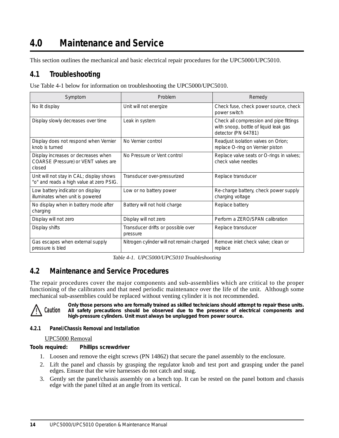# **4.0 Maintenance and Service**

This section outlines the mechanical and basic electrical repair procedures for the UPC5000/UPC5010.

## **4.1 Troubleshooting**

Use Table 4-1 below for information on troubleshooting the UPC5000/UPC5010.

| Symptom                                                                               | Problem                                        | Remedy                                                                                                  |  |
|---------------------------------------------------------------------------------------|------------------------------------------------|---------------------------------------------------------------------------------------------------------|--|
| No lit display                                                                        | Unit will not energize                         | Check fuse, check power source, check<br>power switch                                                   |  |
| Display slowly decreases over time                                                    | Leak in system                                 | Check all compression and pipe fittings<br>with snoop, bottle of liquid leak gas<br>detector (PN 64781) |  |
| Display does not respond when Vernier<br>knob is turned                               | No Vernier control                             | Readjust isolation valves on Orion;<br>replace O-ring on Vernier piston                                 |  |
| Display increases or decreases when<br>COARSE (Pressure) or VENT valves are<br>closed | No Pressure or Vent control                    | Replace valve seats or O-rings in valves;<br>check valve needles                                        |  |
| Unit will not stay in CAL; display shows<br>"o" and reads a high value at zero PSIG.  | Transducer over-pressurized                    | Replace transducer                                                                                      |  |
| Low battery indicator on display<br>illuminates when unit is powered                  | Low or no battery power                        | Re-charge battery, check power supply<br>charging voltage                                               |  |
| No display when in battery mode after<br>charging                                     | Battery will not hold charge                   | Replace battery                                                                                         |  |
| Display will not zero                                                                 | Display will not zero                          | Perform a ZERO/SPAN calibration                                                                         |  |
| Display shifts                                                                        | Transducer drifts or possible over<br>pressure | Replace transducer                                                                                      |  |
| Gas escapes when external supply<br>pressure is bled                                  | Nitrogen cylinder will not remain charged      | Remove inlet check valve: clean or<br>replace                                                           |  |

*Table 4-1. UPC5000/UPC5010 Troubleshooting*

## **4.2 Maintenance and Service Procedures**

The repair procedures cover the major components and sub-assemblies which are critical to the proper functioning of the calibrators and that need periodic maintenance over the life of the unit. Although some mechanical sub-assemblies could be replaced without venting cylinder it is not recommended.



*Only those persons who are formally trained as skilled technicians should attempt to repair these units. All safety precautions should be observed due to the presence of electrical components and high-pressure cylinders. Unit must always be unplugged from power source.*

#### **4.2.1 Panel/Chassis Removal and Installation**

#### UPC5000 Removal

**Tools required: Phillips screwdriver**

- 1. Loosen and remove the eight screws (PN 14862) that secure the panel assembly to the enclosure.
- 2. Lift the panel and chassis by grasping the regulator knob and test port and grasping under the panel edges. Ensure that the wire harnesses do not catch and snag.
- 3. Gently set the panel/chassis assembly on a bench top. It can be rested on the panel bottom and chassis edge with the panel tilted at an angle from its vertical.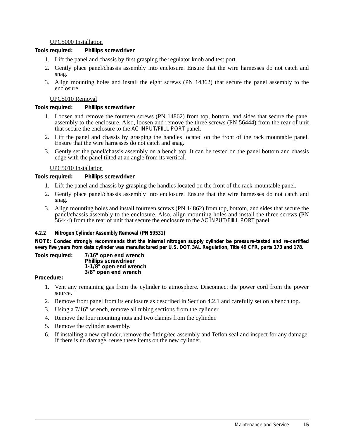#### UPC5000 Installation

**Tools required: Phillips screwdriver**

- 1. Lift the panel and chassis by first grasping the regulator knob and test port.
- 2. Gently place panel/chassis assembly into enclosure. Ensure that the wire harnesses do not catch and snag.
- 3. Align mounting holes and install the eight screws (PN 14862) that secure the panel assembly to the enclosure.

#### UPC5010 Removal

**Tools required: Phillips screwdriver**

- 1. Loosen and remove the fourteen screws (PN 14862) from top, bottom, and sides that secure the panel assembly to the enclosure. Also, loosen and remove the three screws (PN 56444) from the rear of unit that secure the enclosure to the *AC INPUT/FIILL PORT* panel.
- 2. Lift the panel and chassis by grasping the handles located on the front of the rack mountable panel. Ensure that the wire harnesses do not catch and snag.
- 3. Gently set the panel/chassis assembly on a bench top. It can be rested on the panel bottom and chassis edge with the panel tilted at an angle from its vertical.

#### UPC5010 Installation

**Tools required: Phillips screwdriver**

- 1. Lift the panel and chassis by grasping the handles located on the front of the rack-mountable panel.
- 2. Gently place panel/chassis assembly into enclosure. Ensure that the wire harnesses do not catch and snag.
- 3. Align mounting holes and install fourteen screws (PN 14862) from top, bottom, and sides that secure the panel/chassis assembly to the enclosure. Also, align mounting holes and install the three screws (PN 56444) from the rear of unit that secure the enclosure to the *AC INPUT/FIILL PORT* panel.

#### **4.2.2 Nitrogen Cylinder Assembly Removal (PN 59531)**

**NOTE:** *Condec strongly recommends that the internal nitrogen supply cylinder be pressure-tested and re-certified every five years from date cylinder was manufactured per U.S. DOT. 3AL Regulation, Title 49 CFR, parts 173 and 178.*

**Tools required: 7/16" open end wrench Phillips screwdriver 1-1/8" open end wrench 3/8" open end wrench**

#### **Procedure:**

- 1. Vent any remaining gas from the cylinder to atmosphere. Disconnect the power cord from the power source.
- 2. Remove front panel from its enclosure as described in Section 4.2.1 and carefully set on a bench top.
- 3. Using a 7/16" wrench, remove all tubing sections from the cylinder.
- 4. Remove the four mounting nuts and two clamps from the cylinder.
- 5. Remove the cylinder assembly.
- 6. If installing a new cylinder, remove the fitting/tee assembly and Teflon seal and inspect for any damage. If there is no damage, reuse these items on the new cylinder.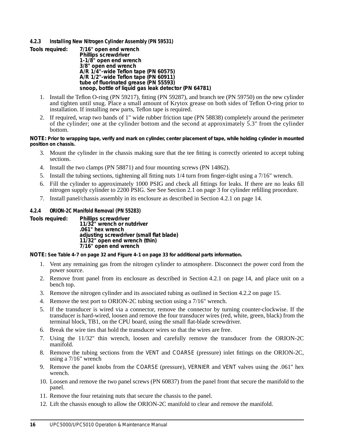#### **4.2.3 Installing New Nitrogen Cylinder Assembly (PN 59531)**

| Tools required: | 7/16" open end wrench                                |
|-----------------|------------------------------------------------------|
|                 | Phillips screwdriver                                 |
|                 | 1-1/8" open end wrench                               |
|                 | 3/8" open end wrench                                 |
|                 | A/R 1/4"-wide Teflon tape (PN 60575)                 |
|                 | A/R 1/2"-wide Teflon tape (PN 60911)                 |
|                 | tube of fluorinated grease (PN 55593)                |
|                 | snoop, bottle of liquid gas leak detector (PN 64781) |

- 1. Install the Teflon O-ring (PN 59217), fitting (PN 59287), and branch tee (PN 59750) on the new cylinder and tighten until snug. Place a small amount of Krytox grease on both sides of Teflon O-ring prior to installation. If installing new parts, Teflon tape is required.
- 2. If required, wrap two bands of 1" wide rubber friction tape (PN 58838) completely around the perimeter of the cylinder; one at the cylinder bottom and the second at approximately 5.3" from the cylinder bottom.

#### **NOTE:** *Prior to wrapping tape, verify and mark on cylinder, center placement of tape, while holding cylinder in mounted position on chassis.*

- 3. Mount the cylinder in the chassis making sure that the tee fitting is correctly oriented to accept tubing sections.
- 4. Install the two clamps (PN 58871) and four mounting screws (PN 14862).
- 5. Install the tubing sections, tightening all fitting nuts 1/4 turn from finger-tight using a 7/16" wrench.
- 6. Fill the cylinder to approximately 1000 PSIG and check all fittings for leaks. If there are no leaks fill nitrogen supply cylinder to 2200 PSIG. See See Section 2.1 on page 3 for cylinder refilling procedure.
- 7. Install panel/chassis assembly in its enclosure as described in Section 4.2.1 on page 14.

#### **4.2.4 ORION-2C Manifold Removal (PN 55283)**

**Tools required: Phillips screwdriver**

**11/32" wrench or nutdriver .061" hex wrench adjusting screwdriver (small flat blade) 11/32" open end wrench (thin) 7/16" open end wrench**

**NOTE:** *See Table 4-7 on page 32 and Figure 4-1 on page 33 for additional parts information.*

- 1. Vent any remaining gas from the nitrogen cylinder to atmosphere. Disconnect the power cord from the power source.
- 2. Remove front panel from its enclosure as described in Section 4.2.1 on page 14, and place unit on a bench top.
- 3. Remove the nitrogen cylinder and its associated tubing as outlined in Section 4.2.2 on page 15.
- 4. Remove the test port to ORION-2C tubing section using a 7/16" wrench.
- 5. If the transducer is wired via a connector, remove the connector by turning counter-clockwise. If the transducer is hard-wired, loosen and remove the four transducer wires (red, white, green, black) from the terminal block, TB1, on the CPU board, using the small flat-blade screwdriver.
- 6. Break the wire ties that hold the transducer wires so that the wires are free.
- 7. Using the 11/32" thin wrench, loosen and carefully remove the transducer from the ORION-2C manifold.
- 8. Remove the tubing sections from the *VENT* and *COARSE* (pressure) inlet fittings on the ORION-2C, using a 7/16" wrench
- 9. Remove the panel knobs from the *COARSE* (pressure), *VERNIER* and *VENT* valves using the .061" hex wrench.
- 10. Loosen and remove the two panel screws (PN 60837) from the panel front that secure the manifold to the panel.
- 11. Remove the four retaining nuts that secure the chassis to the panel.
- 12. Lift the chassis enough to allow the ORION-2C manifold to clear and remove the manifold.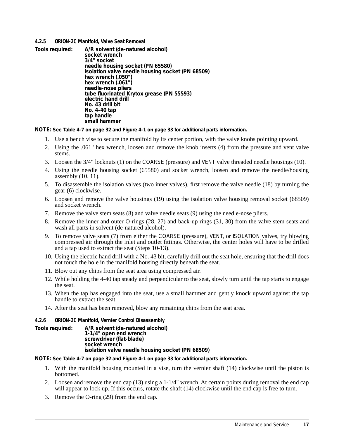#### **4.2.5 ORION-2C Manifold, Valve Seat Removal**

**Tools required: A/R solvent (de-natured alcohol) socket wrench 3/4" socket needle housing socket (PN 65580) isolation valve needle housing socket (PN 68509) hex wrench (.050") hex wrench (.061") needle-nose pliers tube fluorinated Krytox grease (PN 55593) electric hand drill No. 43 drill bit No. 4-40 tap tap handle small hammer**

**NOTE:** *See Table 4-7 on page 32 and Figure 4-1 on page 33 for additional parts information.*

- 1. Use a bench vise to secure the manifold by its center portion, with the valve knobs pointing upward.
- 2. Using the .061" hex wrench, loosen and remove the knob inserts (4) from the pressure and vent valve stems.
- 3. Loosen the 3/4" locknuts (1) on the *COARSE* (pressure) and *VENT* valve threaded needle housings (10).
- 4. Using the needle housing socket (65580) and socket wrench, loosen and remove the needle/housing assembly (10, 11).
- 5. To disassemble the isolation valves (two inner valves), first remove the valve needle (18) by turning the gear (6) clockwise.
- 6. Loosen and remove the valve housings (19) using the isolation valve housing removal socket (68509) and socket wrench.
- 7. Remove the valve stem seats (8) and valve needle seats (9) using the needle-nose pliers.
- 8. Remove the inner and outer O-rings (28, 27) and back-up rings (31, 30) from the valve stem seats and wash all parts in solvent (de-natured alcohol).
- 9. To remove valve seats (7) from either the *COARSE* (pressure), *VENT*, or *ISOLATION* valves, try blowing compressed air through the inlet and outlet fittings. Otherwise, the center holes will have to be drilled and a tap used to extract the seat (Steps 10-13).
- 10. Using the electric hand drill with a No. 43 bit, carefully drill out the seat hole, ensuring that the drill does not touch the hole in the manifold housing directly beneath the seat.
- 11. Blow out any chips from the seat area using compressed air.
- 12. While holding the 4-40 tap steady and perpendicular to the seat, slowly turn until the tap starts to engage the seat.
- 13. When the tap has engaged into the seat, use a small hammer and gently knock upward against the tap handle to extract the seat.
- 14. After the seat has been removed, blow any remaining chips from the seat area.

#### **4.2.6 ORION-2C Manifold, Vernier Control Disassembly**

**Tools required: A/R solvent (de-natured alcohol) 1-1/4" open end wrench screwdriver (flat-blade) socket wrench isolation valve needle housing socket (PN 68509)**

**NOTE:** *See Table 4-7 on page 32 and Figure 4-1 on page 33 for additional parts information.*

- 1. With the manifold housing mounted in a vise, turn the vernier shaft (14) clockwise until the piston is bottomed.
- 2. Loosen and remove the end cap (13) using a 1-1/4" wrench. At certain points during removal the end cap will appear to lock up. If this occurs, rotate the shaft  $(14)$  clockwise until the end cap is free to turn.
- 3. Remove the O-ring (29) from the end cap.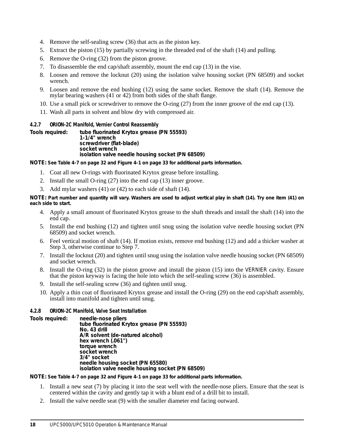- 4. Remove the self-sealing screw (36) that acts as the piston key.
- 5. Extract the piston (15) by partially screwing in the threaded end of the shaft (14) and pulling.
- 6. Remove the O-ring (32) from the piston groove.
- 7. To disassemble the end cap/shaft assembly, mount the end cap (13) in the vise.
- 8. Loosen and remove the locknut (20) using the isolation valve housing socket (PN 68509) and socket wrench.
- 9. Loosen and remove the end bushing (12) using the same socket. Remove the shaft (14). Remove the mylar bearing washers (41 or 42) from both sides of the shaft flange.
- 10. Use a small pick or screwdriver to remove the O-ring (27) from the inner groove of the end cap (13).
- 11. Wash all parts in solvent and blow dry with compressed air.

#### **4.2.7 ORION-2C Manifold, Vernier Control Reassembly**

**Tools required: tube fluorinated Krytox grease (PN 55593) 1-1/4" wrench screwdriver (flat-blade) socket wrench isolation valve needle housing socket (PN 68509)**

**NOTE:** *See Table 4-7 on page 32 and Figure 4-1 on page 33 for additional parts information.*

- 1. Coat all new O-rings with fluorinated Krytox grease before installing.
- 2. Install the small O-ring (27) into the end cap (13) inner groove.
- 3. Add mylar washers (41) or (42) to each side of shaft (14).

**NOTE:** *Part number and quantity will vary. Washers are used to adjust vertical play in shaft (14). Try one item (41) on each side to start.*

- 4. Apply a small amount of fluorinated Krytox grease to the shaft threads and install the shaft (14) into the end cap.
- 5. Install the end bushing (12) and tighten until snug using the isolation valve needle housing socket (PN 68509) and socket wrench.
- 6. Feel vertical motion of shaft (14). If motion exists, remove end bushing (12) and add a thicker washer at Step 3, otherwise continue to Step 7.
- 7. Install the locknut (20) and tighten until snug using the isolation valve needle housing socket (PN 68509) and socket wrench.
- 8. Install the O-ring (32) in the piston groove and install the piston (15) into the *VERNIER* cavity. Ensure that the piston keyway is facing the hole into which the self-sealing screw (36) is assembled.
- 9. Install the self-sealing screw (36) and tighten until snug.
- 10. Apply a thin coat of fluorinated Krytox grease and install the O-ring (29) on the end cap/shaft assembly, install into manifold and tighten until snug.

#### **4.2.8 ORION-2C Manifold, Valve Seat Installation**

**Tools required: needle-nose pliers tube fluorinated Krytox grease (PN 55593) No. 43 drill A/R solvent (de-natured alcohol) hex wrench (.061") torque wrench socket wrench 3/4" socket needle housing socket (PN 65580) isolation valve needle housing socket (PN 68509)**

**NOTE:** *See Table 4-7 on page 32 and Figure 4-1 on page 33 for additional parts information.*

- 1. Install a new seat (7) by placing it into the seat well with the needle-nose pliers. Ensure that the seat is centered within the cavity and gently tap it with a blunt end of a drill bit to install.
- 2. Install the valve needle seat (9) with the smaller diameter end facing outward.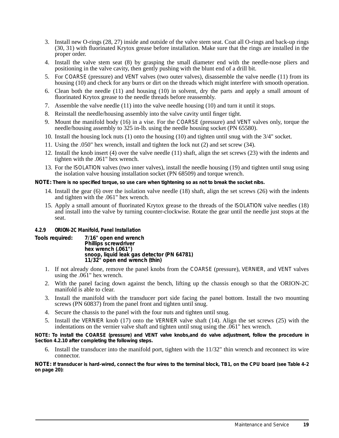- 3. Install new O-rings (28, 27) inside and outside of the valve stem seat. Coat all O-rings and back-up rings (30, 31) with fluorinated Krytox grease before installation. Make sure that the rings are installed in the proper order.
- 4. Install the valve stem seat (8) by grasping the small diameter end with the needle-nose pliers and positioning in the valve cavity, then gently pushing with the blunt end of a drill bit.
- 5. For *COARSE* (pressure) and *VENT* valves (two outer valves), disassemble the valve needle (11) from its housing (10) and check for any burrs or dirt on the threads which might interfere with smooth operation.
- 6. Clean both the needle (11) and housing (10) in solvent, dry the parts and apply a small amount of fluorinated Krytox grease to the needle threads before reassembly.
- 7. Assemble the valve needle (11) into the valve needle housing (10) and turn it until it stops.
- 8. Reinstall the needle/housing assembly into the valve cavity until finger tight.
- 9. Mount the manifold body (16) in a vise. For the *COARSE* (pressure) and *VENT* valves only, torque the needle/housing assembly to 325 in-lb. using the needle housing socket (PN 65580).
- 10. Install the housing lock nuts (1) onto the housing (10) and tighten until snug with the 3/4" socket.
- 11. Using the .050" hex wrench, install and tighten the lock nut (2) and set screw (34).
- 12. Install the knob insert (4) over the valve needle (11) shaft, align the set screws (23) with the indents and tighten with the  $.061$ " hex wrench.
- 13. For the *ISOLATION* valves (two inner valves), install the needle housing (19) and tighten until snug using the isolation valve housing installation socket (PN 68509) and torque wrench.

**NOTE:** *There is no specified torque, so use care when tightening so as not to break the socket nibs.*

- 14. Install the gear (6) over the isolation valve needle (18) shaft, align the set screws (26) with the indents and tighten with the .061" hex wrench.
- 15. Apply a small amount of fluorinated Krytox grease to the threads of the *ISOLATION* valve needles (18) and install into the valve by turning counter-clockwise. Rotate the gear until the needle just stops at the seat.

#### **4.2.9 ORION-2C Manifold, Panel Installation**

**Tools required: 7/16" open end wrench Phillips screwdriver hex wrench (.061") snoop, liquid leak gas detector (PN 64781) 11/32" open end wrench (thin)**

- 1. If not already done, remove the panel knobs from the *COARSE* (pressure), *VERNIER*, and *VENT* valves using the .061" hex wrench.
- 2. With the panel facing down against the bench, lifting up the chassis enough so that the ORION-2C manifold is able to clear.
- 3. Install the manifold with the transducer port side facing the panel bottom. Install the two mounting screws (PN 60837) from the panel front and tighten until snug.
- 4. Secure the chassis to the panel with the four nuts and tighten until snug.
- 5. Install the *VERNIER* knob (17) onto the *VERNIER* valve shaft (14). Align the set screws (25) with the indentations on the vernier valve shaft and tighten until snug using the .061" hex wrench.

*NOTE: To install the COARSE (pressure) and VENT valve knobs,and do valve adjustment, follow the procedure in Section 4.2.10 after completing the following steps.*

6. Install the transducer into the manifold port, tighten with the 11/32" thin wrench and reconnect its wire connector.

**NOTE:** *If transducer is hard-wired, connect the four wires to the terminal block, TB1, on the CPU board (see Table 4-2 on page 20):*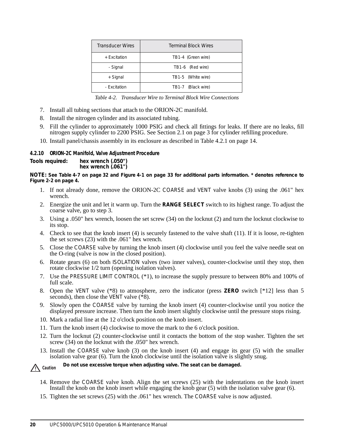| <b>Transducer Wires</b> | <b>Terminal Block Wires</b> |
|-------------------------|-----------------------------|
| + Excitation            | TB1-4 (Green wire)          |
| - Signal                | TB1-6 (Red wire)            |
| + Signal                | TB1-5 (White wire)          |
| - Excitation            | TB1-7 (Black wire)          |

*Table 4-2. Transducer Wire to Terminal Block Wire Connections*

- 7. Install all tubing sections that attach to the ORION-2C manifold.
- 8. Install the nitrogen cylinder and its associated tubing.
- 9. Fill the cylinder to approximately 1000 PSIG and check all fittings for leaks. If there are no leaks, fill nitrogen supply cylinder to 2200 PSIG. See Section 2.1 on page 3 for cylinder refilling procedure.
- 10. Install panel/chassis assembly in its enclosure as described in Table 4.2.1 on page 14.

#### **4.2.10 ORION-2C Manifold, Valve Adjustment Procedure**

**Tools required: hex wrench (.050") hex wrench (.061")**

**NOTE:** *See Table 4-7 on page 32 and Figure 4-1 on page 33 for additional parts information.* **\*** *denotes reference to Figure 2-2 on page 4.*

- 1. If not already done, remove the ORION-2C *COARSE* and *VENT* valve knobs (3) using the .061" hex wrench.
- 2. Energize the unit and let it warm up. Turn the **RANGE SELECT** switch to its highest range. To adjust the coarse valve, go to step 3.
- 3. Using a .050" hex wrench, loosen the set screw (34) on the locknut (2) and turn the locknut clockwise to its stop.
- 4. Check to see that the knob insert (4) is securely fastened to the valve shaft (11). If it is loose, re-tighten the set screws (23) with the .061" hex wrench.
- 5. Close the *COARSE* valve by turning the knob insert (4) clockwise until you feel the valve needle seat on the O-ring (valve is now in the closed position).
- 6. Rotate gears (6) on both *ISOLATION* valves (two inner valves), counter-clockwise until they stop, then rotate clockwise 1/2 turn (opening isolation valves).
- 7. Use the *PRESSURE LIMIT CONTROL* (\*1), to increase the supply pressure to between 80% and 100% of full scale.
- 8. Open the *VENT* valve (\*8) to atmosphere, zero the indicator (press **ZERO** switch [\*12] less than 5 seconds), then close the *VENT* valve  $(*8)$ .
- 9. Slowly open the *COARSE* valve by turning the knob insert (4) counter-clockwise until you notice the displayed pressure increase. Then turn the knob insert slightly clockwise until the pressure stops rising.
- 10. Mark a radial line at the 12 o'clock position on the knob insert.
- 11. Turn the knob insert (4) clockwise to move the mark to the 6 o'clock position.
- 12. Turn the locknut (2) counter-clockwise until it contacts the bottom of the stop washer. Tighten the set screw (34) on the locknut with the .050" hex wrench.
- 13. Install the *COARSE* valve knob (3) on the knob insert (4) and engage its gear (5) with the smaller isolation valve gear (6). Turn the knob clockwise until the isolation valve is slightly snug.

*Do not use excessive torque when adjusting valve. The seat can be damaged.* ! **Caution**

- 14. Remove the *COARSE* valve knob. Align the set screws (25) with the indentations on the knob insert Install the knob on the knob insert while engaging the knob gear (5) with the isolation valve gear (6).
- 15. Tighten the set screws (25) with the .061" hex wrench. The *COARSE* valve is now adjusted.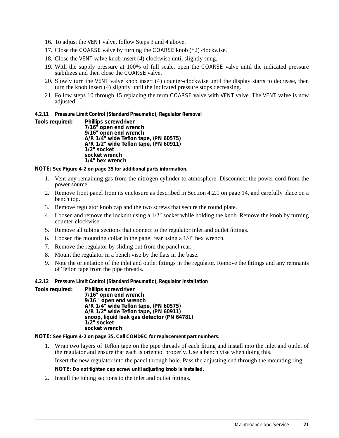- 16. To adjust the *VENT* valve, follow Steps 3 and 4 above.
- 17. Close the *COARSE* valve by turning the *COARSE* knob (\*2) clockwise.
- 18. Close the *VENT* valve knob insert (4) clockwise until slightly snug.
- 19. With the supply pressure at 100% of full scale, open the *COARSE* valve until the indicated pressure stabilizes and then close the *COARSE* valve.
- 20. Slowly turn the *VENT* valve knob insert (4) counter-clockwise until the display starts to decrease, then turn the knob insert (4) slightly until the indicated pressure stops decreasing.
- 21. Follow steps 10 through 15 replacing the term *COARSE* valve with *VENT* valve. The *VENT* valve is now adjusted.

#### **4.2.11 Pressure Limit Control (Standard Pneumatic), Regulator Removal**

**Tools required: Phillips screwdriver**

**7/16" open end wrench 9/16" open end wrench A/R 1/4" wide Teflon tape, (PN 60575) A/R 1/2" wide Teflon tape, (PN 60911) 1/2" socket socket wrench 1/4" hex wrench**

**NOTE:** *See Figure 4-2 on page 35 for additional parts information.*

- 1. Vent any remaining gas from the nitrogen cylinder to atmosphere. Disconnect the power cord from the power source.
- 2. Remove front panel from its enclosure as described in Section 4.2.1 on page 14, and carefully place on a bench top.
- 3. Remove regulator knob cap and the two screws that secure the round plate.
- 4. Loosen and remove the locknut using a 1/2" socket while holding the knob. Remove the knob by turning counter-clockwise
- 5. Remove all tubing sections that connect to the regulator inlet and outlet fittings.
- 6. Loosen the mounting collar in the panel rear using a 1/4" hex wrench.
- 7. Remove the regulator by sliding out from the panel rear.
- 8. Mount the regulator in a bench vise by the flats in the base.
- 9. Note the orientation of the inlet and outlet fittings in the regulator. Remove the fittings and any remnants of Teflon tape from the pipe threads.

#### **4.2.12 Pressure Limit Control (Standard Pneumatic), Regulator Installation**

**Tools required: Phillips screwdriver**

**7/16" open end wrench 9/16 " open end wrench A/R 1/4" wide Teflon tape, (PN 60575) A/R 1/2" wide Teflon tape, (PN 60911) snoop, liquid leak gas detector (PN 64781) 1/2" socket socket wrench**

**NOTE:** *See Figure 4-2 on page 35. Call CONDEC for replacement part numbers.*

1. Wrap two layers of Teflon tape on the pipe threads of each fitting and install into the inlet and outlet of the regulator and ensure that each is oriented properly. Use a bench vise when doing this. Insert the new regulator into the panel through hole. Pass the adjusting end through the mounting ring.

**NOTE:** *Do not tighten cap screw until adjusting knob is installed.*

2. Install the tubing sections to the inlet and outlet fittings.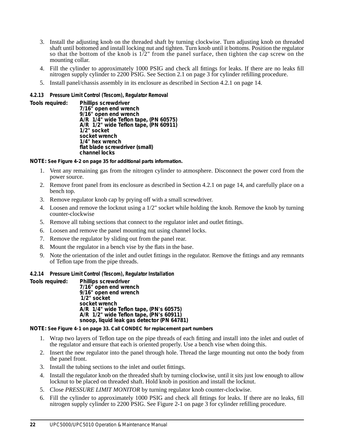- 3. Install the adjusting knob on the threaded shaft by turning clockwise. Turn adjusting knob on threaded shaft until bottomed and install locking nut and tighten. Turn knob until it bottoms. Position the regulator so that the bottom of the knob is  $1/2$ " from the panel surface, then tighten the cap screw on the mounting collar.
- 4. Fill the cylinder to approximately 1000 PSIG and check all fittings for leaks. If there are no leaks fill nitrogen supply cylinder to 2200 PSIG. See Section 2.1 on page 3 for cylinder refilling procedure.
- 5. Install panel/chassis assembly in its enclosure as described in Section 4.2.1 on page 14.

#### **4.2.13 Pressure Limit Control (Tescom), Regulator Removal**

**Tools required: Phillips screwdriver 7/16" open end wrench 9/16" open end wrench A/R 1/4" wide Teflon tape, (PN 60575) A/R 1/2" wide Teflon tape, (PN 60911) 1/2" socket socket wrench 1/4" hex wrench flat blade screwdriver (small) channel locks**

**NOTE:** *See Figure 4-2 on page 35 for additional parts information.*

- 1. Vent any remaining gas from the nitrogen cylinder to atmosphere. Disconnect the power cord from the power source.
- 2. Remove front panel from its enclosure as described in Section 4.2.1 on page 14, and carefully place on a bench top.
- 3. Remove regulator knob cap by prying off with a small screwdriver.
- 4. Loosen and remove the locknut using a 1/2" socket while holding the knob. Remove the knob by turning counter-clockwise
- 5. Remove all tubing sections that connect to the regulator inlet and outlet fittings.
- 6. Loosen and remove the panel mounting nut using channel locks.
- 7. Remove the regulator by sliding out from the panel rear.
- 8. Mount the regulator in a bench vise by the flats in the base.
- 9. Note the orientation of the inlet and outlet fittings in the regulator. Remove the fittings and any remnants of Teflon tape from the pipe threads.

#### **4.2.14 Pressure Limit Control (Tescom), Regulator Installation**

**Tools required: Phillips screwdriver**

**7/16" open end wrench 9/16" open end wrench 1/2" socket socket wrench A/R 1/4" wide Teflon tape, (PN's 60575) A/R 1/2" wide Teflon tape, (PN's 60911) snoop, liquid leak gas detector (PN 64781)**

**NOTE:** *See Figure 4-1 on page 33. Call CONDEC for replacement part numbers*

- 1. Wrap two layers of Teflon tape on the pipe threads of each fitting and install into the inlet and outlet of the regulator and ensure that each is oriented properly. Use a bench vise when doing this.
- 2. Insert the new regulator into the panel through hole. Thread the large mounting nut onto the body from the panel front.
- 3. Install the tubing sections to the inlet and outlet fittings.
- 4. Install the regulator knob on the threaded shaft by turning clockwise, until it sits just low enough to allow locknut to be placed on threaded shaft. Hold knob in position and install the locknut.
- 5. Close *PRESSURE LIMIT MONITOR* by turning regulator knob counter-clockwise.
- 6. Fill the cylinder to approximately 1000 PSIG and check all fittings for leaks. If there are no leaks, fill nitrogen supply cylinder to 2200 PSIG. See Figure 2-1 on page 3 for cylinder refilling procedure.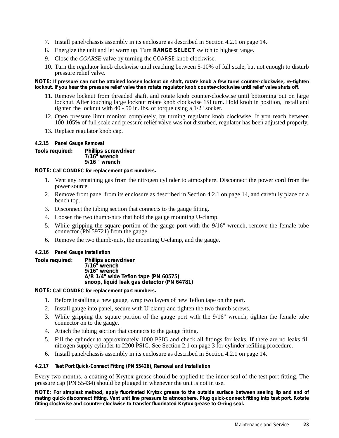- 7. Install panel/chassis assembly in its enclosure as described in Section 4.2.1 on page 14.
- 8. Energize the unit and let warm up. Turn **RANGE SELECT** switch to highest range.
- 9. Close the *COARSE* valve by turning the *COARSE* knob clockwise.
- 10. Turn the regulator knob clockwise until reaching between 5-10% of full scale, but not enough to disturb pressure relief valve.

**NOTE:** *If pressure can not be attained loosen locknut on shaft, rotate knob a few turns counter-clockwise, re-tighten locknut. If you hear the pressure relief valve then rotate regulator knob counter-clockwise until relief valve shuts off.*

- 11. Remove locknut from threaded shaft, and rotate knob counter-clockwise until bottoming out on large locknut. After touching large locknut rotate knob clockwise 1/8 turn. Hold knob in position, install and tighten the locknut with 40 - 50 in. lbs. of torque using a 1/2" socket.
- 12. Open pressure limit monitor completely, by turning regulator knob clockwise. If you reach between 100-105% of full scale and pressure relief valve was not disturbed, regulator has been adjusted properly.
- 13. Replace regulator knob cap.

#### **4.2.15 Panel Gauge Removal**

**Tools required: Phillips screwdriver 7/16" wrench 9/16 " wrench**

**NOTE:** *Call CONDEC for replacement part numbers.*

- 1. Vent any remaining gas from the nitrogen cylinder to atmosphere. Disconnect the power cord from the power source.
- 2. Remove front panel from its enclosure as described in Section 4.2.1 on page 14, and carefully place on a bench top.
- 3. Disconnect the tubing section that connects to the gauge fitting.
- 4. Loosen the two thumb-nuts that hold the gauge mounting U-clamp.
- 5. While gripping the square portion of the gauge port with the 9/16" wrench, remove the female tube connector (PN 59721) from the gauge.
- 6. Remove the two thumb-nuts, the mounting U-clamp, and the gauge.

#### **4.2.16 Panel Gauge Installation**

**Tools required: Phillips screwdriver**

**7/16" wrench 9/16" wrench A/R 1/4" wide Teflon tape (PN 60575) snoop, liquid leak gas detector (PN 64781)**

**NOTE:** *Call CONDEC for replacement part numbers.*

- 1. Before installing a new gauge, wrap two layers of new Teflon tape on the port.
- 2. Install gauge into panel, secure with U-clamp and tighten the two thumb screws.
- 3. While gripping the square portion of the gauge port with the 9/16" wrench, tighten the female tube connector on to the gauge.
- 4. Attach the tubing section that connects to the gauge fitting.
- 5. Fill the cylinder to approximately 1000 PSIG and check all fittings for leaks. If there are no leaks fill nitrogen supply cylinder to 2200 PSIG. See Section 2.1 on page 3 for cylinder refilling procedure.
- 6. Install panel/chassis assembly in its enclosure as described in Section 4.2.1 on page 14.

#### **4.2.17 Test Port Quick-Connect Fitting (PN 55426), Removal and Installation**

Every two months, a coating of Krytox grease should be applied to the inner seal of the test port fitting. The pressure cap (PN 55434) should be plugged in whenever the unit is not in use.

**NOTE:** *For simplest method, apply fluorinated Krytox grease to the outside surface between sealing lip and end of mating quick-disconnect fitting. Vent unit line pressure to atmosphere. Plug quick-connect fitting into test port. Rotate fitting clockwise and counter-clockwise to transfer fluorinated Krytox grease to O-ring seal.*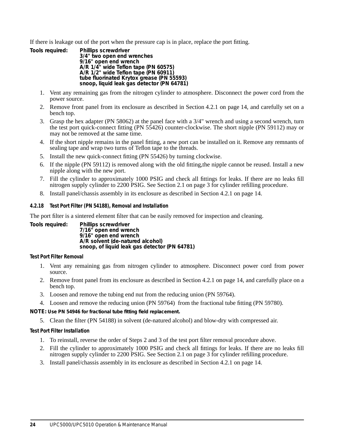If there is leakage out of the port when the pressure cap is in place, replace the port fitting.

| Tools required: | Phillips screwdriver                       |
|-----------------|--------------------------------------------|
|                 | 3/4" two open end wrenches                 |
|                 | 9/16" open end wrench                      |
|                 | A/R 1/4" wide Teflon tape (PN 60575)       |
|                 | A/R 1/2" wide Teflon tape (PN 60911)       |
|                 | tube fluorinated Krytox grease (PN 55593)  |
|                 | snoop, liquid leak gas detector (PN 64781) |

- 1. Vent any remaining gas from the nitrogen cylinder to atmosphere. Disconnect the power cord from the power source.
- 2. Remove front panel from its enclosure as described in Section 4.2.1 on page 14, and carefully set on a bench top.
- 3. Grasp the hex adapter (PN 58062) at the panel face with a 3/4" wrench and using a second wrench, turn the test port quick-connect fitting (PN 55426) counter-clockwise. The short nipple (PN 59112) may or may not be removed at the same time.
- 4. If the short nipple remains in the panel fitting, a new port can be installed on it. Remove any remnants of sealing tape and wrap two turns of Teflon tape to the threads.
- 5. Install the new quick-connect fitting (PN 55426) by turning clockwise.
- 6. If the nipple (PN 59112) is removed along with the old fitting,the nipple cannot be reused. Install a new nipple along with the new port.
- 7. Fill the cylinder to approximately 1000 PSIG and check all fittings for leaks. If there are no leaks fill nitrogen supply cylinder to 2200 PSIG. See Section 2.1 on page 3 for cylinder refilling procedure.
- 8. Install panel/chassis assembly in its enclosure as described in Section 4.2.1 on page 14.

#### **4.2.18 Test Port Filter (PN 54188), Removal and Installation**

The port filter is a sintered element filter that can be easily removed for inspection and cleaning.

**Tools required: Phillips screwdriver 7/16" open end wrench 9/16" open end wrench A/R solvent (de-natured alcohol) snoop, of liquid leak gas detector (PN 64781)**

#### **Test Port Filter Removal**

- 1. Vent any remaining gas from nitrogen cylinder to atmosphere. Disconnect power cord from power source.
- 2. Remove front panel from its enclosure as described in Section 4.2.1 on page 14, and carefully place on a bench top.
- 3. Loosen and remove the tubing end nut from the reducing union (PN 59764).
- 4. Loosen and remove the reducing union (PN 59764) from the fractional tube fitting (PN 59780).

**NOTE:** *Use PN 54946 for fractional tube fitting field replacement.*

5. Clean the filter (PN 54188) in solvent (de-natured alcohol) and blow-dry with compressed air.

#### **Test Port Filter Installation**

- 1. To reinstall, reverse the order of Steps 2 and 3 of the test port filter removal procedure above.
- 2. Fill the cylinder to approximately 1000 PSIG and check all fittings for leaks. If there are no leaks fill nitrogen supply cylinder to 2200 PSIG. See Section 2.1 on page 3 for cylinder refilling procedure.
- 3. Install panel/chassis assembly in its enclosure as described in Section 4.2.1 on page 14.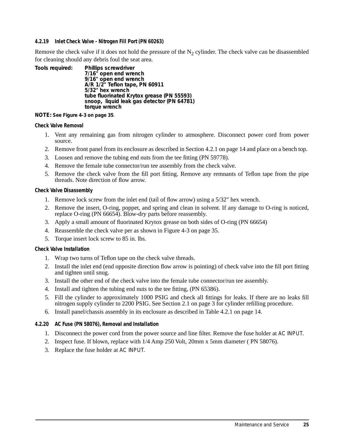#### **4.2.19 Inlet Check Valve - Nitrogen Fill Port (PN 60263)**

Remove the check valve if it does not hold the pressure of the  $N<sub>2</sub>$  cylinder. The check valve can be disassembled for cleaning should any debris foul the seat area.

**Tools required: Phillips screwdriver 7/16" open end wrench 9/16" open end wrench A/R 1/2" Teflon tape, PN 60911 5/32" hex wrench tube fluorinated Krytox grease (PN 55593) snoop, liquid leak gas detector (PN 64781) torque wrench**

**NOTE:** *See Figure 4-3 on page 35.*

#### **Check Valve Removal**

- 1. Vent any remaining gas from nitrogen cylinder to atmosphere. Disconnect power cord from power source.
- 2. Remove front panel from its enclosure as described in Section 4.2.1 on page 14 and place on a bench top.
- 3. Loosen and remove the tubing end nuts from the tee fitting (PN 59778).
- 4. Remove the female tube connector/run tee assembly from the check valve.
- 5. Remove the check valve from the fill port fitting. Remove any remnants of Teflon tape from the pipe threads. Note direction of flow arrow.

#### **Check Valve Disassembly**

- 1. Remove lock screw from the inlet end (tail of flow arrow) using a 5/32" hex wrench.
- 2. Remove the insert, O-ring, poppet, and spring and clean in solvent. If any damage to O-ring is noticed, replace O-ring (PN 66654). Blow-dry parts before reassembly.
- 3. Apply a small amount of fluorinated Krytox grease on both sides of O-ring (PN 66654)
- 4. Reassemble the check valve per as shown in Figure 4-3 on page 35.
- 5. Torque insert lock screw to 85 in. lbs.

#### **Check Valve Installation**

- 1. Wrap two turns of Teflon tape on the check valve threads.
- 2. Install the inlet end (end opposite direction flow arrow is pointing) of check valve into the fill port fitting and tighten until snug.
- 3. Install the other end of the check valve into the female tube connector/run tee assembly.
- 4. Install and tighten the tubing end nuts to the tee fitting, (PN 65386).
- 5. Fill the cylinder to approximately 1000 PSIG and check all fittings for leaks. If there are no leaks fill nitrogen supply cylinder to 2200 PSIG. See Section 2.1 on page 3 for cylinder refilling procedure.
- 6. Install panel/chassis assembly in its enclosure as described in Table 4.2.1 on page 14.

#### **4.2.20 AC Fuse (PN 58076), Removal and Installation**

- 1. Disconnect the power cord from the power source and line filter. Remove the fuse holder at *AC INPUT*.
- 2. Inspect fuse. If blown, replace with 1/4 Amp 250 Volt, 20mm x 5mm diameter ( PN 58076).
- 3. Replace the fuse holder at *AC INPUT*.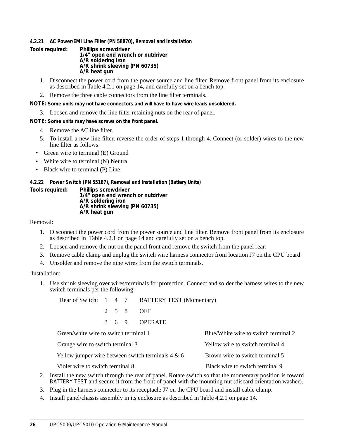#### **4.2.21 AC Power/EMI Line Filter (PN 58870), Removal and Installation**

- **Tools required: Phillips screwdriver 1/4" open end wrench or nutdriver A/R soldering iron A/R shrink sleeving (PN 60735) A/R heat gun**
	- 1. Disconnect the power cord from the power source and line filter. Remove front panel from its enclosure as described in Table 4.2.1 on page 14, and carefully set on a bench top.
	- 2. Remove the three cable connectors from the line filter terminals.
- **NOTE:** *Some units may not have connectors and will have to have wire leads unsoldered.*
	- 3. Loosen and remove the line filter retaining nuts on the rear of panel.
- **NOTE:** *Some units may have screws on the front panel.*
	- 4. Remove the AC line filter.
	- 5. To install a new line filter, reverse the order of steps 1 through 4. Connect (or solder) wires to the new line filter as follows:
	- Green wire to terminal (E) Ground
	- White wire to terminal (N) Neutral
	- Black wire to terminal (P) Line

#### **4.2.22 Power Switch (PN 55187), Removal and Installation (Battery Units)**

**Tools required: Phillips screwdriver 1/4" open end wrench or nutdriver A/R soldering iron A/R shrink sleeving (PN 60735) A/R heat gun**

#### Removal:

- 1. Disconnect the power cord from the power source and line filter. Remove front panel from its enclosure as described in Table 4.2.1 on page 14 and carefully set on a bench top.
- 2. Loosen and remove the nut on the panel front and remove the switch from the panel rear.
- 3. Remove cable clamp and unplug the switch wire harness connector from location J7 on the CPU board.
- 4. Unsolder and remove the nine wires from the switch terminals.

#### Installation:

1. Use shrink sleeving over wires/terminals for protection. Connect and solder the harness wires to the new switch terminals per the following:

|                                       |               |       |  | Rear of Switch: 1 4 7 BATTERY TEST (Momentary)       |                                      |  |
|---------------------------------------|---------------|-------|--|------------------------------------------------------|--------------------------------------|--|
|                                       |               | 2 5 8 |  | OFF                                                  |                                      |  |
|                                       | $\mathcal{R}$ | 69    |  | <b>OPERATE</b>                                       |                                      |  |
| Green/white wire to switch terminal 1 |               |       |  |                                                      | Blue/White wire to switch terminal 2 |  |
| Orange wire to switch terminal 3      |               |       |  |                                                      | Yellow wire to switch terminal 4     |  |
|                                       |               |       |  | Yellow jumper wire between switch terminals $4 \& 6$ | Brown wire to switch terminal 5      |  |
| Violet wire to switch terminal 8      |               |       |  |                                                      | Black wire to switch terminal 9      |  |

- 2. Install the new switch through the rear of panel. Rotate switch so that the momentary position is toward *BATTERY TEST* and secure it from the front of panel with the mounting nut (discard orientation washer).
- 3. Plug in the harness connector to its receptacle J7 on the CPU board and install cable clamp.
- 4. Install panel/chassis assembly in its enclosure as described in Table 4.2.1 on page 14.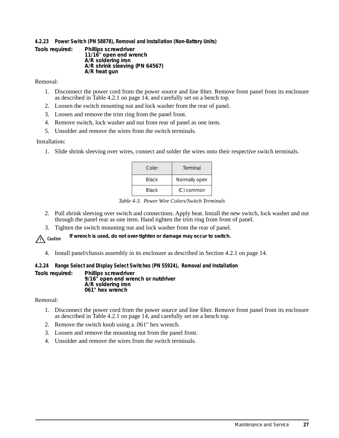#### **4.2.23 Power Switch (PN 58878), Removal and Installation (Non-Battery Units)**

**Tools required: Phillips screwdriver 11/16" open end wrench A/R soldering iron A/R shrink sleeving (PN 64567) A/R heat gun**

Removal:

- 1. Disconnect the power cord from the power source and line filter. Remove front panel from its enclosure as described in Table 4.2.1 on page  $14$ , and carefully set on a bench top.
- 2. Loosen the switch mounting nut and lock washer from the rear of panel.
- 3. Loosen and remove the trim ring from the panel front.
- 4. Remove switch, lock washer and nut from rear of panel as one item.
- 5. Unsolder and remove the wires from the switch terminals.

#### Installation:

1. Slide shrink sleeving over wires, connect and solder the wires onto their respective switch terminals.

| Color        | Terminal      |
|--------------|---------------|
| <b>Black</b> | Normally open |
| <b>Black</b> | (C) common    |

|  |  | Table 4-3. Power Wire Colors/Switch Terminals |
|--|--|-----------------------------------------------|
|  |  |                                               |

- 2. Pull shrink sleeving over switch and connections. Apply heat. Install the new switch, lock washer and nut through the panel rear as one item. Hand tighten the trim ring from front of panel.
- 3. Tighten the switch mounting nut and lock washer from the rear of panel.

 *If wrench is used, do not over-tighten or damage may occur to switch.* ! **Caution**

4. Install panel/chassis assembly in its enclosure as described in Section 4.2.1 on page 14.

#### **4.2.24 Range Select and Display Select Switches (PN 55924), Removal and Installation**

**Tools required: Phillips screwdriver 9/16" open end wrench or nutdriver A/R soldering iron 061" hex wrench**

Removal:

- 1. Disconnect the power cord from the power source and line filter. Remove front panel from its enclosure as described in Table 4.2.1 on page 14, and carefully set on a bench top.
- 2. Remove the switch knob using a .061" hex wrench.
- 3. Loosen and remove the mounting nut from the panel front.
- 4. Unsolder and remove the wires from the switch terminals.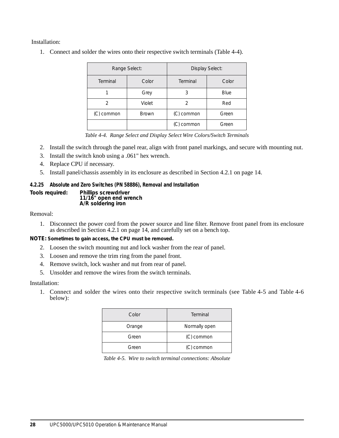Installation:

1. Connect and solder the wires onto their respective switch terminals (Table 4-4).

|            | Range Select: | Display Select: |       |  |  |  |
|------------|---------------|-----------------|-------|--|--|--|
| Terminal   | Color         | Terminal        | Color |  |  |  |
|            | Grey          |                 | Blue  |  |  |  |
|            | Violet        |                 | Red   |  |  |  |
| (C) common | <b>Brown</b>  | (C) common      | Green |  |  |  |
|            |               | (C) common      | Green |  |  |  |

*Table 4-4. Range Select and Display Select Wire Colors/Switch Terminals*

- 2. Install the switch through the panel rear, align with front panel markings, and secure with mounting nut.
- 3. Install the switch knob using a .061" hex wrench.
- 4. Replace CPU if necessary.
- 5. Install panel/chassis assembly in its enclosure as described in Section 4.2.1 on page 14.

#### **4.2.25 Absolute and Zero Switches (PN 58886), Removal and Installation**

**Tools required: Phillips screwdriver**

**11/16" open end wrench A/R soldering iron**

Removal:

1. Disconnect the power cord from the power source and line filter. Remove front panel from its enclosure as described in Section 4.2.1 on page 14, and carefully set on a bench top.

**NOTE:** *Sometimes to gain access, the CPU must be removed.*

- 2. Loosen the switch mounting nut and lock washer from the rear of panel.
- 3. Loosen and remove the trim ring from the panel front.
- 4. Remove switch, lock washer and nut from rear of panel.
- 5. Unsolder and remove the wires from the switch terminals.

Installation:

1. Connect and solder the wires onto their respective switch terminals (see Table 4-5 and Table 4-6 below):

| Color  | Terminal      |
|--------|---------------|
| Orange | Normally open |
| Green  | (C) common    |
| Green  | (C) common    |

|  | Table 4-5. Wire to switch terminal connections: Absolute |  |  |  |
|--|----------------------------------------------------------|--|--|--|
|--|----------------------------------------------------------|--|--|--|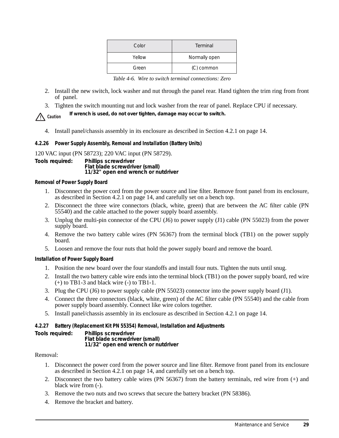| Color  | Terminal      |
|--------|---------------|
| Yellow | Normally open |
| Green  | (C) common    |

*Table 4-6. Wire to switch terminal connections: Zero*

- 2. Install the new switch, lock washer and nut through the panel rear. Hand tighten the trim ring from front of panel.
- 3. Tighten the switch mounting nut and lock washer from the rear of panel. Replace CPU if necessary.

 *If wrench is used, do not over tighten, damage may occur to switch.* ! **Caution**

4. Install panel/chassis assembly in its enclosure as described in Section 4.2.1 on page 14.

## **4.2.26 Power Supply Assembly, Removal and Installation (Battery Units)**

120 VAC input (PN 58723); 220 VAC input (PN 58729). **Tools required: Phillips screwdriver Flat blade screwdriver (small) 11/32" open end wrench or nutdriver**

#### **Removal of Power Supply Board**

- 1. Disconnect the power cord from the power source and line filter. Remove front panel from its enclosure, as described in Section 4.2.1 on page 14, and carefully set on a bench top.
- 2. Disconnect the three wire connectors (black, white, green) that are between the AC filter cable (PN 55540) and the cable attached to the power supply board assembly.
- 3. Unplug the multi-pin connector of the CPU (J6) to power supply (J1) cable (PN 55023) from the power supply board.
- 4. Remove the two battery cable wires (PN 56367) from the terminal block (TB1) on the power supply board.
- 5. Loosen and remove the four nuts that hold the power supply board and remove the board.

## **Installation of Power Supply Board**

- 1. Position the new board over the four standoffs and install four nuts. Tighten the nuts until snug.
- 2. Install the two battery cable wire ends into the terminal block (TB1) on the power supply board, red wire (+) to TB1-3 and black wire (-) to TB1-1.
- 3. Plug the CPU (J6) to power supply cable (PN 55023) connector into the power supply board (J1).
- 4. Connect the three connectors (black, white, green) of the AC filter cable (PN 55540) and the cable from power supply board assembly. Connect like wire colors together.
- 5. Install panel/chassis assembly in its enclosure as described in Section 4.2.1 on page 14.

## **4.2.27 Battery (Replacement Kit PN 55354) Removal, Installation and Adjustments**

**Tools required: Phillips screwdriver Flat blade screwdriver (small) 11/32" open end wrench or nutdriver**

## Removal:

- 1. Disconnect the power cord from the power source and line filter. Remove front panel from its enclosure as described in Section 4.2.1 on page 14, and carefully set on a bench top.
- 2. Disconnect the two battery cable wires (PN 56367) from the battery terminals, red wire from (+) and black wire from (-).
- 3. Remove the two nuts and two screws that secure the battery bracket (PN 58386).
- 4. Remove the bracket and battery.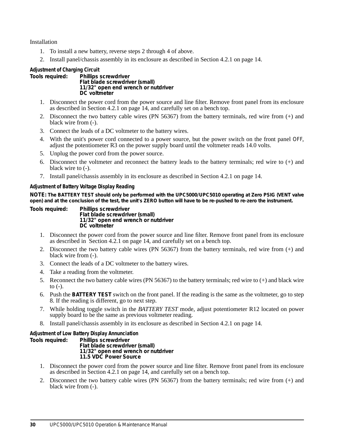Installation

- 1. To install a new battery, reverse steps 2 through 4 of above.
- 2. Install panel/chassis assembly in its enclosure as described in Section 4.2.1 on page 14.

#### **Adjustment of Charging Circuit**

**Tools required: Phillips screwdriver Flat blade screwdriver (small) 11/32" open end wrench or nutdriver DC voltmeter** 

- 1. Disconnect the power cord from the power source and line filter. Remove front panel from its enclosure as described in Section 4.2.1 on page 14, and carefully set on a bench top.
- 2. Disconnect the two battery cable wires (PN 56367) from the battery terminals, red wire from (+) and black wire from (-).
- 3. Connect the leads of a DC voltmeter to the battery wires.
- 4. With the unit's power cord connected to a power source, but the power switch on the front panel *OFF*, adjust the potentiometer R3 on the power supply board until the voltmeter reads 14.0 volts.
- 5. Unplug the power cord from the power source.
- 6. Disconnect the voltmeter and reconnect the battery leads to the battery terminals; red wire to (+) and black wire to  $(-)$ .
- 7. Install panel/chassis assembly in its enclosure as described in Section 4.2.1 on page 14.

#### **Adjustment of Battery Voltage Display Reading**

**NOTE:** *The BATTERY TEST should only be performed with the UPC5000/UPC5010 operating at Zero PSIG (VENT valve open) and at the conclusion of the test, the unit's ZERO button will have to be re-pushed to re-zero the instrument.*

**Tools required: Phillips screwdriver Flat blade screwdriver (small) 11/32" open end wrench or nutdriver DC voltmeter** 

- 1. Disconnect the power cord from the power source and line filter. Remove front panel from its enclosure as described in Section 4.2.1 on page 14, and carefully set on a bench top.
- 2. Disconnect the two battery cable wires (PN 56367) from the battery terminals, red wire from (+) and black wire from (-).
- 3. Connect the leads of a DC voltmeter to the battery wires.
- 4. Take a reading from the voltmeter.
- 5. Reconnect the two battery cable wires (PN 56367) to the battery terminals; red wire to (+) and black wire to  $(-)$ .
- 6. Push the **BATTERY TEST** switch on the front panel. If the reading is the same as the voltmeter, go to step 8. If the reading is different, go to next step.
- 7. While holding toggle switch in the *BATTERY TEST* mode, adjust potentiometer R12 located on power supply board to be the same as previous voltmeter reading.
- 8. Install panel/chassis assembly in its enclosure as described in Section 4.2.1 on page 14.

#### **Adjustment of Low Battery Display Annunciation**

**Tools required: Phillips screwdriver Flat blade screwdriver (small) 11/32" open end wrench or nutdriver 11.5 VDC Power Source** 

- 1. Disconnect the power cord from the power source and line filter. Remove front panel from its enclosure as described in Section 4.2.1 on page 14, and carefully set on a bench top.
- 2. Disconnect the two battery cable wires (PN 56367) from the battery terminals; red wire from (+) and black wire from (-).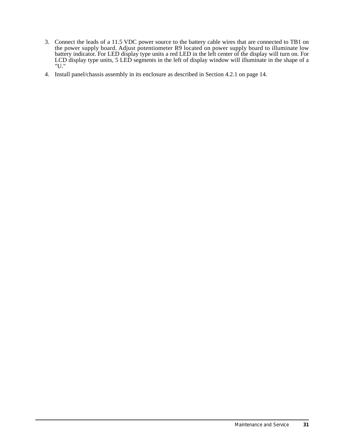- 3. Connect the leads of a 11.5 VDC power source to the battery cable wires that are connected to TB1 on the power supply board. Adjust potentiometer R9 located on power supply board to illuminate low battery indicator. For LED display type units a red LED in the left center of the display will turn on. For LCD display type units, 5 LED segments in the left of display window will illuminate in the shape of a "U."
- 4. Install panel/chassis assembly in its enclosure as described in Section 4.2.1 on page 14.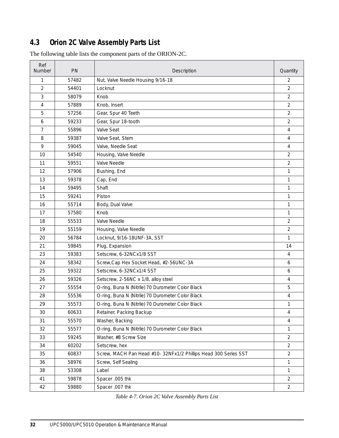## **4.3 Orion 2C Valve Assembly Parts List**

| Ref<br>Number  | PN    | Description                                                     | Quantity       |
|----------------|-------|-----------------------------------------------------------------|----------------|
| 1              | 57482 | Nut, Valve Needle Housing 9/16-18                               | $\overline{2}$ |
| $\overline{2}$ | 54401 | Locknut                                                         | $\overline{2}$ |
| 3              | 58079 | Knob                                                            | $\overline{2}$ |
| 4              | 57889 | Knob, Insert                                                    | $\overline{2}$ |
| 5              | 57256 | Gear, Spur 40 Teeth                                             | $\overline{2}$ |
| 6              | 59233 | Gear, Spur 18-tooth                                             | $\overline{2}$ |
| 7              | 55896 | Valve Seat                                                      | $\overline{4}$ |
| 8              | 59387 | Valve Seat, Stem                                                | 4              |
| 9              | 59045 | Valve, Needle Seat                                              | $\overline{4}$ |
| 10             | 54540 | Housing, Valve Needle                                           | $\overline{2}$ |
| 11             | 59551 | Valve Needle                                                    | $\overline{2}$ |
| 12             | 57906 | Bushing, End                                                    | 1              |
| 13             | 59378 | Cap, End                                                        | 1              |
| 14             | 59495 | Shaft                                                           | 1              |
| 15             | 59241 | Piston                                                          | 1              |
| 16             | 55714 | Body, Dual Valve                                                | 1              |
| 17             | 57580 | Knob                                                            | 1              |
| 18             | 55533 | Valve Needle                                                    | $\overline{2}$ |
| 19             | 55159 | Housing, Valve Needle                                           | $\overline{2}$ |
| 20             | 56784 | Locknut, 9/16-18UNF-3A, SST                                     | $\mathbf{1}$   |
| 21             | 59845 | Plug, Expansion                                                 | 14             |
| 23             | 59383 | Setscrew, 6-32NCx1/8 SST                                        | $\overline{4}$ |
| 24             | 58342 | Screw, Cap Hex Socket Head, #2-56UNC-3A                         | 6              |
| 25             | 59322 | Setscrew, 6-32NCx1/4 SST                                        | 6              |
| 26             | 59326 | Setscrew, 2-56NC x 1/8, alloy steel                             | $\overline{4}$ |
| 27             | 55554 | O-ring, Buna N (Nitrile) 70 Durometer Color Black               | 5              |
| 28             | 55536 | O-ring, Buna N (Nitrile) 70 Durometer Color Black               | $\overline{4}$ |
| 29             | 55573 | O-ring, Buna N (Nitrile) 70 Durometer Color Black               | 1              |
| 30             | 60633 | Retainer, Packing Backup                                        | 4              |
| 31             | 55570 | Washer, Backing                                                 | 4              |
| 32             | 55577 | O-ring, Buna N (Nitrile) 70 Durometer Color Black               | $\mathbf{1}$   |
| 33             | 59245 | Washer, #8 Screw Size                                           | $\overline{2}$ |
| 34             | 60202 | Setscrew, hex                                                   | $\overline{2}$ |
| 35             | 60837 | Screw, MACH Pan Head #10- 32NFx1/2 Phillips Head 300 Series SST | $\overline{2}$ |
| 36             | 58976 | Screw, Self Sealing                                             | 1              |
| 38             | 53308 | Label                                                           | $\mathbf{1}$   |
| 41             | 59878 | Spacer .005 thk                                                 | $\overline{2}$ |
| 42             | 59880 | Spacer .007 thk                                                 | $\overline{2}$ |

The following table lists the component parts of the ORION-2C.

*Table 4-7. Orion 2C Valve Assembly Parts List*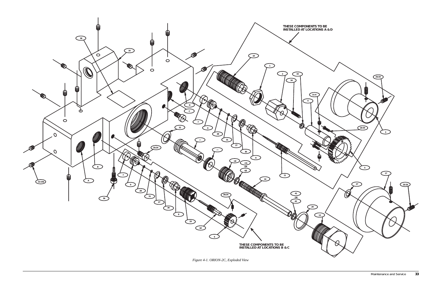*Figure 4-1. ORION-2C, Exploded View*

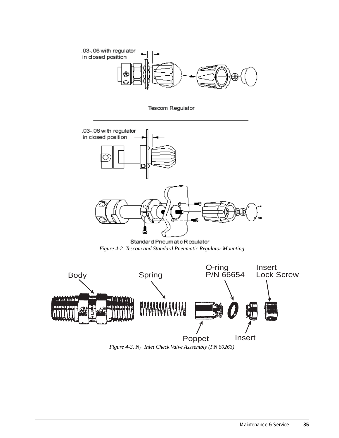

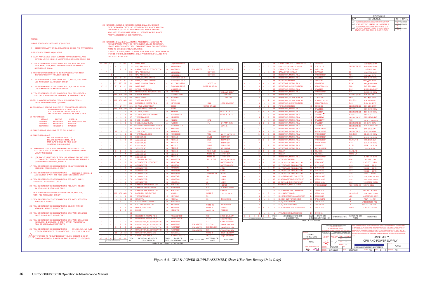#### NOTES:

3- TEST PROCEDURE: (A)KUA7317

- 1- FOR SCHEMATIC SEE DWG. (D)KHP7316.
- 2- OBSERVE POLARITY OF ICs, CAPACITORS, DIODES, AND TRANSISTORS.

4- MARK APPLICABLE DASH NUMBER, REVISION LEVEL, AND DATE IN 1/8 INCH HIGH CHARACTERS. USE BLACK EPOXY INK.

| 120VAC    | 220VAC    | USED IN                 |
|-----------|-----------|-------------------------|
| KEU8924-1 | KEU8924-4 | <b>UPC5000, UPC5200</b> |
| KEU8924-2 | KEU8924-5 | UPS3000                 |
| KEU8924-3 | KEU8924-6 | UPC5100                 |

12- REFERENCE: RE-MARK PART NUMBER AS APPLICABLE.

13- ON KEU8924-2, ADD JUMPER TO E11 AND E12.

- 15- ON KEU8924-3 ONLY, ADD JUMPER BETWEEN E3 AND TP7.<br>CUT CLAD AT CUT MARKS "G" & "E" AND BETWEEN R23A MOUNTING HOLES.
- USE TWO 8" LENGTHS OF ITEM 109, #22AWG BLK.INS.WIRE, TO CONNECT COMMON CLAD AS SHOWN IN HIDDEN LINES, 16- COMPONENT SIDE VIEW, SHEET 2.
- 17- ITEM 22 REFERENCE DESIGNATIONS: K5, WITH K4 USED IN KEU8924-1 AND KEU8924-3 ONLY.
- 18- ITEM 32 REFERENCE DESIGNATIONS:R30 USED IN KEU8924-1 AND KEU8924-3, WITH R23, R23B USED IN KEU8924-3 ONLY.
- 19- ITEM 33 REFERENCE DESIGNATIONS: R55, WITH R11 IN KEU8924-1 & KEU8924-2 ONLY
- IN KEU8924-1 & KEU8924-2 ONLY20- ITEM 35 REFERENCE DESIGNATIONS: R15, WITH R3 & R4
- 21- ITEM 37 REFERENCE DESIGNATIONS: R8, R9, R10, R18, WITH R32 IN KEU8924-3 ONLY
- 22- ITEM 39 REFERENCE DESIGNATIONS: R59, WITH R58 USED IN KEU8924-1 ONLY.
- 23- ITEM 53 REFERENCE DESIGNATIONS: C3, C29, WITH C9 KEU8924-1 AND KEU8924-3 ONLY.

27 \CUT ITEM 101 TO REQUIRED LENGTHS. ON CIRCUIT SIDE OF BOARD ASSEMBLY JUMPER U8 PINS 9 AND 10 TO U8-7(GND).

14- ON KEU8924-1 & -3: DELETE J2 PINS 6 THRU 10, DELETE J2 PINS 16 THRU 20, & CUT CLAD GOING TO PINS 1 & 14 JUMPER PINS J2-1 & J2-2

24- ITEM 64 REFERENCE DESIGNATIONS: CR2, WITH CR1 USED IN KEU8924-1 & KEU8924-2 ONLY

28- KEU8924-1 (54254) & KEU8924-3 (54263) ONLY: ON CIRCUIT SIDE OF BOARD, CUT CLAD BETWEEN CR12 ANODE AND VIA UNDER U10. CUT CLAD BETWEEN CR10 ANODE AND U6-4. ADD 3 1/2" 30 AWG WIRE, ITEM 101, BETWEEN CR10 ANODE AND VIA UNDER U10. SEE PICTORIAL.

NOTE TO CONDEC MANUFACTURING: LEAVE APPROXIMATELY 1/4" LEAD LENGTH ON EACH RESISTER. 29- KEU8924-1 ONLY: INSTALL ITEM 11 AND ITEM 31 IN SERIES AT R33 LOCATION. TWIST, DO NOT SOLDER, LEADS TOGETHER. ITEMS 11 & 31 REQUIRED FOR UPC5200 &UPC5210 UNITS. REMOVEITEM 11 AND SOLDER ITEM 31 ONLY PRIOR TO INSTALLING INTOUPC5000 OR UPC5010.

- 5- ITEM 30 REFERENCE DESIGNATIONS: R16, R26, R41, R42, R44, R46, R47, R54, WITH R28 IN KEU8924-1 & KEU8924-3 ONLY.
- 6- TRANSFORMER SHIELD TO BE INSTALLED AFTER TEST. (REFERENCE PART NUMBER MB80-1)
- 7- ITEM 3 REFERENCE DESIGNATIONS: U1, U2, U3, U26, WITH U23 IN KEU8924-1 & KEU8924-3 ONLY
- 8- ITEM 56 REFERENCE DESIGNATIONS: C8, C10-C20, WITH C28 IN KEU8924-1 & KEU8924-3 ONLY
- 9- ITEM 65 REFERENCE DESIGNATIONS: CR4, CR5, CR7-CR9, AND CR12, WITH CR10 IN KEU8924-1 & KEU8924-3 ONLY
- 10- TB1 IS MADE UP OF ONE (1) ITEM 82 AND ONE (1) ITEM 91, TB2 IS MADE UP OF ONE (1) ITEM 82.
- BETWEEN PINS 1 & 3 AND 2 & 4. ADD JUMPER BETWEEN PINS 2 & 3.11- FOR 220VAC: REMOVE JUMPERS ON TRANSFORMER, ITEM 69,

|     | <b>REVISIONS</b>                                       |                   |          |
|-----|--------------------------------------------------------|-------------------|----------|
| REV | <b>REFERENCE</b>                                       | <b>INIT</b>       | DATE     |
| AF  | ECO10483: DELETED ITEMS 10 & 11: REDRAWN ON RLW FORMAT | <b>DJS</b><br>KIT | 6/15/00  |
|     | AG   DELETED ITEM NUMBER 2.                            | <b>DJS</b><br>KLI | 10/4/00  |
| AH  |                                                        | KAL               | 12/12/01 |
|     | FROM ITEM 61 62 65 AND 1                               | <b>JEW</b>        |          |

- 25- ITEM 66 REFERENCE DESIGNATIONS: CR6, WITH CR11 USED IN KEU8924-1 & KEU8924-3 ONLY. EATON P/N KGF327A MAY BE USED AS A SUBSTITUTE.
- 26- ITEM 83 REFERENCE DESIGNATIONS: ITEM 84 REFERENCE DESIGNATIONS: XU4, XU6, XU7, XU8, XU13. XS1, XU5, XU14, XU15.

|             | 5<br>$\blacktriangleleft$<br>3                     | 5<br>1<br>3                                 | 29<br>28<br>27       | <b>RESISTOR, METAL FILM</b><br><b>RESISTOR, METAL FILM</b><br><b>RESISTOR, METAL FILM</b>                           | ÷.<br>÷<br>÷                 | <b>RN55C8062F</b><br>RN55C4321F<br><b>RN55C1002F</b>                     | R35-R39<br><b>R21</b><br>R5, R6, R45                                      | 80.6K 1% 0.1W<br>4.32K 1% 0.1W<br>10K 1% 0.1W                |
|-------------|----------------------------------------------------|---------------------------------------------|----------------------|---------------------------------------------------------------------------------------------------------------------|------------------------------|--------------------------------------------------------------------------|---------------------------------------------------------------------------|--------------------------------------------------------------|
| 1<br>2<br>1 | 1<br>$\overline{2}$                                | 1<br>$\overline{2}$<br>1                    | 26<br>25<br>24       | <b>RESISTOR, METAL FILM</b><br><b>RESISTOR, METAL FILM</b><br><b>RESISTOR, METAL FILM</b>                           | ×,<br>C                      | RN55C3011F<br>KPW310B<br><b>RN55C10R0F</b>                               | <b>R25</b><br>R <sub>1</sub> ,R <sub>2</sub><br><b>R29</b>                | 3.01K 1% 0.1W<br>100K.1% 0.1W<br>10.1% 0.1W                  |
|             | 3<br>1                                             | 3<br>2                                      | 23<br>22             | <b>RELAY</b><br><b>RELAY</b><br><b>RESISTOR, METAL FILM</b>                                                         | C<br>с<br>L.                 | <b>KJU431B</b><br><b>KJU431A</b>                                         | K1, K2, K3<br>NOTE 17                                                     |                                                              |
| 1<br>1      |                                                    |                                             |                      |                                                                                                                     |                              | <b>RN55C1741F</b>                                                        | <b>R17</b>                                                                | 1.74K 1% 0.1W<br>2K 10% 1/2W                                 |
|             | 1<br>×,                                            | 1<br>1                                      | 21<br>20             | <b>POTENTIOMETER</b>                                                                                                | c                            | KBW338E                                                                  | <b>R24</b>                                                                |                                                              |
| 1           | $\overline{1}$                                     | 1<br>1                                      | 19<br>18             | <b>IC, VOLTAGE REGULATOR</b>                                                                                        | C<br>C                       | <b>KGB1918C</b>                                                          | U25<br>U <sub>19</sub>                                                    | <b>LM317T</b><br>3 PIN                                       |
|             |                                                    |                                             |                      | IC, VOLTAGE REGULATOR                                                                                               |                              | <b>KHY1918F</b>                                                          |                                                                           | 79M12<br>3 PIN                                               |
|             |                                                    |                                             |                      |                                                                                                                     |                              |                                                                          |                                                                           |                                                              |
|             |                                                    |                                             |                      |                                                                                                                     |                              |                                                                          |                                                                           |                                                              |
|             |                                                    |                                             |                      |                                                                                                                     |                              |                                                                          |                                                                           |                                                              |
|             |                                                    |                                             |                      |                                                                                                                     |                              |                                                                          |                                                                           |                                                              |
|             |                                                    |                                             |                      |                                                                                                                     |                              |                                                                          |                                                                           |                                                              |
|             |                                                    |                                             |                      |                                                                                                                     |                              |                                                                          |                                                                           |                                                              |
|             |                                                    |                                             |                      |                                                                                                                     |                              |                                                                          |                                                                           |                                                              |
|             | J.<br>8                                            | $\overline{1}$<br>9                         | 31<br>30             | <b>RESISTOR, METAL FILM</b><br><b>RESISTOR, METAL FILM</b>                                                          | ÷.<br>×,                     | RN55C1402F<br>RN55C1001F                                                 | NOTE <sub>29</sub><br><b>SEE NOTE 5</b>                                   | 14K 1% 0.1W<br>1.0K 1% 0.1W                                  |
| 1           | $\overline{2}$<br>ä,                               | $\overline{2}$<br>1                         | 33<br>32             | <b>RESISTOR, METAL FILM</b><br><b>RESISTOR, METAL FILM</b>                                                          | C<br>c                       | KPW310R<br><b>KPW310E</b>                                                | SEE NOTE 19<br>SEE NOTE 18                                                | 5K 0.1% 0.1W<br>1.0K 0.1% 0.1W                               |
| 1           | $\overline{2}$<br>3<br>1                           | $\overline{2}$<br>3<br>1                    | 36<br>35<br>34       | <b>RESISTOR, METAL FILM</b><br><b>RESISTOR, METAL FILM</b><br><b>RESISTOR, METAL FILM</b>                           | c<br>$\mathbf C$<br>c        | KPW310<br><b>KPW310W</b><br>KPW310AY                                     | R <sub>19</sub> ,R <sub>22</sub><br>SEE NOTE 20<br>R <sub>13</sub>        | <b>SELECT</b><br>20K 0.1% 0.1W<br>13.3K 0.1% 0.1W            |
| 1<br>5      | 1<br>$\overline{2}$<br>4                           | $\overline{2}$<br>$\overline{2}$<br>4       | 39<br>38<br>37       | <b>POTENTIOMETER</b><br><b>RESISTOR, METAL FILM</b><br><b>RESISTOR, METAL FILM</b>                                  | B<br>c<br>c                  | <b>KBY338B</b><br><b>KPW310G</b><br>KPW310N                              | <b>SEE NOTE 22</b><br>R56,R57<br>SEE NOTE 21                              | 20K 10% 1/2W<br>80K 0.1% 0.1W<br>10K 0.1% 0.1W               |
| 1<br>1      | $\overline{1}$<br>2<br>1                           | $\overline{1}$<br>2<br>$\overline{1}$       | 42<br>41<br>40       | <b>RESISTOR, COMPOSITION</b><br><b>RESISTOR, COMPOSITION</b><br><b>RESISTOR, COMPOSITION</b>                        | C<br>×,<br>÷.                | KGE310AU<br><b>RCR07G103JS</b><br><b>RCR07G245JS</b>                     | <b>R50</b><br>R51, R52<br><b>R43</b>                                      | 430 5% 1/2W<br>10K 5% 1/4W<br>2.4M 5% 1/4W                   |
| 1<br>1<br>3 | ÷,<br>J.<br>R                                      | $\overline{1}$<br>×,<br>$\overline{1}$<br>3 | 46<br>45<br>44<br>43 | <b>RESISTOR, COMPOSITION</b><br><b>RESISTOR, METAL FILM</b><br><b>RESISTOR, METAL FILM</b><br><b>RESISTOR, SIP</b>  | ÷,<br>$\mathbf C$<br>J.<br>C | <b>RCR07G241JS</b><br><b>KPW310D</b><br>RN55C6041F<br><b>KMA310U</b>     | <b>R20</b><br><b>R12</b><br>R7<br>R40, R48, R49                           | 240 5% 1/4W<br>1.5K 0.1% 0.1W<br>6.04K 1% 0.1W<br>10K 2% .3W |
| 1<br>1      | $\mathbf{1}$<br>$\mathbf{1}$                       | $\mathbf{1}$<br>$\mathbf{1}$<br>÷,          | 49<br>48<br>47       | <b>RESISTOR, METAL FILM</b><br><b>POTENTIOMETER</b><br><b>RESISTOR, METAL FILM</b>                                  | c<br>c<br>C                  | <b>KPW310Z</b><br>KBY338F<br>KPW310M                                     | <b>R32</b><br><b>R34</b><br><b>R23C</b>                                   | 50K 0.1% 0.1W<br>500 MO% 1/2W<br>200 $\Omega$ 1% 0.1W        |
| 1<br>1      | $\overline{2}$<br>$\overline{1}$<br>$\overline{1}$ | 3<br>$\overline{1}$<br>1<br>×,              | 53<br>52<br>51<br>50 | <b>CAPACITOR, METAL POLY</b><br><b>CAPACITOR, CERAMIC</b><br><b>CAPACITOR, MYLAR</b><br><b>RESISTOR, METAL FILM</b> | B<br>Α<br>$\mathbf c$<br>÷.  | <b>KDE7311B</b><br><b>KKF311B</b><br><b>KMV311T</b><br><b>RN55C2000F</b> | <b>SEE NOTE 23</b><br>C <sub>2</sub><br>C <sub>1</sub><br>R <sub>21</sub> | 5uF 10% 100V<br>1uF 20% 50V<br>22uF 5% 100V<br>200 A% 0.1W   |

|    | 1/2"                 | 1/2"                  | 1/2"<br>1/2"         | 116                   | <b>WIRE, BUS</b>                   |                | QQW343H18SIT                  |                  |                          |                    |      |                       |                      |                |                      | 54              | CAPACITOR, POLYCARBONATE     | <sub>C</sub>    | <b>KMV311P</b>                 | C <sub>1</sub>                                    |                    | 1uF 10% 100                                                     |
|----|----------------------|-----------------------|----------------------|-----------------------|------------------------------------|----------------|-------------------------------|------------------|--------------------------|--------------------|------|-----------------------|----------------------|----------------|----------------------|-----------------|------------------------------|-----------------|--------------------------------|---------------------------------------------------|--------------------|-----------------------------------------------------------------|
|    |                      |                       |                      | 115                   | <b>CPU ASSEMBLY</b>                |                | <b>KEU8924-3</b>              |                  | NOTE 11                  |                    |      |                       |                      | $\overline{2}$ |                      | 53              | <b>CAPACITOR, METAL POLY</b> | B               | <b>KDE7311B</b>                |                                                   | SEE NOTE 23        | 5uF 10% 100                                                     |
|    |                      | $\overline{2}$        | $\overline{2}$       | 114<br>$\overline{2}$ | CAPACITOR, ELECTROLYTIC            | $\overline{B}$ | <b>KGE311Q</b>                | <b>POLARIZED</b> | C4, C5                   | 6.8uF 20% 35V      |      |                       |                      | $\overline{1}$ | $\overline{1}$       | 52              | <b>CAPACITOR, CERAMIC</b>    | A               | <b>KKF311B</b>                 | C <sub>2</sub>                                    |                    | 1uF 20% 50V                                                     |
|    |                      |                       |                      | 113                   | <b>CPU ASSEMBLY</b>                |                | <b>KEU8924-2</b>              |                  | NOTE 11                  |                    |      |                       |                      |                |                      | -51             | <b>CAPACITOR, MYLAR</b>      | <b>C</b>        | <b>KMV311T</b>                 | C <sub>1</sub>                                    |                    | 22uF 5% 100                                                     |
|    | $\blacktriangleleft$ |                       |                      | 112                   | <b>CPU ASSEMBLY</b>                |                | <b>KEU8924-1</b>              |                  | NOTE 11                  |                    |      |                       |                      |                |                      | 50              | <b>RESISTOR, METAL FILM</b>  |                 | <b>RN55C2000F</b>              | R <sub>21</sub>                                   |                    | 200 <i>ለ</i> ‰ 0.1W                                             |
|    |                      | 6'                    | 6"<br>6"             | 111                   | WIRE, 22AWG, WHITE                 |                | M22759/11-22-9                |                  |                          |                    |      |                       |                      |                | 1.                   | 49              | <b>RESISTOR, METAL FILM</b>  | $\mathbf C$     | <b>KPW310Z</b>                 | <b>R32</b>                                        |                    | 50K 0.1% 0.1                                                    |
|    |                      | 6"                    | 6"<br>6"             | 110                   | WIRE, 22AWG, GREEN                 |                | M22759/11-22-5                |                  |                          |                    |      |                       |                      |                |                      | $\overline{AB}$ | <b>POTENTIOMETER</b>         | $\mathbf{C}$    | KBY338F                        | <b>R34</b>                                        |                    | 00 A0% 1/2W                                                     |
|    |                      | 27                    | 27"<br>27'           | 109                   | WIRE, 22AWG, BLACK                 |                | M22759/11-22-0                |                  | NOTE <sub>16</sub>       |                    |      |                       |                      |                |                      | 47              | <b>RESISTOR, METAL FILM</b>  | C               | KPW310M                        | <b>R23C</b>                                       |                    |                                                                 |
|    |                      |                       |                      |                       |                                    |                |                               |                  |                          |                    |      |                       |                      |                |                      |                 |                              |                 |                                |                                                   |                    | $00 \text{ A}$ 1% 0.1\                                          |
|    | 1"                   | $\mathbf{2}^{\prime}$ | 2"<br>3"             | 108                   | WIRE, BUS                          |                | QQW343H22SIT                  |                  | NOTE 11, 13, 14          |                    |      |                       |                      |                |                      | 46              | <b>RESISTOR, COMPOSITION</b> |                 | <b>RCR07G241JS</b>             | <b>R20</b>                                        |                    | 240 5% 1/4W                                                     |
|    |                      | $\overline{1}$        | $\overline{1}$       | $\blacksquare$<br>107 | <b>STRAP, TIE-DOWN</b>             |                | MS3367-4-9                    |                  |                          |                    |      |                       |                      |                |                      | 45              | <b>RESISTOR, METAL FILM</b>  | $\mathbf{C}$    | <b>KPW310D</b>                 | <b>R12</b>                                        |                    | 1.5K 0.1% 0.1                                                   |
|    |                      |                       |                      | 106                   | NAMEPLATE, INFORMATION             | B              | <b>KBY7236</b>                |                  |                          | '1/4 AMP 250V'     |      |                       |                      |                |                      | 44              | <b>RESISTOR, METAL FILM</b>  |                 | <b>RN55C6041F</b>              | R7                                                |                    | 6.04K 1% 0.1                                                    |
|    |                      | A/R                   | $\sqrt{R}$           | A/R<br>105            | <b>SHRINK TUBING</b>               |                | M23053/2-209-0                |                  |                          | 3/4" DIA           |      |                       | $\mathbf{3}$         | 3              | 3                    | 43              | <b>RESISTOR, SIP</b>         | <b>C</b>        | <b>KMA310U</b>                 |                                                   | R40, R48, R49      | 10K 2% .3W                                                      |
|    |                      | $\mathbf{3}$          | $\mathbf{3}$         | 104<br>$\mathbf{3}$   | <b>INSULATOR</b>                   | B.             | <b>KYV297M</b>                |                  |                          | <b>TO-220</b>      |      |                       | $\blacksquare$       | $\overline{1}$ | $\overline{1}$       | 42              | <b>RESISTOR, COMPOSITION</b> | C.              | KGE310AU                       | <b>R50</b>                                        |                    | 430 5% 1/2W                                                     |
|    |                      | A/R                   | A/R<br>A/R           | 103                   | <b>TAPE, ADHESIVE</b>              |                | F1011                         |                  |                          |                    |      |                       | $\overline{2}$       | $\overline{2}$ | $\overline{2}$       | -41             | <b>RESISTOR, COMPOSITION</b> |                 | <b>RCR07G103JS</b>             | R51, R52                                          |                    | 10K 5% 1/4W                                                     |
|    |                      |                       |                      | 102                   | <b>RESISTOR, METAL FILM</b>        | $\mathbf{C}$   | KPW310H                       |                  | <b>R11</b>               | 1.75K 1% 1/8W      |      |                       |                      |                |                      | 40              | <b>RESISTOR, COMPOSITION</b> |                 | <b>RCR07G245JS</b>             | <b>R43</b>                                        |                    | 2.4M 5% 1/4V                                                    |
|    |                      |                       | 1"                   | 101                   | 30 AWG WIRE-WRAP                   |                | 60628                         |                  | <b>NOTES 27 &amp; 28</b> |                    |      |                       |                      | $\overline{1}$ | $\overline{2}$       | 39              | <b>POTENTIOMETER</b>         | <b>B</b>        | KBY338B                        |                                                   | SEE NOTE 22        | 20K 10% 1/2V                                                    |
|    |                      | A/R                   | A/R<br>A/R           | 100                   | COMPOUND, THERMO                   |                | S1069                         |                  |                          |                    |      |                       | $\overline{2}$       | $\overline{2}$ | $\overline{2}$       | 38              | <b>RESISTOR, METAL FILM</b>  | $\mathbf C$     | <b>KPW310G</b>                 | R56,R57                                           |                    | 30K 0.1% 0.1                                                    |
|    |                      | $\overline{2}$        | $\overline{2}$       | 2 <sup>7</sup><br>99  | <b>SCREW. SEMS</b>                 | B.             | KKP83B                        |                  |                          | #6-32 X 1/4 LG     |      |                       | 5 <sup>1</sup>       | $\overline{4}$ | $\overline{4}$       | 37              | <b>RESISTOR, METAL FILM</b>  | C.              | KPW310N                        |                                                   | SEE NOTE 21        | 10K 0.1% 0.1                                                    |
|    |                      | -3                    | 3                    | 98<br>3 <sup>7</sup>  | <b>SCREW, NYLON, PAN HD.</b>       |                | MS18212-13                    |                  |                          | #4-40 X 1/4 LG     |      |                       | $\overline{2}$       | $\overline{2}$ | $\overline{2}$       | 36              | <b>RESISTOR, METAL FILM</b>  | $\mathbf C$     | <b>KPW310</b>                  | R19,R22                                           |                    | SELECT                                                          |
|    |                      |                       | $\blacktriangleleft$ | 97                    | <b>TERMINAL LUG</b>                | $\Delta$       | <b>KEG307C</b>                |                  |                          |                    |      |                       |                      | 3              | $\mathbf{R}$         | 35              | <b>RESISTOR, METAL FILM</b>  | $\mathcal{C}$   | KPW310W                        |                                                   | SEE NOTE 20        | 20K 0.1% 0.1V                                                   |
|    |                      |                       | $\overline{1}$       | 96                    | <b>FUSE HOLDER</b>                 | A              | <b>KLL252</b>                 |                  | XF <sub>1</sub>          |                    |      |                       |                      |                | $\mathbf{1}$         | 34              | <b>RESISTOR, METAL FILM</b>  | C               |                                | R <sub>13</sub>                                   |                    |                                                                 |
|    |                      |                       |                      |                       |                                    |                |                               |                  |                          |                    |      |                       |                      |                |                      |                 |                              |                 | KPW310AY                       |                                                   |                    | 13.3K 0.1% 0.1                                                  |
|    |                      |                       | $\overline{1}$       | 95                    | <b>FUSE, SLOW-BLOW</b>             | $\mathsf{A}$   | <b>KJ350C</b>                 |                  | F <sub>1</sub>           | 1/4 AMP 250V       |      |                       |                      | $\overline{2}$ | $\overline{2}$       | 33              | <b>RESISTOR, METAL FILM</b>  | C               | KPW310R                        |                                                   | SEE NOTE 19        | 5K 0.1% 0.1W                                                    |
|    |                      |                       |                      | 94                    | <b>LOCK WASHER, INTERNAL TOOTH</b> |                | MS35333-113                   |                  |                          | $1/2"$ I.D.        |      |                       | $\mathbf{R}$         |                |                      | 32              | <b>RESISTOR, METAL FILM</b>  | $\mathbf{C}$    | KPW310E                        |                                                   | SEE NOTE 18        | 1.0K 0.1% 0.1                                                   |
|    |                      |                       | $\blacktriangleleft$ | 1<br>93               | <b>BRACKET, POWER SUPPLY</b>       | $\mathbf{C}$   | <b>KBE7287</b>                |                  |                          |                    |      |                       |                      |                | $\mathbf{1}$         | 31              | <b>RESISTOR, METAL FILM</b>  |                 | <b>RN55C1402F</b>              |                                                   | NOTE <sub>29</sub> | 14K 1% 0.1W                                                     |
|    |                      | 15                    | 15                   | 15 <sub>1</sub><br>92 | <b>TEST POINT</b>                  | A.             | KFU307A                       |                  | <b>TP1-TP15</b>          |                    |      |                       | -9                   | 8              | 9                    | 30              | <b>RESISTOR, METAL FILM</b>  |                 | RN55C1001F                     |                                                   | SEE NOTE 5         | 1.0K 1% 0.1W                                                    |
|    |                      |                       | $\overline{1}$       | 91                    | <b>TERMINAL BLOCK</b>              | B.             | <b>KUH3300C</b>               |                  | TB <sub>1</sub>          | 4 POS, NOTE 10     |      |                       | 5 <sup>1</sup>       | $\overline{5}$ | 5 <sup>1</sup>       | 29              | <b>RESISTOR, METAL FILM</b>  |                 | <b>RN55C8062F</b>              |                                                   | R35-R39            | 80.6K 1% 0.1                                                    |
|    |                      |                       |                      | 90                    | SOCKET, IC                         | B.             | <b>KD251B</b>                 |                  | <b>XU11</b>              | 28 PIN DIP         |      |                       |                      |                |                      | 28              | <b>RESISTOR, METAL FILM</b>  |                 | RN55C4321F                     | R <sub>21</sub>                                   |                    | 4.32K 1% 0.1                                                    |
|    |                      |                       | $\blacktriangleleft$ | 89                    | SOCKET, IC                         | B.             | <b>KD251C</b>                 |                  | XU9                      | 40 PIN DIP         |      |                       | -3.                  | 3              | 3                    | 27              | <b>RESISTOR METAL FILM</b>   |                 | <b>RN55C1002F</b>              |                                                   | R5.R6.R45          | 10K 1% 0.1W                                                     |
|    |                      |                       |                      | 88                    | SOCKET. IC                         | <b>B</b>       | <b>KD251A</b>                 |                  | <b>XU10</b>              | 24 PIN DIP         |      |                       | $\overline{1}$       | $\overline{1}$ | $\blacktriangleleft$ | 26              | <b>RESISTOR, METAL FILM</b>  |                 | RN55C3011F                     | <b>R25</b>                                        |                    | 3.01K 1% 0.1                                                    |
|    |                      |                       |                      | 87                    | SOCKET, IC                         | <b>B</b>       | <b>KE251E</b>                 |                  | <b>XU12</b>              | 20 PIN DIP         |      |                       | $\overline{2}$       | $\overline{2}$ |                      | 25              | <b>RESISTOR, METAL FILM</b>  | C.              | KPW310B                        | R <sub>1</sub> ,R <sub>2</sub>                    |                    | 100K.1% 0.1                                                     |
|    |                      |                       | $\overline{1}$       | 86                    | SOCKET, IC                         | B.             | <b>KE251D</b>                 |                  | <b>XU22</b>              | 18 PIN DIP         |      |                       |                      |                | $\mathbf{1}$         | 24              | <b>RESISTOR, METAL FILM</b>  |                 | <b>RN55C10R0F</b>              | <b>R29</b>                                        |                    | 10.1% 0.1W                                                      |
|    |                      | $\overline{2}$        | $\overline{2}$       | 85<br>$\overline{2}$  | SOCKET. IC                         | <b>B</b>       | <b>KE251C</b>                 |                  | <b>XS3, XU20</b>         | 8 PIN DIP          |      |                       | $\mathbf{3}$         | 3              | $\mathbf{3}$         | 23              | <b>RELAY</b>                 | C.              | <b>KJU431B</b>                 |                                                   | K1, K2, K3         |                                                                 |
|    |                      | $\overline{A}$        | $\overline{4}$       | $\overline{4}$        |                                    | <b>B</b>       |                               |                  |                          |                    |      |                       | $\overline{2}$       |                | $\overline{2}$       |                 | <b>RELAY</b>                 | $\mathcal{C}$   | <b>KJU431A</b>                 |                                                   |                    |                                                                 |
|    |                      |                       |                      | 84                    | SOCKET, IC                         |                | <b>KE251B</b>                 |                  | NOTE 26                  | 16 PIN DIP         |      |                       |                      |                |                      | 22              |                              |                 |                                |                                                   | NOTE 17            |                                                                 |
|    |                      | 5                     | 5 <sup>5</sup>       | 5 <sup>1</sup><br>83  | SOCKET, IC                         | <b>B</b>       | <b>KE251A</b>                 |                  | NOTE <sub>26</sub>       | 14 PIN DIP         |      |                       |                      |                |                      | 21              | <b>RESISTOR, METAL FILM</b>  |                 | <b>RN55C1741F</b>              | <b>R17</b>                                        |                    | 1.74K 1% 0.1                                                    |
|    |                      | $\overline{2}$        | 2                    | 82<br>$\overline{2}$  | <b>TERMINAL BLOCK</b>              | <b>B</b>       | <b>KUH3300A</b>               |                  | <b>TB1 &amp; TB2</b>     | 3 POS, NOTE 10     |      |                       |                      |                | $\mathbf{1}$         | 20              | <b>POTENTIOMETER</b>         | <b>C</b>        | KBW338E                        | <b>R24</b>                                        |                    | 2K 10% 1/2W                                                     |
|    |                      | $\mathbf{R}$          |                      | $\mathbf{R}$<br>81    | <b>CONNECTOR, CONTACT</b>          | $\mathbf{R}$   | <b>KRM354A</b>                |                  |                          | MATE-N-LOCK        |      |                       |                      |                | $\overline{A}$       | 19              | <b>IC, VOLTAGE REGULATOR</b> | $\mathbf{C}$    | <b>KGB1918C</b>                | <b>U25</b>                                        |                    | M317T 3 P                                                       |
|    |                      | $\overline{3}$        |                      | 3 <sup>7</sup><br>80  | <b>CONNECTOR</b>                   | B.             | KRH354A                       |                  |                          | MATE-N-LOCK        |      |                       |                      |                | $\overline{1}$       | 18              | IC, VOLTAGE REGULATOR        | $\mathbf C$     | <b>KHY1918F</b>                | U19                                               |                    | 9M12 3 PII                                                      |
|    |                      | $\overline{1}$        | $\blacktriangleleft$ | 79<br>$\mathbf{1}$    | <b>CONNECTOR</b>                   | $\mathbf{C}$   | <b>KPC354C</b>                |                  | J1                       | 4 PIN              |      |                       | $\blacktriangleleft$ | $\overline{1}$ | $\mathbf{1}$         | 17              | <b>IC, VOLTAGE REGULATOR</b> | $\mathbf{C}$    | <b>KHY1918B</b>                | U18                                               |                    | 8M12<br>3 PII                                                   |
|    |                      |                       |                      | 78                    | <b>CONNECTOR</b>                   | $\mathbb{C}$   | <b>KBN7354B</b>               |                  | J3                       | 8 PIN              |      |                       |                      |                |                      | 16              | <b>IC, VOLTAGE REGULATOR</b> | $\mathsf{C}$    | <b>KHY1918C</b>                | <b>U17</b>                                        |                    | 8M15<br>3 PII                                                   |
|    |                      |                       |                      | 77                    | <b>CONNECTOR</b>                   | B.             | <b>KNM354D</b>                |                  | <b>J2 NOTE 14</b>        | 0 PIN              |      |                       |                      |                |                      | 15              | <b>IC, VOLTAGE REGULATOR</b> | B               | <b>KBH1918D</b>                | U16                                               |                    | 3 PIN<br>805                                                    |
|    |                      |                       |                      | 76                    | <b>CONNECTOR</b>                   | B              | <b>KNM354B</b>                |                  | J <sub>4</sub>           | 14 PIN             |      |                       |                      |                | $\blacktriangleleft$ | 14              | IC. 4 BIT BINARY COUNTER     | C               | <b>KBE8918AG</b>               | U15                                               |                    | 74HCT161 16                                                     |
|    |                      |                       |                      | 75                    | <b>CONNECTOR</b>                   | B              | <b>KNM354C</b>                |                  | J <sub>5</sub>           | 16 PIN             |      |                       |                      |                |                      | 13              | IC, NONINVERTED 3 STATE OUT  | $\mathbf{C}$    | <b>KBE8918BD</b>               | <b>U14</b>                                        |                    | 4HCT257 16                                                      |
|    |                      |                       |                      | 74<br>$\blacksquare$  | <b>CONNECTOR</b>                   | B.             | <b>KNM354A</b>                |                  | J6                       | <b>10 PIN</b>      |      |                       |                      |                | $\mathbf{1}$         | 12 <sup>°</sup> | IC, OCTAL D TYPE FLIP-FLOP   | $\mathbf C$     | <b>KBE8918BL</b>               | U <sub>12</sub>                                   |                    | 4HCT374 20 F                                                    |
|    |                      |                       | $\overline{1}$       | 73                    | SWITCH, 4 POSITION DIP             | B.             | <b>KTF182G</b>                |                  | S <sub>3</sub>           | 4 SPST             |      |                       |                      |                | $\mathbf{1}$         | 11              | <b>RESISTER, METAL FILM</b>  |                 | RN55C50001F                    |                                                   | <b>R33 NOTE 29</b> | 5K 1% 0.1W                                                      |
|    |                      |                       |                      | 72                    | <b>SWITCH, MOMENTARY</b>           | B.             | <b>KAH7182A</b>               |                  | <b>S2</b>                |                    |      |                       |                      |                |                      | 10              |                              |                 |                                |                                                   |                    |                                                                 |
|    |                      |                       |                      |                       |                                    |                |                               |                  |                          | <b>PUSH BUTTON</b> |      |                       |                      |                |                      |                 |                              |                 |                                |                                                   |                    |                                                                 |
|    |                      |                       |                      | 71                    | <b>SWITCH, 8 POSITION DIP</b>      | B              | KTF182F                       |                  | S <sub>1</sub>           | <b>SPST</b>        |      |                       |                      |                |                      | 9               | IC, 8 BIT MICROCOMPUTER      | $\mathbf{C}$    | <b>KBF8918A</b>                | U9                                                |                    | 0C39 40 PII                                                     |
|    |                      | A/R                   | A/R<br>A/R           | 70                    | <b>BARRIER, DIELECTRIC</b>         |                | <b>MR80-1</b>                 |                  | NOTE <sub>6</sub>        | 3 IN. X 2 3/8 IN.  |      |                       | $\mathbf{R}$         | 3              |                      | $\mathbf{R}$    | IC. 2 INPLIT NAND            | <sub>c</sub>    | <b>KBE8918A</b>                |                                                   | U8, U13, U7        | 74HCT00 14 F                                                    |
|    |                      |                       |                      | 69                    | <b>TRANSFORMER</b>                 | $\mathbf{C}$   | <b>KR7301A</b>                |                  | T1                       |                    |      |                       |                      | $\overline{1}$ | $\blacktriangleleft$ | $\overline{7}$  | IC, OPERATIONAL AMPLIFIER    | <b>B</b>        | <b>KDH8918A</b>                | <b>U20</b>                                        |                    | <b>D708NJX 81</b>                                               |
|    |                      |                       |                      | 68                    | <b>CRYSTAL</b>                     | $\mathsf{A}$   | <b>KF357A</b>                 |                  | Y1                       | 4.9152 MHZ         |      |                       |                      |                | $\blacktriangleleft$ | 6               | IC, HEX BUFFER/DRIVER        | $\mathbf C$     | <b>KAG1918AE</b>               | U6                                                |                    | 7417 14 PIN                                                     |
|    |                      |                       | 3                    | 67                    | <b>FEMALE DISCONNECT</b>           | <b>B</b>       | <b>KAF7307A</b>               |                  |                          |                    |      |                       |                      |                |                      | -5              | <b>IC. QUAD SWITCH</b>       | $\overline{A}$  | <b>KEV1918D</b>                | U <sub>5</sub>                                    |                    | F13333N 16 PI                                                   |
|    |                      | $\overline{2}$        | $\mathbf{1}$         | 66<br>$\overline{2}$  | <b>FULL WAVE BRIDGE</b>            | <b>B</b>       | KGF327B                       |                  | <b>NOTE 25</b>           | 3N249/KB04         |      |                       | $\blacksquare$       | $\overline{1}$ | $\mathbf{1}$         | $\overline{4}$  | <b>IC, QUAD AMPLIFIER</b>    | $\overline{A}$  | <b>KER1918A</b>                | U <sub>4</sub>                                    |                    | A4741 14 PIN                                                    |
|    |                      | $\overline{7}$        | $\overline{7}$<br>6  | 65                    | <b>DIODE, SILICONE</b>             | $\Delta$       | <b>KBV327A</b>                |                  | NOTE 9                   | 1N4002             |      |                       | 5 <sup>1</sup>       | $\overline{4}$ | 5 <sup>1</sup>       | $\mathbf{3}$    | IC, OPERATIONAL AMPLIFIER    | $\mathbf{C}$    | <b>KBY1918U</b>                | NOTE <sub>7</sub>                                 |                    | OP-07CJ 8 PI                                                    |
|    |                      |                       | $\overline{2}$       | $\overline{2}$<br>64  | <b>DIODE</b>                       | A              | KFL327B                       |                  | NOTE 24                  | <b>FDH300</b>      |      |                       |                      |                |                      |                 |                              |                 |                                |                                                   |                    |                                                                 |
|    |                      |                       |                      | 63                    |                                    |                |                               |                  |                          |                    |      |                       |                      |                |                      |                 | <b>PRINTED CIRCUIT BOARD</b> | D               | <b>KKY7361</b>                 |                                                   |                    |                                                                 |
|    |                      |                       |                      | 62                    | <b>RESISTOR, METAL FILM</b>        |                | <b>RN55C2491F</b>             |                  | <b>R33</b>               | 2.49K 1% 0.1W      | $-6$ | $-5$<br>$-4$          | $-3$                 | $-2$           | $-4$                 | <b>ITEM</b>     | NOMENCLATURE OR              | <b>DWG</b>      | PART OR                        |                                                   | <b>MATERIAL OR</b> |                                                                 |
|    |                      | $\overline{2}$        |                      | 61                    | <b>RESISTOR, METAL FILM</b>        |                | <b>RN55C1502F</b>             |                  | <b>R3.R4</b>             | I5K 1% 0.1W        |      | QTY REQD FOR DASH NO. |                      |                |                      | NO.             | <b>DESCRIPTION</b>           |                 | SIZE IDENTIFYING NO.           | SPECIFICATION                                     | <b>NOTE</b>        | <b>REMARK</b>                                                   |
|    |                      | -1                    |                      | 60<br>$\mathbf{1}$    |                                    | B              | <b>KAU7311B</b>               |                  | C <sub>27</sub>          | 470uF 20% 50V      |      |                       |                      |                |                      |                 |                              |                 | <b>LIST OF MATERIALS</b>       |                                                   |                    |                                                                 |
|    |                      | $\overline{2}$        | $\overline{2}$       | 2 <sup>1</sup><br>59  | <b>CAPACITOR, ELECTROLYTIC</b>     | <b>B</b>       |                               |                  | C23.C24                  |                    |      |                       |                      |                |                      |                 |                              |                 |                                |                                                   |                    |                                                                 |
|    |                      |                       |                      |                       | CAPACITOR, ELECTROLYTIC            |                | <b>KAU7311J</b>               | <b>POLARIZED</b> |                          | 1000uF 20% 35V     |      |                       |                      |                |                      |                 |                              |                 |                                | UNLESS OTHERWISE SPECIFIED                        |                    | <b>HIS DRAWING AND ALL INFORMA</b>                              |
|    |                      | $\mathbf{3}$          | 3                    | $\mathbf{3}$<br>58    | CAPACITOR, ELECTROLYTIC            | B.             | <b>KAU7311F</b>               | <b>POLARIZED</b> | C22, C25, C26            | 100uF 20% 16V      |      |                       |                      |                |                      |                 |                              |                 |                                | UNITS TO BE INCHES<br>ALL THREADS TO BE CLASS:    |                    | HE PROPERTY OF RICE LAKE WEIGHT<br>IS SUBMITTED AND MAY BE USE  |
|    |                      |                       | $\overline{1}$       | 57                    | CAPACITOR, ELECTROLYTIC            | B              | <b>KAU7311K</b>               | <b>POLARIZED</b> | C <sub>21</sub>          | 4700uF20% 16V      |      |                       |                      |                |                      |                 |                              |                 |                                | APPLICABLE AFTER TREATMEN                         |                    | EIGHING SYSTEMS' PROPOSAL AND/I<br>CLOSED TO OTHERS OR COPIED V |
|    |                      | 13 <sup>°</sup>       | 12                   | 13 <sup>7</sup><br>56 | <b>CAPACITOR, CERAMIC</b>          | $\overline{A}$ | <b>KHV311A</b>                |                  | NOTE 8                   | 01uF : % 100V      |      |                       |                      |                |                      |                 |                              | <b>SEE BILL</b> | DO NOT SCALE<br><b>DRAWING</b> | DRAWING TOI FRANCES<br>UNLESS OTHERWISE SPECIFIED |                    | <b>VRITTEN CONSENT AND SHALL BE</b>                             |
|    |                      | $\overline{2}$        | $\overline{2}$       | 55<br>$\overline{2}$  | <b>CAPACITOR, MICA</b>             |                | CM05ED200J03                  |                  | C6.C7                    | 20pF 5% 500V       |      |                       |                      |                |                      |                 |                              | OF MATERIAL     | <b>FOR RIVS</b>                | <b>DECIMAL</b><br>TOL.                            |                    |                                                                 |
| -6 | $-5$ $-4$            | $-3$                  | $-2$                 | <b>ITEM</b><br>$-1$   | NOMENCLATURE OR                    | <b>DWG</b>     | PART OR                       | SPECIFICATION    | <b>MATERIAL OR</b>       | <b>REMARKS</b>     |      |                       |                      |                |                      |                 |                              |                 | <b>USE ONLY</b>                | 2 PLC<br>$\cdots$                                 |                    |                                                                 |
|    |                      | QTY REQD FOR DASH NO. |                      | NO.                   | <b>DESCRIPTION</b>                 |                | SIZE IDENTIFYING NO.          |                  | <b>NOTE</b>              |                    |      |                       |                      |                |                      |                 |                              | <b>NONE</b>     | -ঔ                             | 3 PLC<br>$\sim$                                   |                    | <b>CPU AND</b>                                                  |
|    |                      |                       |                      |                       |                                    |                | LIST OF MATERIALS (CONTINUED) |                  |                          |                    |      |                       |                      |                |                      |                 |                              |                 |                                |                                                   |                    |                                                                 |

| ALL DIMENSIONS APPLICABLE AFTER TREATMENT<br>DO NOT SCALE<br><b>DRAWING</b> | UNI ESS OTHERWISE SPECIFIED.<br>UNITS TO BE INCHES<br>ALL THREADS TO BE CLASS 2 |              | DRAWING TOLERANCES<br>UNLESS OTHERWISE SPECIFIED | THIS DRAWING AND ALL INFORMATION CONTAINED HEREIN IS AND REMAINS.<br>THE PROPERTY OF RICE LAKE WEIGHING SYSTEMS INC. AND IS CONFIDENTIAL.<br>IT IS SUBMITTED AND MAY BE USED ONLY IN CONNECTION WITH RICE LAKE<br>WEIGHING SYSTEMS' PROPOSAL AND/OR ITS CUSTOMERS' ORDERS. IT SHALL NOT BE<br>DISCLOSED TO OTHERS OR COPIED WITHOUT RICE LAKE WEIGHING SYSTEMS' SPECIFIC<br>WRITTEN CONSENT AND SHALL BE IMMEDIATELY RETURNED UPON REQUEST. |                      |              |   |                 |    |  |  |  |
|-----------------------------------------------------------------------------|---------------------------------------------------------------------------------|--------------|--------------------------------------------------|---------------------------------------------------------------------------------------------------------------------------------------------------------------------------------------------------------------------------------------------------------------------------------------------------------------------------------------------------------------------------------------------------------------------------------------------|----------------------|--------------|---|-----------------|----|--|--|--|
| <b>FOR RIVS</b>                                                             | <b>SURFACE</b>                                                                  | TOL.         | <b>DECIMAL</b>                                   | TITLE.                                                                                                                                                                                                                                                                                                                                                                                                                                      | ASSEMBLY.            |              |   |                 |    |  |  |  |
| <b>USE ONLY</b>                                                             | <b>FINISH</b>                                                                   | 2PIC         | $-$                                              |                                                                                                                                                                                                                                                                                                                                                                                                                                             |                      |              |   |                 |    |  |  |  |
|                                                                             | ---                                                                             | 3 PLC        | $-$                                              |                                                                                                                                                                                                                                                                                                                                                                                                                                             | CPU AND POWER SUPPLY |              |   |                 |    |  |  |  |
|                                                                             |                                                                                 | <b>ANGLE</b> | ---                                              |                                                                                                                                                                                                                                                                                                                                                                                                                                             |                      |              |   | DWG NO          |    |  |  |  |
| MFG.ENG.<br><b>APPROVED</b>                                                 | JEW 5/7/87                                                                      |              | CKD.                                             | 54254<br>RICE LAKE WEIGHING SYSTEMS                                                                                                                                                                                                                                                                                                                                                                                                         |                      |              |   |                 |    |  |  |  |
| DES.ENG.<br><b>APPROVED</b>                                                 | S.V. 5/11/87                                                                    |              | DR.BY                                            | DJS 6/15/00                                                                                                                                                                                                                                                                                                                                                                                                                                 | <b>SCALE</b><br>N/A  | <b>SHEET</b> | o | <b>REVISION</b> | AH |  |  |  |
|                                                                             |                                                                                 |              |                                                  |                                                                                                                                                                                                                                                                                                                                                                                                                                             |                      |              |   |                 |    |  |  |  |

THIRD ANGLE PROJECTION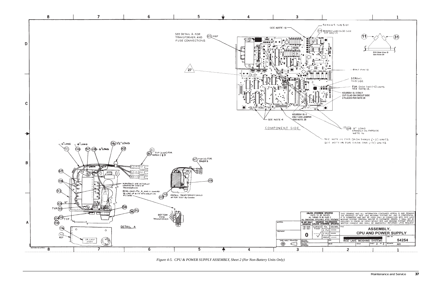

*Figure 4-5. CPU & POWER SUPPLY ASSEMBLY, Sheet 2 (For Non-Battery Units Only)*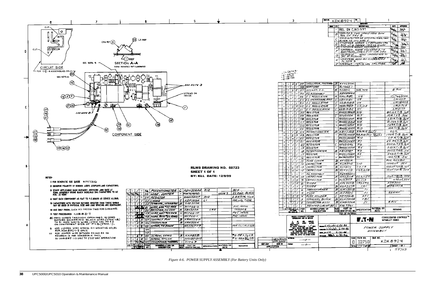|                                |                  | <del>MH.</del> KDK8924              |   | $\overline{\mathbf{w}}_1$                                               |                        | 1 |                                |                                                   |
|--------------------------------|------------------|-------------------------------------|---|-------------------------------------------------------------------------|------------------------|---|--------------------------------|---------------------------------------------------|
|                                |                  |                                     |   | <b>EEVISIONS</b>                                                        |                        |   | <b>BATE</b>                    | APPRINCE                                          |
|                                | anne   Lyn<br>Ξ. | REL. ON C/NDI337                    |   | <b>NESCRIPTIONS</b>                                                     |                        |   | FASE                           | $\mathcal{P}_2$                                   |
|                                |                  |                                     |   |                                                                         |                        |   |                                |                                                   |
|                                | B                |                                     |   | CINDI353, DWG SHOULD HAVE BEEN<br>"REL ON 'REV' B                       |                        |   | 1486                           | $\mathcal{E}_7$                                   |
|                                | с                |                                     |   | CINDI3791TEM 35 WAS KML19184,7660                                       |                        |   | V <sub>2/se</sub>              | 4D)                                               |
|                                |                  |                                     |   | 41 TEM 45 OTY WAS 5<br>CINDI465 ADDED LY BETWEEN CR6                    |                        |   | $\mathbb{Z}_{24}$              | E)                                                |
|                                | D<br>E           |                                     |   | <u>AND   JI-6. ADDED  ITEM 53 TO LIM  </u><br>CIND2246 ADDED  KDK8924-2 |                        |   | %⊻∞                            | œ                                                 |
|                                |                  |                                     |   | CIND2GIO , ADDED KÖK8924-3, -4<br>Assemblies , Note io FCKT Side view   |                        |   |                                | セク                                                |
|                                | F                |                                     |   |                                                                         | ADDED LEADER & NOTE TO |   |                                |                                                   |
|                                | G.               | CIN DEB 25 AD                       |   |                                                                         |                        |   | $\mathbb{V}_{\mathsf{R}\mu_2}$ | É)                                                |
|                                | н                |                                     |   |                                                                         |                        |   | ᢥᢣᡓ                            | 97                                                |
|                                | J                |                                     |   | C/N D3614-ITEM 35 WAS KML191BB                                          |                        |   | ゲゲ                             | Æ.                                                |
| R, THERMAL                     | B<br>c           | <i><b>KYV297M</b></i><br>KL7365-1   |   |                                                                         |                        |   |                                |                                                   |
| z. c.                          | 8.               | <b>KE251C</b>                       |   | XU5. XUG                                                                |                        |   | <b>B PIN</b>                   |                                                   |
| 18LY                           |                  | KDK8924-2                           |   |                                                                         |                        |   |                                |                                                   |
| LATOR                          | A                | KML/9/EC                            |   | 46                                                                      |                        |   |                                | ICL7662CPA<br>$\overline{I}$ M311 $\overline{P}$  |
| IONAL AMP                      | с                | <i>KBYI9IBV</i>                     |   | U5<br>U4.                                                               |                        |   |                                | LM7BM05                                           |
| <i>'L'ATOR</i><br><i>1910R</i> | с<br>с           | <i>KGB1918B</i><br>KGB19/8D         |   | U2,U3                                                                   |                        |   |                                | <i>LM317LZ</i>                                    |
| JL ATOR                        | с                | <b>KGBI9IBC</b>                     |   | י ט                                                                     |                        |   |                                | LMJIT                                             |
|                                |                  | RN 551 BOWLF                        |   | R19                                                                     |                        |   |                                | 80.6X -1% //o <sup>w</sup>                        |
|                                | c                | KFU3IODN                            |   | R17                                                                     |                        |   |                                | 10K=5% /4W                                        |
|                                |                  | <b>RN55CIZIIF</b>                   |   | R16                                                                     |                        |   |                                | $1.21K = 1\%$ /10 W                               |
|                                |                  | RN 55C 825IF                        |   | R/5                                                                     |                        |   |                                | ロ・25K シ/X <sub>//o</sub> w                        |
|                                |                  | RN55C1691F                          |   | R14                                                                     |                        |   |                                | 1.69K = 1% How                                    |
|                                |                  | <b>RNSSCIOOZF</b>                   |   | ポパ                                                                      |                        |   |                                | 10K - 1% /10W                                     |
| METER                          |                  | B KBY338B                           |   | R9(R/2 <u>845</u> 1)                                                    |                        |   | 20 K                           |                                                   |
|                                |                  |                                     |   | RNSSCIOOSF RE, RIB (RII %xL)                                            |                        |   |                                | 100K = 1% 110W                                    |
|                                |                  | <i>RN35C2002F</i>                   |   | $\overline{\mathcal{R}}$ i O                                            |                        |   |                                | $20K^{2}/\%$ /low                                 |
| ₹                              |                  | <b>RNS 5C2492F</b>                  |   | $\overline{K}$                                                          |                        |   |                                | 24.9K±1% /oW                                      |
| Ś.                             | с                | KFU3IOAL                            |   | RG                                                                      |                        |   |                                | 20052.*5% WW<br>$2.21K^2$ / $\%$ $\#_0$ $\bar{W}$ |
|                                |                  | <b>RNS5C2211F</b>                   |   | ポゲ<br><b>R3</b>                                                         |                        |   |                                | 50052 = 10% . 5W                                  |
| NETER                          | 8                | <i>KBY338F</i><br>RN55C2430F        |   | R2                                                                      |                        |   |                                | 243Ω * 1% //oW                                    |
| ₹                              | -                | <b>AWTSLIIYROF</b>                  |   | R/                                                                      |                        |   |                                | 14527296 3W                                       |
| i ER                           |                  | <b>B</b> KF 7351A                   |   |                                                                         |                        |   |                                | <b>PVC FIFYIBLE</b>                               |
| æ                              | B                | <i>KLN311D</i>                      |   | ciō                                                                     |                        |   |                                | 1000 ut 35V                                       |
| R.                             |                  | B <i>KLY3II</i> C                   |   | CZ,C9                                                                   |                        |   |                                | 100 UT 120% 16V                                   |
| P                              |                  | <b>BIKLY3</b> 11G                   |   | c45,658                                                                 |                        |   |                                | 10.47 ± 20% 50V                                   |
| '8LY                           |                  | <i>KDK8924-1</i>                    |   |                                                                         |                        |   |                                |                                                   |
| æ                              |                  | A KHV3IIA                           |   | C2, 3, 115/2                                                            |                        |   |                                | 0141, 1907 100V                                   |
| R                              | c                | KLNJUF                              |   | CI, CI3                                                                 |                        |   |                                | 470.47,50V                                        |
|                                |                  | A <i>KFL</i> 327B                   |   | $\overline{\mathcal{L}\mathcal{R}\mathcal{G},\mathcal{C}\mathcal{R}}$ 6 |                        |   | <i>FDH300</i>                  |                                                   |
|                                |                  | <b>BIKGF327A</b>                    |   | CR I                                                                    |                        |   | MDAIOIA                        |                                                   |
| RMER                           |                  | $B$ <i>KM7301<math>B</math></i>     |   | 77                                                                      |                        |   | 25AMP                          |                                                   |
|                                | A                | [ <i>KJ350 C</i>                    |   | F I<br>XF I                                                             |                        |   |                                |                                                   |
| <b>DER</b><br>L BLOCK          | c                | <i>KD7351B</i><br>B <i>KUH3300A</i> |   | TBI                                                                     |                        |   |                                |                                                   |
| R755                           |                  | <b>B</b> KMB354A                    |   | 51                                                                      |                        |   | $\overline{9}$ $\overline{P}$  |                                                   |
| CIRCUIT BD                     | c                | <b>KHL 7361</b>                     |   |                                                                         |                        |   |                                |                                                   |
| <b>ATURE DR</b>                | D1 16 I          | <b>PART DR</b>                      |   | SPECIFICATION                                                           | <b>HATERIAL OR</b>     |   | <b>REMARKS</b>                 |                                                   |
| IIPTION                        |                  | SIZEJIDENTIFYING NO.                |   |                                                                         | NOTE                   |   |                                |                                                   |
|                                |                  | <b>LIST OF MATERIAL</b>             |   | F.T.N                                                                   |                        |   | <b>BETHEL.CT 06801</b>         | CONSOLIDATED CONTROLS™                            |
| <b>MAG. Nowton G-26-86</b>     |                  |                                     |   |                                                                         | POWER SUPPLY           |   |                                |                                                   |
| <b>DOLLER 4-36-26</b>          |                  |                                     |   |                                                                         | ASSEMBLY               |   |                                |                                                   |
| muse 22 6-30-46                |                  |                                     |   |                                                                         |                        |   |                                |                                                   |
|                                |                  |                                     |   | SIZE <sup>T</sup> FSCM NO.                                              | DWG NO.                |   |                                |                                                   |
|                                |                  |                                     | U | 02750                                                                   |                        |   | KDK8924                        |                                                   |
|                                |                  |                                     |   | SCALE 777 TWT EM                                                        |                        |   | SHEET 1 OF /                   |                                                   |
|                                |                  |                                     |   |                                                                         |                        |   |                                | 58723                                             |
|                                |                  |                                     |   |                                                                         |                        |   |                                |                                                   |



*Figure 4-6. POWER SUPPLY ASSEMBLY (For Battery Units Only)*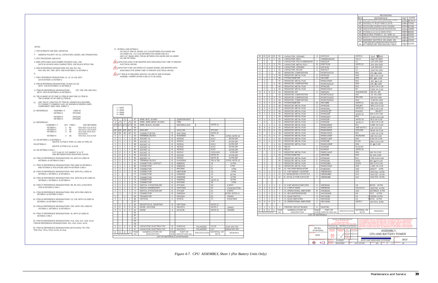- ON CIRCUIT SIDE OF BOARD, CUT CLAD BETWEEN CR12 ANODE AND<br>VIA UNDER U10. CUT CLAD BETWEEN CR10 ANODE AND U6-4.<br>ADD 3 1/2" 30AWG WIRE, ITEM 96, BETWEEN CR10 ANODE AND VIA UNDER UI0, SEE PICTORIAL.
- <u>28 \</u>CAPACITOR LEADS TO BE WRAPPED WITH NONCONDUCTIVE TUBE TO PREVENT
- 
- 
- ELECTRICAL ARCING.
- 
- 
- 
- 
- 
- 
- 
- 
- 
- 
- 
- $\sqrt{29}$  CAPACITOR TO BE LAID DOWN FLAT AGAINST BOARD, AND WRAPPED WITH
- 
- 
- 
- NONCONDUCTIVE SHRINK TUBE TO PREVENT ELECTRICAL ARCING.
- 30 CUT ITEM 96 TO REQUIRED LENGTHS. ON CIRCUIT SIDE OF BOARD ASSEMBLY JUMPER U8 PINS 9 AND 10 TO U8-7(GND).

 $-1 = 59037$ 

NOTES:1- FOR SCHEMATIC SEE DWG. (D)KHN7316.

| 18                        | 19                        | 18                        | 19                       | 56                 | CAPACITOR, CERAMIC                    | Α                        | KHV311A                    |                                                                                                                             | NOTE 8                     | .01uF 上げ00V                                                                                                                                                                                                                                            |
|---------------------------|---------------------------|---------------------------|--------------------------|--------------------|---------------------------------------|--------------------------|----------------------------|-----------------------------------------------------------------------------------------------------------------------------|----------------------------|--------------------------------------------------------------------------------------------------------------------------------------------------------------------------------------------------------------------------------------------------------|
| 2                         | 2                         | $\overline{2}$            | 2                        | 55                 | CAPACITOR, MICA                       |                          | CM05ED200J03               |                                                                                                                             | C6,C7                      | 20pF 5% 500V                                                                                                                                                                                                                                           |
|                           | $\mathbf{1}$              |                           |                          | 54                 | CAPACITOR, POLYCARBONATE              | C                        | KMV311P                    |                                                                                                                             | C <sub>1</sub>             | .1uF 10% 100V                                                                                                                                                                                                                                          |
| $\overline{2}$            | $\mathbf{3}$              | $\overline{2}$            | 3                        | 53                 | CAPACITOR, METAL POLY                 | B                        | <b>KDE7311B</b>            |                                                                                                                             | NOTE 22                    | .5uF 10% 100V                                                                                                                                                                                                                                          |
| $\mathbf{1}$              | $\mathbf{1}$              | $\mathbf{1}$              | $\mathbf{1}$             | 52                 | CAPACITOR, CERAMIC                    | A                        | KKF311B                    |                                                                                                                             | C <sub>2</sub>             | 1uF 20% 50V                                                                                                                                                                                                                                            |
| 1                         | ٠                         | $\mathbf{1}$              | 1                        | 51                 | CAPACITOR, MYLAR                      | $\mathsf C$              | KMV311T                    |                                                                                                                             | C <sub>1</sub>             | .22uF 5% 100V                                                                                                                                                                                                                                          |
| $\mathbf{1}$              | L.                        | $\mathbf{1}$              |                          | 50                 | RESISTOR, COMPOSITION                 | ÷.                       | RCR07G471J3                |                                                                                                                             | R31                        | 470 5% 1/4W                                                                                                                                                                                                                                            |
| $\mathbf{1}$              |                           | $\mathbf{1}$              | $\mathbf{1}$             | 49                 | RESISTOR, METAL FILM                  | C                        | KPW310Z                    |                                                                                                                             | R32                        | 50K 0.1% 0.1W                                                                                                                                                                                                                                          |
| $\mathbf{1}$              | $\mathbf{1}$              | $\mathbf{1}$              | $\mathbf{1}$             | 48                 | <b>POTENTIOMETER</b>                  | C                        | KBY338F                    |                                                                                                                             | R34                        | 500 10% 1/2W                                                                                                                                                                                                                                           |
| ×,                        | $\mathbf{1}$              | ÷.                        | ÷                        | 47                 | RESISTOR, METAL FILM                  | ×.                       | <b>RN55C2000F</b>          |                                                                                                                             | R <sub>21</sub>            | 200 1% 0.1W                                                                                                                                                                                                                                            |
| ×,                        | 1                         | ×,                        | $\mathbf{1}$             | 46                 | RESISTOR, COMPOSITION                 | ä,                       | RCR07G241J3                |                                                                                                                             | R20                        | 240 5% 1/4W                                                                                                                                                                                                                                            |
|                           | 1                         |                           |                          | 45                 | RESISTOR, METAL FILM                  | C                        | KPW310D                    |                                                                                                                             | R <sub>12</sub>            | 1.5K 0.1% 0.1W                                                                                                                                                                                                                                         |
|                           | 1                         |                           | 1                        | 44                 | RESISTOR, METAL FILM                  | ٠                        | RN55C3321F                 |                                                                                                                             | R7                         | 3.32K 1% 0.1W                                                                                                                                                                                                                                          |
| 3                         | 3                         | 3                         | 3                        | 43                 | <b>RESISTOR, SIP</b>                  | C                        | <b>KMA310U</b>             |                                                                                                                             | R40.R48.R49                | 10K 2% .3W                                                                                                                                                                                                                                             |
| $\mathbf{1}$              |                           | $\mathbf{1}$              | ×.                       | 42                 | RESISTOR, COMPOSITION                 | ÷,                       | RCR07G102J3                |                                                                                                                             | R27                        | 1K 5% 1/4W                                                                                                                                                                                                                                             |
| $\overline{2}$            | 2                         | $\overline{2}$            | $\overline{2}$           | 41                 | RESISTOR, COMPOSITION                 | $\overline{\phantom{a}}$ | RCR07G103J3                |                                                                                                                             | R51, R52                   | 10K 5% 1/4W                                                                                                                                                                                                                                            |
| $\mathbf{1}$              | $\mathbf{1}$              | $\mathbf{1}$              | $\mathbf{1}$             | 40                 | RESISTOR, COMPOSITION                 | ÷.                       | RCR07G245J3                |                                                                                                                             | R43                        | 2.4M 5% 1/4W                                                                                                                                                                                                                                           |
| $\mathbf{1}$              | $\overline{2}$            | $\mathbf{1}$              | $\overline{2}$           | 39                 | <b>POTENTIOMETER</b>                  | B                        | KBY338B                    |                                                                                                                             | NOTE 21                    | 20K 10% 1/2W                                                                                                                                                                                                                                           |
| $\overline{2}$            | $\overline{2}$            | $\overline{2}$            | 2                        | 38                 | RESISTOR, METAL FILM                  | C                        |                            |                                                                                                                             | R56,R57                    |                                                                                                                                                                                                                                                        |
| $\overline{4}$            | 5                         | $\overline{4}$            | $\overline{4}$           | 37                 | RESISTOR, METAL FILM                  | C                        | <b>KPW310G</b>             |                                                                                                                             |                            | 80K 0.1% 0.1W                                                                                                                                                                                                                                          |
|                           |                           |                           |                          |                    |                                       |                          | KPW310N                    |                                                                                                                             | NOTE 20                    | 10K 0.1% 0.1W                                                                                                                                                                                                                                          |
| $\overline{2}$            | $\overline{c}$            | $\overline{2}$            | $\overline{c}$           | 36                 | RESISTOR, METAL FILM                  | C                        | KPW310 L.                  |                                                                                                                             | R19,R22                    | <b>SELECT</b>                                                                                                                                                                                                                                          |
| $\mathsf 3$               | $\mathbf{1}$              | $\mathsf 3$               | $\mathsf 3$              | 35                 | RESISTOR, METAL FILM                  | $\overline{C}$           | KPW310W                    |                                                                                                                             | NOTE 19                    | 20K 0.1% 0.1W                                                                                                                                                                                                                                          |
| $\mathbf{1}$              |                           | $\mathbf{1}$              | $\mathbf{1}$             | 34                 | RESISTOR, METAL FILM                  | $\mathsf C$              | KPW310AY                   |                                                                                                                             | R <sub>13</sub>            | 13.3K 0.1% 0.1W                                                                                                                                                                                                                                        |
| 2                         | $\mathbf{1}$              | $\overline{2}$            | $\overline{2}$           | 33                 | RESISTOR, METAL FILM                  | C                        | KPW310R                    |                                                                                                                             | NOTE 18                    | 5K 0.1% 0.1W                                                                                                                                                                                                                                           |
|                           | 3                         |                           | $\mathbf{1}$             | 32                 | RESISTOR, METAL FILM                  | C                        | KPW310E                    |                                                                                                                             | NOTE 17                    | 1.0K 0.1% 0.1W                                                                                                                                                                                                                                         |
| $\mathbf{1}$              | $\mathbf{1}$              | $\mathbf{1}$              | $\mathbf{1}$             | 31                 | <b>RESISTOR, METAL FILM</b>           | $\overline{\phantom{a}}$ | RN55C6981F                 |                                                                                                                             | R <sub>17</sub>            | 6.98K 1% 0.1W                                                                                                                                                                                                                                          |
| 8                         | $\overline{9}$            | 8                         | $\overline{9}$           | 30                 | RESISTOR, METAL FILM                  | ÷.                       | RN55C1001F                 |                                                                                                                             | SEE NOTE 5                 | 1.0K 1% 0.1W                                                                                                                                                                                                                                           |
| 5                         | $\sqrt{5}$                | 5                         | 5                        | 29                 | RESISTOR, METAL FILM                  | $\sim$                   | RN55C8062F                 |                                                                                                                             | R35-R39                    | 80.6K 1% 0.1W                                                                                                                                                                                                                                          |
| $\mathbf{1}$              |                           | $\mathbf{1}$              | $\mathbf{1}$             | 28                 | RESISTOR, METAL FILM                  | ÷.                       | RN55C4321F                 |                                                                                                                             | R <sub>21</sub>            | 4.32K 1% 0.1W                                                                                                                                                                                                                                          |
| 3                         | 3                         | 3                         | 3                        | 27                 | RESISTOR, METAL FILM                  | ä,                       | RN55C1002F                 |                                                                                                                             | R5, R6, R45                | 10K 1% 0.1W                                                                                                                                                                                                                                            |
| $\mathbf{1}$              | $\mathbf{1}$              | $\mathbf{1}$              | $\mathbf{1}$             | 26                 | RESISTOR, METAL FILM                  | $\sim$                   | RN55C1182F                 |                                                                                                                             | R <sub>25</sub>            | 11.8K 1% 0.1W                                                                                                                                                                                                                                          |
| $\overline{2}$            | 2                         | $\overline{2}$            | 2                        | 25                 | RESISTOR, METAL FILM                  | C                        | KPW310B                    |                                                                                                                             | R <sub>1.R2</sub>          | 100K 0.1% 0.1W                                                                                                                                                                                                                                         |
| ×.                        | 1                         | ÷                         | $\mathbf{1}$             | 24                 | RESISTOR, METAL FILM                  | ×.                       | RN55C10R0F                 |                                                                                                                             | R29                        | 10 1% 0.1W                                                                                                                                                                                                                                             |
| $\ensuremath{\mathsf{3}}$ | $\ensuremath{\mathsf{3}}$ | $\ensuremath{\mathsf{3}}$ | 3                        | 23                 | <b>RELAY</b>                          | C                        | KJU431B                    |                                                                                                                             | K1, K2, K3                 |                                                                                                                                                                                                                                                        |
| $\mathbf{1}$              | $\overline{2}$            | $\mathbf{1}$              | $\overline{2}$           | 22                 | <b>RELAY</b>                          | C                        | <b>KJU431A</b>             |                                                                                                                             | NOTE 16                    |                                                                                                                                                                                                                                                        |
|                           |                           |                           | 1                        | 21                 | RESISTOR, METAL FILM                  | ×.                       | RN55C1402F                 |                                                                                                                             | R33                        | 14K 1% 0.1W                                                                                                                                                                                                                                            |
|                           | $\mathbf{1}$              |                           | $\mathbf{1}$             | 20                 | <b>POTENTIOMETER</b>                  | C                        | KBW338E                    |                                                                                                                             | R24                        | 2K 10% 1/2W                                                                                                                                                                                                                                            |
| $\overline{\phantom{a}}$  | 1                         | ×.                        | $\overline{\phantom{a}}$ | 19                 | RESISTOR, METAL FILM                  | С                        | KPW310H                    |                                                                                                                             | R <sub>11</sub>            | 1.75K 0.1% 0.1W                                                                                                                                                                                                                                        |
| ÷.                        | $\mathbf{1}$              |                           | ä,                       | 18                 | RESISTOR, METAL FILM                  | C                        | KPW310M                    |                                                                                                                             | <b>R23C</b>                | 200 0 1% 0.1W                                                                                                                                                                                                                                          |
| ä,                        | $\overline{2}$            | ×,                        | ×.                       | 17                 | RESISTOR, METAL FILM                  | C                        | KPW310BA                   |                                                                                                                             | R3,R4                      | 15K 0.1% 0.1W                                                                                                                                                                                                                                          |
| ä,                        | 1                         | ×.                        | ×.                       | 16                 | RESISTOR, METAL FILM                  | ×                        | RN55C2491F                 |                                                                                                                             | R33                        | 2.49K 1% 0.1W                                                                                                                                                                                                                                          |
|                           | 1                         |                           | $\mathbf{1}$             | 15                 | IC, VOLTAGE REGULATOR                 | C                        | <b>KGB1918C</b>            |                                                                                                                             | U25                        | LM317T 3 PIN                                                                                                                                                                                                                                           |
| $\mathbf{1}$              | $\mathbf{1}$              | $\mathbf{1}$              | $\mathbf{1}$             | 14                 | IC, 4 BIT BINARY COUNTER              | С                        | <b>KBE8918AG</b>           |                                                                                                                             | U15                        | 74HCT161 16 PIN                                                                                                                                                                                                                                        |
| $\mathbf{1}$              | $\mathbf{1}$              | $\mathbf{1}$              | $\mathbf{1}$             | 13                 | IC, NONINVERTED 3 STATE OUT.          | $\overline{c}$           | <b>KBE8918BD</b>           |                                                                                                                             | U14                        | 74HCT257 16 PIN                                                                                                                                                                                                                                        |
| 1                         | $\mathbf{1}$              | $\mathbf{1}$              | $\mathbf{1}$             | 12                 | IC, OCTAL D TYPE FLIP-FLOP            | C                        | KBE8918BL                  |                                                                                                                             | U12                        | 74HCT374 20 PIN                                                                                                                                                                                                                                        |
|                           |                           |                           |                          |                    |                                       |                          |                            |                                                                                                                             |                            |                                                                                                                                                                                                                                                        |
|                           |                           |                           |                          |                    |                                       |                          |                            |                                                                                                                             |                            |                                                                                                                                                                                                                                                        |
| $\mathbf{1}$              | 1                         | $\mathbf{1}$              | $\mathbf{1}$             | 9                  | IC, 8 BIT MICROCOMPUTER               | С                        | <b>KBF8918A</b>            |                                                                                                                             | U9                         | 80C39 40 PIN                                                                                                                                                                                                                                           |
| $\mathsf 3$               | $\sqrt{3}$                | $\sqrt{3}$                | 3                        | 8                  | IC, 2 INPUT NAND                      | C                        | <b>KBE8918A</b>            |                                                                                                                             | U8, U13, U7                | 74HCT00 14 PIN                                                                                                                                                                                                                                         |
| 1                         | $\mathbf{1}$              | $\mathbf{1}$              | 1                        | $\overline{7}$     | IC, OPERATIONAL AMPLIFIER             | $\overline{B}$           | <b>KDH8918A</b>            |                                                                                                                             | U20                        | AD708NJX 8 PIN                                                                                                                                                                                                                                         |
| $\mathbf{1}$              | $\mathbf{1}$              | $\mathbf{1}$              | $\mathbf{1}$             | 6                  | IC, HEX BUFFER/DRIVER                 | C                        | KAG1918AE                  |                                                                                                                             | U6                         | 7417 14 PIN                                                                                                                                                                                                                                            |
| $\mathbf{1}$              | $\mathbf{1}$              | $\mathbf{1}$              | $\mathbf{1}$             | 5                  | IC, QUAD SWITCH                       | A                        | <b>KEV1918D</b>            |                                                                                                                             | U <sub>5</sub>             |                                                                                                                                                                                                                                                        |
|                           |                           |                           |                          |                    |                                       |                          |                            |                                                                                                                             |                            | LF13333N 16 PIN                                                                                                                                                                                                                                        |
| $\mathbf{1}$              | $\mathbf{1}$              | $\mathbf{1}$              | $\mathbf{1}$             | $\overline{4}$     | IC, QUAD AMPLIFIER                    | A                        | <b>KER1918A</b>            |                                                                                                                             | U <sub>4</sub>             | HA4741 14 PIN                                                                                                                                                                                                                                          |
| $\overline{4}$            | 5                         | $\overline{4}$            | 5                        | 3                  | IC, OPERATIONAL AMPLIFIER             | $\overline{c}$           | <b>KBY1918U</b>            |                                                                                                                             | NOTE <sub>7</sub>          | OP-07CJ 8 PIN                                                                                                                                                                                                                                          |
|                           |                           |                           |                          |                    |                                       |                          |                            |                                                                                                                             |                            |                                                                                                                                                                                                                                                        |
| 1                         | 1                         | 1                         | $\mathbf{1}$             | $\mathbf{1}$       | PRINTED CIRCUIT BOARD                 | D                        | <b>KKW7361</b>             |                                                                                                                             |                            |                                                                                                                                                                                                                                                        |
| $-4$                      | -3                        | $-2$                      | $-1$                     | <b>ITEM</b><br>NO. | NOMENCLATURE OR<br><b>DESCRIPTION</b> | <b>DWG</b><br>SIZE       | PART OR<br>IDENTIFYING NO. | <b>SPECIFICATION</b>                                                                                                        | MATERIAL OR<br><b>NOTE</b> | <b>REMARKS</b>                                                                                                                                                                                                                                         |
|                           | QTY REQD FOR DASH NO.     |                           |                          |                    |                                       |                          | <b>LIST OF MATERIALS</b>   |                                                                                                                             |                            |                                                                                                                                                                                                                                                        |
|                           |                           |                           |                          |                    |                                       |                          |                            | UNI ESS OTHERWISE SPECIFIED<br>UNITS TO BE INCHES<br>ALL THREADS TO BE CLASS 2<br>ALL DIMENSIONS APPLICABLE AFTER TREATMENT |                            | THIS DRAWING AND ALL INFORMATION CONTAINED HEREIN IS AND REMAINS<br>OF RICE LAKE WEIGHING SYSTEMS INC<br>IT IS SUBMITTED AND MAY BE USED ONLY IN CONNECTION WITH RICE LAKE<br>WEIGHING SYSTEMS' PROPOSAL AND/OR ITS CUSTOMERS' ORDERS. IT SHALL NOT BE |

3- TEST PROCEDURE: (A)KUA7317

5- ITEM 30 REFERENCE DESIGNATIONS: R16, R26, R41, R42,

7- ITEM 3 REFERENCE DESIGNATIONS: U1, U2, U3, U26, WITH U23 IN KET8924-1 & KET8924-38- ITEM 56 REFERENCE DESIGNATIONS: C8 AND C10-C26, WITH C28 IN KET8924-1 & KET8924-3

10- TB1 IS MADE UP OF ONE (1) ITEM 82 AND ONE (1) ITEM 91. TB2 IS MADE UP OF ONE (1) ITEM 82.

4- MARK APPLICABLE DASH NUMBER, REVISION LEVEL, AND DATE IN 1/8 INCH HIGH CHARACTERS. USE BLACK EPOXY INK.

CUT CLAD AT CUT MARKS "G" & "E" AND BETWEEN R23A MOUNTING HOLES.

R44, R46, R47, R54, WITH R28 IN KET8924-1 & KET8924-3

|                          | $-2 = 59040$<br>$-3 = 59048$<br>$-4 = 59052$ |                                                   |                         |             |                               |                          |                      |                      |                      |                    |
|--------------------------|----------------------------------------------|---------------------------------------------------|-------------------------|-------------|-------------------------------|--------------------------|----------------------|----------------------|----------------------|--------------------|
|                          |                                              |                                                   |                         |             |                               |                          |                      |                      |                      |                    |
| $\frac{1}{2}$            | $\overline{\phantom{a}}$                     | $\gamma_{2}$                                      | ٠                       | 97          | WIRE, BUS, 18 AWG             | $\sim$                   | QQW343H18SIT         |                      |                      |                    |
| 6"                       | 41 <sub>2</sub>                              | 6"                                                | 41 <sub>2</sub>         | 96          | WIRE, WIRE WRAP, 30 AWG       | ä,                       | F985                 |                      |                      |                    |
|                          |                                              | $19^{12}$ $19^{12}$ $19^{12}$ $19^{12}$ $19^{12}$ |                         | 95          | WIRE, BLACK, 20 AWG           | ÷                        | M22759/11-20-0       |                      | NOTE 11              |                    |
|                          |                                              |                                                   |                         | 94          |                               |                          |                      |                      |                      |                    |
| A/R                      | A/R                                          | A/R                                               | A/R                     | 93          | <b>SEALANT</b>                | $\overline{\phantom{a}}$ | SA13-193             |                      | <b>RTV162</b>        |                    |
| 28                       | 28                                           | 28                                                | 28                      | 92          | <b>CONNECTOR PIN</b>          | B                        | <b>KEK7354A</b>      |                      | NOTE 26              |                    |
| $\mathbf{1}$             | $\mathbf{1}$                                 | $\mathbf{1}$                                      | $\mathbf{1}$            | 91          | <b>TERMINAL BLOCK</b>         | B                        | <b>KUH3300C</b>      |                      | TB <sub>1</sub>      | 4 POS, NOTE 10     |
| $\mathbf{1}$             | 1                                            | $\mathbf{1}$                                      | $\mathbf{1}$            | 90          | SOCKET. IC                    | B                        | <b>KD251B</b>        |                      | <b>XU11</b>          | 28 PIN DIP         |
| $\mathbf{1}$             | 1                                            | 1                                                 | 1                       | 89          | SOCKET, IC                    | B                        | <b>KD251C</b>        |                      | XU <sub>9</sub>      | 40 PIN DIP         |
| $\mathbf{1}$             | 1                                            | $\mathbf{1}$                                      | 1                       | 88          | SOCKET, IC                    | B                        | <b>KD251A</b>        |                      | <b>XU10</b>          | 24 PIN DIP         |
| $\mathbf{1}$             | 1                                            | 1                                                 | 1                       | 87          | SOCKET, IC                    | B                        | <b>KE251E</b>        |                      | <b>XU12</b>          | 20 PIN DIP         |
| $\mathbf{1}$             | 1                                            | $\mathbf{1}$                                      | $\mathbf{1}$            | 86          | SOCKET, IC                    | B                        | <b>KE251D</b>        |                      | <b>XU22</b>          | 18 PIN DIP         |
| $\overline{2}$           | $\overline{2}$                               | $\overline{2}$                                    | $\overline{2}$          | 85          | SOCKET, IC                    | B                        | <b>KE251C</b>        |                      | XS3, XU20            | 8 PIN DIP          |
| 4                        | $\overline{4}$                               | $\overline{\mathbf{4}}$                           | $\overline{\mathbf{4}}$ | 84          | SOCKET. IC                    | B                        | <b>KE251B</b>        |                      | NOTE <sub>25</sub>   | 16 PIN DIP         |
| 5                        | 5                                            | 5                                                 | 5                       | 83          | SOCKET. IC                    | B                        | <b>KE251A</b>        |                      | NOTE <sub>25</sub>   | 14 PIN DIP         |
| $\overline{2}$           | $\overline{2}$                               | $\overline{2}$                                    | $\overline{2}$          | 82          | <b>TERMINAL BLOCK</b>         | B                        | <b>KUH3300A</b>      |                      | <b>TB1 &amp; TB2</b> | 3 POS, NOTE 10     |
| 1                        | $\mathbf{1}$                                 | $\mathbf{1}$                                      | $\mathbf{1}$            | 81          | CONNECTOR, CONTACT            | B                        | <b>KMB354C</b>       |                      | J6                   | <b>12 PIN</b>      |
| 1                        | 1                                            | $\mathbf{1}$                                      | 1                       | 80          | CONNECTOR                     | B                        | KMB354A              |                      | J7                   | 9 PIN              |
| $\mathbf{1}$             | 1                                            | 1                                                 | 1                       | 79          | CONNECTOR                     | C                        | KPC354C              |                      | J1                   | 4 PIN              |
| $\mathbf{1}$             | 1                                            | 1                                                 | 1                       | 78          | <b>CONNECTOR</b>              | C                        | <b>KBN7354B</b>      |                      | J3                   | 8 PIN              |
| 1                        | ٠                                            | $\overline{\phantom{a}}$                          | ×.                      | 77          | CONNECTOR                     | B                        | KNM354D              |                      | J2                   | <b>20 PIN</b>      |
| $\mathbf{1}$             | $\mathbf{1}$                                 | $\mathbf{1}$                                      | $\mathbf{1}$            | 76          | <b>CONNECTOR</b>              | B                        | KNM354B              |                      | $l_4$                | <b>14 PIN</b>      |
| 1                        | 1                                            | $\overline{2}$                                    | $\mathbf{1}$            | 75          | CONNECTOR                     | B                        | <b>KNM354C</b>       |                      | NOTE 24              | <b>16 PIN</b>      |
| $\mathbf{1}$             | 1                                            | 1                                                 | 1                       | 74          | <b>CONNECTOR</b>              | B                        | KPC354E              |                      | J8                   | 3 PIN              |
| $\mathbf{1}$             | 1                                            | 1                                                 | 1                       | 73          | SWITCH, 4 POSITION DIP        | B                        | <b>KTF182G</b>       |                      | S <sub>3</sub>       | 4 SPST             |
| $\mathbf{1}$             | $\mathbf{1}$                                 | $\mathbf{1}$                                      | $\mathbf{1}$            | 72          | SWITCH, MOMENTARY             | B                        | <b>KAH7182A</b>      |                      | S <sub>2</sub>       | <b>PUSH BUTTON</b> |
| $\mathbf{1}$             | $\mathbf{1}$                                 | $\mathbf{1}$                                      | $\mathbf{1}$            | 71          | SWITCH, 8 POSITION DIP        | B                        | KTF182F              |                      | S <sub>1</sub>       | 8 SPST             |
| ÷.                       | 1                                            | ×,                                                | $\mathbf{1}$            | 70          | <b>CONNECTOR</b>              | B                        | KNM354A              |                      | J2                   | 10 PIN NOTE 14     |
| $\mathbf{1}$             | ä,                                           | 1                                                 | ×.                      | 69          | <b>TRANSISTOR</b>             | C                        | <b>KEA165A</b>       |                      | Q <sub>1</sub>       | 2N4401             |
| $\mathbf{1}$             | $\mathbf{1}$                                 | 1                                                 | $\mathbf{1}$            | 68          | CRYSTAL                       | A                        | <b>KF357A</b>        |                      | Y1                   | 4.9152 MHZ         |
|                          |                                              |                                                   |                         | 67          |                               |                          |                      |                      |                      |                    |
| $\overline{2}$           | 3                                            | $\overline{2}$                                    | $\overline{2}$          | 66          | RECEPTACLE, SHORTING          | B                        | <b>KEF7354A</b>      |                      | NOTE <sub>13</sub>   |                    |
| $\overline{4}$           | 5                                            | $\overline{\mathbf{4}}$                           | 5                       | 65          | DIODE, SILICONE               | A                        | KBV327A              |                      | NOTE <sub>9</sub>    | 1N4002             |
| $\overline{2}$           | 1                                            | $\overline{2}$                                    | $\overline{2}$          | 64          | <b>DIODE</b>                  | A                        | KFL327B              |                      | NOTE <sub>23</sub>   | FDH300             |
|                          |                                              |                                                   |                         | 63          |                               |                          |                      |                      |                      |                    |
|                          |                                              |                                                   |                         | 62          |                               |                          |                      |                      |                      |                    |
|                          |                                              |                                                   |                         | 61          |                               |                          |                      |                      |                      |                    |
|                          |                                              |                                                   |                         | 60          |                               |                          |                      |                      |                      |                    |
|                          |                                              |                                                   |                         | 59          |                               |                          |                      |                      |                      |                    |
| $\overline{2}$           | $\overline{2}$                               | $\overline{2}$                                    | 2                       | 58          | CAPACITOR, ELECTROLYTIC       | B                        | <b>KGE311Q</b>       | POLARIZED            | C4,C5                | 6.8uF 20% 35V      |
| $\overline{\phantom{a}}$ | $\mathbf{1}$                                 | ٠                                                 | 1                       | 57          | CAPACITOR, ELECTROLYTIC       | B                        | <b>KAU7311J</b>      | POLARIZED            | C <sub>27</sub>      | 1000uF20% 35V      |
| -4                       | $-3$                                         | $-2$                                              | $-1$                    | <b>ITEM</b> | NOMENCLATURE OR               | <b>DWG</b>               | PART OR              | <b>SPECIFICATION</b> | <b>MATERIAL OR</b>   | <b>REMARKS</b>     |
|                          |                                              | QTY REQD FOR DASH NO.                             |                         | NO.         | <b>DESCRIPTION</b>            |                          | SIZE IDENTIFYING NO. |                      | <b>NOTE</b>          |                    |
|                          |                                              |                                                   |                         |             | LIST OF MATERIALS (CONTINUED) |                          |                      |                      |                      |                    |

2- OBSERVE POLARITY OF ICs, CAPACITORS, DIODES, AND TRANSISTORS.

6-

11- USE TWO 8" LENGTHS OF ITEM 95, #20AWG BLK.INS.WIRE, TO CONNECT COMMON CLAD, AS SHOWN IN HIDDEN LINES, COMPONENT SIDE VIEW, SHEET 2.

17- ITEM 32 REFERENCE DESIGNATIONS: R30 USED IN KET8924-1 AND KET8924-3, R23 & R23B USED IN KET8924-3 ONLY.

WITH CR10 IN KET8924-1 & KET8924-3 9- ITEM 65 REFERENCE DESIGNATIONS: CR7, CR8, CR9, AND CR12,

| 12- REFERENCE:                                 | ASSEMBLY#<br>KET8924-1              |                                       | UPC5000        | <b>USED IN</b>                                                                 |
|------------------------------------------------|-------------------------------------|---------------------------------------|----------------|--------------------------------------------------------------------------------|
|                                                | KET8924-3<br>KET8924-4              |                                       | <b>UPS3000</b> | UPC5100                                                                        |
| 13- REFERENCE:                                 |                                     |                                       |                |                                                                                |
|                                                | ASSEMBLY#                           | 0TY                                   | ITEM#          | <b>ADD BETWEEN</b>                                                             |
|                                                | KET8924-1<br>KET8924-2<br>KET8924-3 | $\overline{2}$<br>$\overline{2}$<br>3 | 66<br>66<br>66 | E9 & E10, E12 & E13<br>E9 & E11, E12 & E15<br>E3 & E16, E9 & E10.<br>E12 & E13 |
|                                                | KET8924-4                           | $\overline{2}$                        | 66             | E9 & E11, E12 & E15                                                            |
| 14- ON KET8924-1 & KET8924-3:<br>ON KET8924-2: |                                     |                                       |                | DELETE J2 PINS 6 THRU 10, AND 16 THRU 20.                                      |
|                                                | DELETE J2 PINS 9.10, & 19.20        |                                       |                |                                                                                |
| 15- ON KET8924-3 ONLY:                         |                                     |                                       |                |                                                                                |

18- ITEM 33 REFERENCE DESIGNATIONS: R55, WITH R11 USED IN KET8924-1, KET8924-2, & KET8924-4.

19- ITEM 35 REFERENCE DESIGNATIONS: R15, WITH R3 & R4 USED IN KET8924-1, KET8924-2, & KET8924-4.

16- ITEM 22 REFERENCE DESIGNATIONS: K5, WITH K4 USED IN KET8924-1 & KET8924-3 ONLY

- 20- ITEM 37 REFERENCE DESIGNATIONS: R8, R9, R10, & R18 WITH R32 IN KET8924-3 ONLY.
- 21- ITEM 39 REFERENCE DESIGNATIONS: R59, WITH R58 USED IN KET8924-1 & KET8924-3 ONLY.
- 22- ITEM 53 REFERENCE DESIGNATIONS: C3, C29, WITH C9 USED IN KET8924-1 & KET8924-3 ONLY.
- 23- ITEM 64 REFERENCE DESIGNATIONS: CR2, WITH CR1 USED IN KET8924-1, KET8924-2, & KET8924-4.

24- ITEM 75 REFERENCE DESIGNATIONS: J5, WITH J2 USED IN KET8924-2 ONLY.

25- ITEM 83 REFERENCE DESIGNATIONS: XU4, XU6, XU7, XU8, XU13. ITEM 84 REFERENCE DESIGNATIONS: XS1, XU5, XU14, XU15.

26- ITEM 92 REFERENCE DESIGNATIONS (28 PLACES): TP1-TP6, TP8-TP12, TP14, TP15, E1-E5, E7-E16.

27- KET8924-1 AND KET8924-3:

| <b>REV</b><br>$\frac{W}{TMR+1}$<br>AR.<br>AC. | <b>REVISIONS</b><br><b>REFERENCE</b><br>SEE C/N'S FOR CHG. DESCRIPTIONS<br>W-C/N D2858, Y-C/N D2900, AA-C/N D2948, AB-C/N D2968. | <b>INIT</b><br><b>JEW</b> | DATE       |
|-----------------------------------------------|----------------------------------------------------------------------------------------------------------------------------------|---------------------------|------------|
|                                               |                                                                                                                                  |                           |            |
|                                               |                                                                                                                                  |                           |            |
|                                               |                                                                                                                                  |                           | SEE CHG#'S |
|                                               | C/N D3121: IT. 95 QTY WAS 11 1/2 IN.                                                                                             | <b>JEW</b>                | 7/7/94     |
| AD                                            | CN 03711. ITEM 10 WAS KEFB9186; IT. 24 WAS RN55010ROF; IT. 57 WAS KLY3118; IT. 95 WAS MI687948GBO.                               | 151.                      | 3/17/98    |
| AE                                            | CIN D4003 LIM: ITEM 53 PART# WAS: KJE3118: DESC, WAS CAPACITOR, MYLAR.                                                           | <b>JSL</b>                | 11/8/99    |
| AF                                            | QTY OF ITEM 96 WAS: -1=0; -2=1 1(2"; -3=0; -4=1 1(2"; ADD'D NOTE 27; UPDT'D SHT. 2.                                              | DJS<br>KLL                | 8/4/00     |
| AG                                            | DELETED ITEMS 2, 10, AND 11.                                                                                                     | <b>DJS</b><br>KIT         | 10/5/00    |
| AH                                            | MODIFIED NOTE 27. "CATHODE" REPLACED WITH "ANODE": REDRAWN ON RLWS FORMAT.                                                       | n.is<br>KII               | 11/27/00   |
| A.I                                           | ADDED NOTES 28 AND 29.                                                                                                           | <b>DEH</b><br>KIT         | 12/28/00   |
|                                               | ECO11898: ADDED NOTE 30, MODIFIED INFO IN ITEM NO. 96 ON LIST OF AK MAT'L. REMOVED SPEC. FROM ITEM 65 AND 1 THRU 57.             | KAI<br>JEW                | 12/12/01   |

| <b>MATERIAL</b><br><b>SEE BILL</b> | ALL DIMENSIONS APPLICABLE AFTER TREATMENT<br>DO NOT SCALE<br>DRAWING UNLESS OTHERWISE SPECIFIED | UNLESS OTHERWISE SPECIFIED.<br>UNITS TO BE INCHES<br>ALL THREADS TO BE CLASS 2 |                      | DRAWING TOLERANCES        | THIS DRAWING AND ALL INFORMATION CONTAINED HEREIN IS AND REMAINS.<br>THE PROPERTY OF RICE LAKE WEIGHING SYSTEMS INC. AND IS CONFIDENTIAL<br>IT IS SUBMITTED AND MAY BE USED ONLY IN CONNECTION WITH RICE LAKE<br>WEIGHING SYSTEMS' PROPOSAL AND/OR ITS CUSTOMERS' ORDERS IT SHALL NOT BE<br>DISCLOSED TO OTHERS OR COPIED WITHOUT RICE LAKE WEIGHING SYSTEMS' SPECIFIC. |                            |              |        |                 | WRITTEN CONSENT AND SHALL BE IMMEDIATELY RETURNED UPON REQUEST. |  |
|------------------------------------|-------------------------------------------------------------------------------------------------|--------------------------------------------------------------------------------|----------------------|---------------------------|-------------------------------------------------------------------------------------------------------------------------------------------------------------------------------------------------------------------------------------------------------------------------------------------------------------------------------------------------------------------------|----------------------------|--------------|--------|-----------------|-----------------------------------------------------------------|--|
| OF MATERIAL<br><b>TREATMENT</b>    | FOR RLWS<br><b>LISE ONLY</b>                                                                    | <b>SURFACE</b><br>TOL.<br><b>FINISH</b><br>2 PLC                               |                      | <b>DECIMAL</b><br>$- - -$ | TITLE<br>ASSEMBLY.<br>CPU AND BATTERY POWER                                                                                                                                                                                                                                                                                                                             |                            |              |        |                 |                                                                 |  |
| <b>NONE</b>                        |                                                                                                 | $-$                                                                            | 3PIC<br><b>ANGLE</b> | $- - -$<br>---            |                                                                                                                                                                                                                                                                                                                                                                         |                            |              |        | DWG NO          |                                                                 |  |
| THIRD ANGLE PROJECTION.            | MFG.ENG.<br><b>APPROVED</b>                                                                     | SV 8/25/87                                                                     |                      | CKD.                      |                                                                                                                                                                                                                                                                                                                                                                         | RICE LAKE WEIGHING SYSTEMS |              |        |                 | 59037                                                           |  |
| ⊱⊕-                                | DES.ENG.<br>APPROVED                                                                            | JEW 8/25/87                                                                    |                      | DR.BY                     | DJS 11/27/00                                                                                                                                                                                                                                                                                                                                                            | <b>SCALE</b><br>N/A        | <b>SHEET</b> | $\sim$ | <b>REVISION</b> | AK                                                              |  |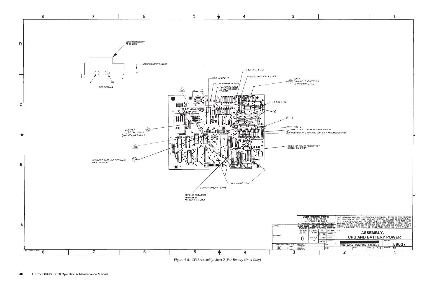| R NOTE 27<br>2 & -4 ASSEMBLIES ONLY)                                          |                                                                                                                                                                                                                                |                       |
|-------------------------------------------------------------------------------|--------------------------------------------------------------------------------------------------------------------------------------------------------------------------------------------------------------------------------|-----------------------|
|                                                                               |                                                                                                                                                                                                                                |                       |
|                                                                               |                                                                                                                                                                                                                                |                       |
|                                                                               |                                                                                                                                                                                                                                |                       |
|                                                                               |                                                                                                                                                                                                                                |                       |
|                                                                               |                                                                                                                                                                                                                                |                       |
|                                                                               |                                                                                                                                                                                                                                |                       |
|                                                                               |                                                                                                                                                                                                                                |                       |
|                                                                               |                                                                                                                                                                                                                                |                       |
|                                                                               |                                                                                                                                                                                                                                |                       |
| SPECIFIED                                                                     |                                                                                                                                                                                                                                |                       |
| CHES<br>CLASS <sub>2</sub><br>after treatment<br>TOLERANCES<br>WISE SPECIFIED | THIS DRAWING AND ALL INFORMATION CONTAINED HEREIN IS AND REMAINS THE PROPERTY OF RICE LAKE WEIGHING SYSTEMS INC. AND IS CONFIDENTIAL. IT IS SUBMITTED AND MAY BE USED ONLY IN CONNECTION WITH RICE LAKE WEIGHING SYSTEMS' PROP |                       |
| OL.<br><b>DECIMAL</b><br>PLC<br>----                                          | TITLE<br>ASSEMBLY,                                                                                                                                                                                                             |                       |
| ----<br>PLC<br>---                                                            | <b>CPU AND BATTERY POWER</b>                                                                                                                                                                                                   | DWG NO                |
| <b>IGLE</b><br>CKD.                                                           | RICE LAKE WEIGHING SYSTEMS                                                                                                                                                                                                     | 59037                 |
| DR.BY                                                                         | SHEET 2 OF 2<br>SCALE<br>$\overline{\mathbf{z}}$                                                                                                                                                                               | <b>REVISION</b><br>AΚ |
|                                                                               |                                                                                                                                                                                                                                | 1                     |



*Figure 4-8. CPU Assembly, sheet 2 (For Battery Units Only)*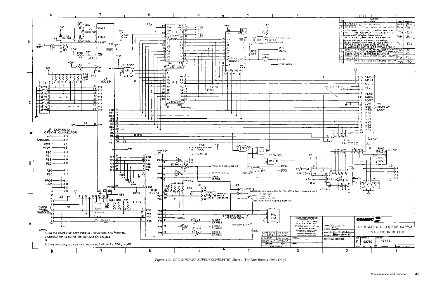

*Figure 4-9. CPU & POWER SUPPLY SCHEMATIC, Sheet 1 (For Non-Battery Units Only)*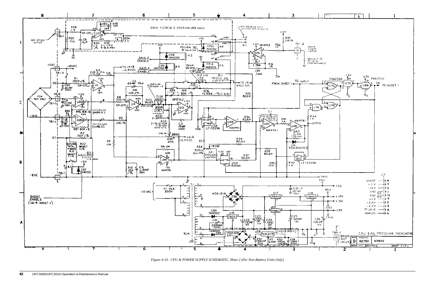

*Figure 4-10. CPU & POWER SUPPLY SCHEMATIC, Sheet 2 (For Non-Battery Units Only)*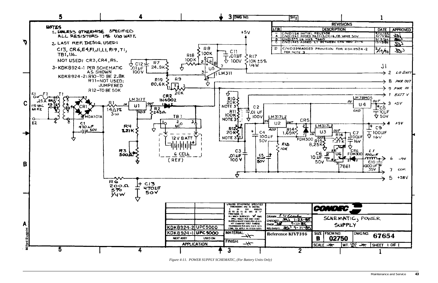

*Figure 4-11. POWER SUPPLY SCHEMATIC, (For Battery Units Only)*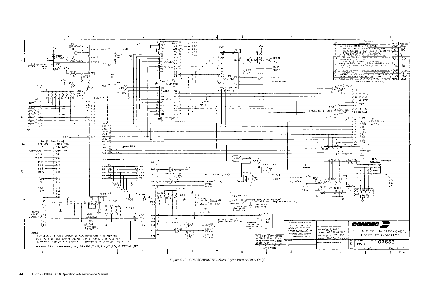

*Figure 4-12. CPU SCHEMATIC, Sheet 1 (For Battery Units Only)*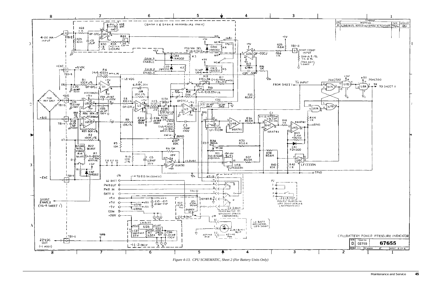

*Figure 4-13. CPU SCHEMATIC, Sheet 2 (For Battery Units Only)*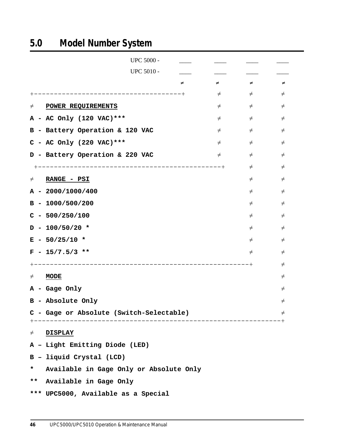# **5.0 Model Number System**

| <b>UPC 5000 -</b>                            |        |        |        |
|----------------------------------------------|--------|--------|--------|
| <b>UPC 5010 -</b>                            |        |        |        |
| ≠                                            | ≠      | ≠      | ≠      |
| ---------------------------+                 | $\neq$ | $\neq$ | $\neq$ |
| $\neq$<br>POWER REQUIREMENTS                 | $\neq$ | $\neq$ | $\neq$ |
| A - AC Only (120 VAC) ***                    | $\neq$ | $\neq$ | $\neq$ |
| B - Battery Operation & 120 VAC              | $\neq$ | $\neq$ | $\neq$ |
| $C - AC$ Only (220 VAC) ***                  | $\neq$ | $\neq$ | $\neq$ |
| D - Battery Operation & 220 VAC              | $\neq$ | $\neq$ | $\neq$ |
|                                              |        | $\neq$ | $\neq$ |
| RANGE - PSI<br>$\neq$                        |        | $\neq$ | $\neq$ |
| $A - 2000/1000/400$                          |        | $\neq$ | $\neq$ |
| $B - 1000/500/200$                           |        | $\neq$ | $\neq$ |
| $C - 500/250/100$                            |        | $\neq$ | $\neq$ |
| $D - 100/50/20$ *                            |        | $\neq$ | $\neq$ |
| $E - 50/25/10$ *                             |        | $\neq$ | $\neq$ |
| $F - 15/7.5/3$ **                            |        | $\neq$ | $\neq$ |
|                                              |        | $-+$   | $\neq$ |
| <b>MODE</b><br>$\neq$                        |        |        | $\neq$ |
| A - Gage Only                                |        |        | $\neq$ |
| B - Absolute Only                            |        |        | $\neq$ |
| C - Gage or Absolute (Switch-Selectable)     |        |        | $\neq$ |
|                                              |        |        |        |
| $\neq$<br><u>DISPLAY</u>                     |        |        |        |
| A - Light Emitting Diode (LED)               |        |        |        |
| B - liquid Crystal (LCD)                     |        |        |        |
| Available in Gage Only or Absolute Only<br>* |        |        |        |
| $***$<br>Available in Gage Only              |        |        |        |
| *** UPC5000, Available as a Special          |        |        |        |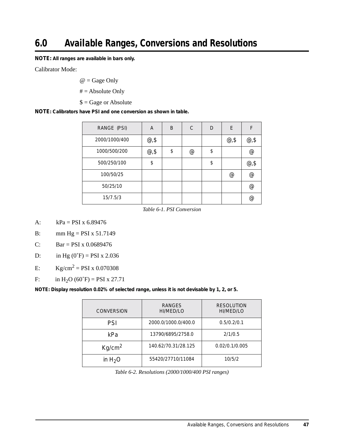**NOTE:** *All ranges are available in bars only.*

Calibrator Mode:

 $@ = \text{Gage Only}$ 

 $# = Absolute Only$ 

 $$ = Gage$  or Absolute

**NOTE***: Calibrators have PSI and one conversion as shown in table.*

| RANGE (PSI)   | A        | B  | C | D  | E           | F              |
|---------------|----------|----|---|----|-------------|----------------|
| 2000/1000/400 | $@{,\$}$ |    |   |    | $@{,\$}$    | $\omega$ ,\$   |
| 1000/500/200  | $@{,}$\$ | \$ | @ | \$ |             | $\circleda$    |
| 500/250/100   | \$       |    |   | \$ |             | @,\$           |
| 100/50/25     |          |    |   |    | $\circleda$ | $\circleda$    |
| 50/25/10      |          |    |   |    |             | $\circleda$    |
| 15/7.5/3      |          |    |   |    |             | $^{\circledR}$ |

*Table 6-1. PSI Conversion*

A:  $kPa = PSI x 6.89476$ 

B: mm  $Hg = PSI x 51.7149$ 

C: Bar = PSI x  $0.0689476$ 

D: in Hg  $(0°F) = PSI x 2.036$ 

E:  $Kg/cm^2 = PSI \times 0.070308$ 

F: in H<sub>2</sub>O (60°F) = PSI x 27.71

*NOTE: Display resolution 0.02% of selected range, unless it is not devisable by 1, 2, or 5.* 

| <b>CONVERSION</b>  | <b>RANGES</b><br>HI/MED/LO | <b>RESOLUTION</b><br>HI/MED/LO |
|--------------------|----------------------------|--------------------------------|
| PSI                | 2000.0/1000.0/400.0        | 0.5/0.2/0.1                    |
| kPa                | 13790/6895/2758.0          | 2/1/0.5                        |
| Kg/cm <sup>2</sup> | 140.62/70.31/28.125        | 0.02/0.1/0.005                 |
| in $H_2O$          | 55420/27710/11084          | 10/5/2                         |

*Table 6-2. Resolutions (2000/1000/400 PSI ranges)*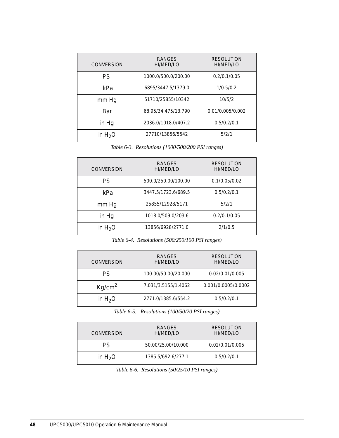| <b>CONVERSION</b> | RANGES<br>HI/MED/LO | <b>RESOLUTION</b><br>HI/MED/LO |
|-------------------|---------------------|--------------------------------|
| PSI               | 1000.0/500.0/200.00 | 0.2/0.1/0.05                   |
| kPa               | 6895/3447.5/1379.0  | 1/0.5/0.2                      |
| mm Hg             | 51710/25855/10342   | 10/5/2                         |
| <b>Bar</b>        | 68.95/34.475/13.790 | 0.01/0.005/0.002               |
| in Hq             | 2036.0/1018.0/407.2 | 0.5/0.2/0.1                    |
| in $H_2O$         | 27710/13856/5542    | 5/2/1                          |

#### *Table 6-3. Resolutions (1000/500/200 PSI ranges)*

| <b>CONVERSION</b> | RANGES<br>HI/MED/LO | <b>RESOLUTION</b><br>HI/MED/LO |
|-------------------|---------------------|--------------------------------|
| PSI               | 500.0/250.00/100.00 | 0.1/0.05/0.02                  |
| kPa               | 3447.5/1723.6/689.5 | 0.5/0.2/0.1                    |
| mm Hg             | 25855/12928/5171    | 5/2/1                          |
| in Hq             | 1018.0/509.0/203.6  | 0.2/0.1/0.05                   |
| in $H_2O$         | 13856/6928/2771.0   | 2/1/0.5                        |

*Table 6-4. Resolutions (500/250/100 PSI ranges)*

| <b>CONVERSION</b>  | RANGES<br>HI/MED/LO | <b>RESOLUTION</b><br>HI/MED/LO |
|--------------------|---------------------|--------------------------------|
| PSI                | 100.00/50.00/20.000 | 0.02/0.01/0.005                |
| Kq/cm <sup>2</sup> | 7.031/3.5155/1.4062 | 0.001/0.0005/0.0002            |
| in $H_2O$          | 2771.0/1385.6/554.2 | 0.5/0.2/0.1                    |

*Table 6-5. Resolutions (100/50/20 PSI ranges)*

| <b>CONVERSION</b> | RANGES<br>HI/MED/LO | <b>RESOLUTION</b><br>HI/MED/LO |
|-------------------|---------------------|--------------------------------|
| PSI               | 50.00/25.00/10.000  | 0.02/0.01/0.005                |
| in $H_2O$         | 1385.5/692.6/277.1  | 0.5/0.2/0.1                    |

*Table 6-6. Resolutions (50/25/10 PSI ranges)*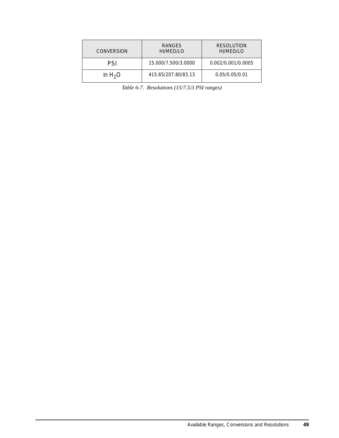| <b>CONVERSION</b> | RANGES<br>HI/MED/LO | <b>RESOLUTION</b><br>HI/MED/LO |
|-------------------|---------------------|--------------------------------|
| PSI               | 15.000/7.500/3.0000 | 0.002/0.001/0.0005             |
| in $H_2O$         | 415.65/207.80/83.13 | 0.05/0.05/0.01                 |

*Table 6-7. Resolutions (15/7.5/3 PSI ranges)*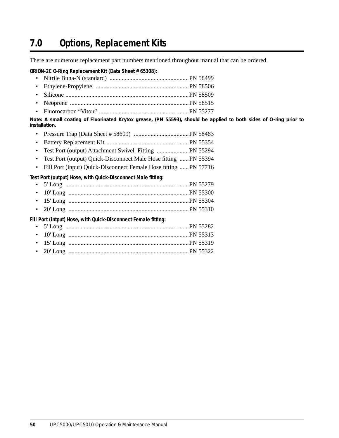## **7.0 Options, Replacement Kits**

There are numerous replacement part numbers mentioned throughout manual that can be ordered.

#### **ORION-2C O-Ring Replacement Kit (Data Sheet # 65308):**

- Nitrile Buna-N (standard) ....................................................PN 58499
- Ethylene-Propylene .............................................................PN 58506
- Silicone .................................................................................PN 58509
- Neoprene ..............................................................................PN 58515
- Fluorocarbon "Viton" ...........................................................PN 55277

*Note: A small coating of Fluorinated Krytox grease, (PN 55593), should be applied to both sides of O-ring prior to installation.* 

- Pressure Trap (Data Sheet # 58609) ....................................PN 58483
- Battery Replacement Kit ......................................................PN 55354
- Test Port (output) Attachment Swivel Fitting .....................PN 55294
- Test Port (output) Quick-Disconnect Male Hose fitting ...... PN 55394
- Fill Port (input) Quick-Disconnect Female Hose fitting ......PN 57716

#### **Test Port (output) Hose, with Quick-Disconnect Male fitting:**

| Fill Port (intput) Hose, with Quick-Disconnect Female fitting: |  |
|----------------------------------------------------------------|--|
|                                                                |  |

• 20' Long ...............................................................................PN 55322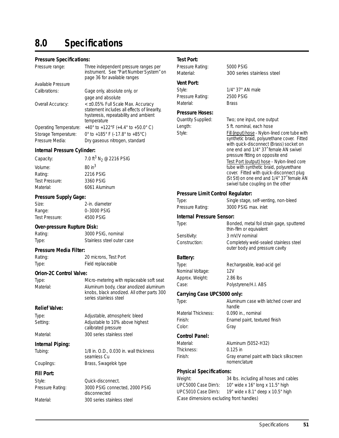# **8.0 Specifications**

#### **Pressure Specifications:**

| Pressure range:        | Three independent pressure ranges per<br>instrument. See "Part Number System" or<br>page 36 for available ranges                                    |
|------------------------|-----------------------------------------------------------------------------------------------------------------------------------------------------|
| Available Pressure     |                                                                                                                                                     |
| Calibrations:          | Gage only, absolute only, or                                                                                                                        |
|                        | gage and absolute                                                                                                                                   |
| Overall Accuracy:      | $\leq$ $\pm$ 0.05% Full Scale Max. Accuracy<br>statement includes all effects of linearity,<br>hysteresis, repeatability and ambient<br>temperature |
| Operating Temperature: | +40° to +122°F (+4.4° to +50.0° C)                                                                                                                  |
| Storage Temperature:   | 0° to +185° F (-17.8° to +85°C)                                                                                                                     |
| Pressure Media:        | Dry gaseous nitrogen, standard                                                                                                                      |
|                        |                                                                                                                                                     |

#### **Internal Pressure Cylinder:**

| Capacity:      | 7.0 ft <sup>3</sup> N <sub>2</sub> @ 2216 PSIG |
|----------------|------------------------------------------------|
| Volume:        | $80 \text{ in}^3$                              |
| Rating:        | 2216 PSIG                                      |
| Test Pressure: | 3360 PSIG                                      |
| Material:      | 6061 Aluminum                                  |
|                |                                                |

#### **Pressure Supply Gage:**

Size: 2-in. diameter Range: 0–3000 PSIG Test Pressure: 4500 PSIG

#### **Over-pressure Rupture Disk:**

Rating: 3000 PSIG, nominal Type: Stainless steel outer case

#### **Pressure Media Filter:**

Rating: 20 microns, Test Port Type: Field replaceable

#### **Orion-2C Control Valve:**

Type: Micro-metering with replaceable soft seat Material: Aluminum body, clear anodized aluminum knobs, black anodized. All other parts 300 series stainless steel

calibrated pressure

seamless Cu

disconnected

#### **Relief Valve:**

Type: Adjustable, atmospheric bleed Setting: Magiustable to 10% above highest

Material: 300 series stainless steel

#### **Internal Piping:**

Tubing: 1/8 in. O.D., 0.030 in. wall thickness

Couplings: Brass, Swagelok type

#### **Fill Port:**

Style: Quick-disconnect. Pressure Rating: 3000 PSIG connected, 2000 PSIG

Material: 300 series stainless steel

#### **Test Port:**

| ure range:         | Three independent pressure ranges per<br>instrument. See "Part Number System" on<br>page 36 for available ranges                          |
|--------------------|-------------------------------------------------------------------------------------------------------------------------------------------|
| ble Pressure       |                                                                                                                                           |
| ations:            | Gage only, absolute only, or                                                                                                              |
|                    | gage and absolute                                                                                                                         |
| Il Accuracy:       | < ±0.05% Full Scale Max. Accuracy<br>statement includes all effects of linearity,<br>hysteresis, repeatability and ambient<br>temperature |
| iting Temperature: | +40° to +122°F (+4.4° to +50.0° C)                                                                                                        |
| ge Temperature:    | 0° to +185° F (-17.8° to +85°C)                                                                                                           |
| ure Media:         | Dry gaseous nitrogen, standard                                                                                                            |

Pressure Rating: 5000 PSIG Material: 300 series stainless steel **Vent Port:** Style: 1/4" 37° AN male Pressure Rating: 2500 PSIG Material: Brass **Pressure Hoses:**

Quantity Supplied: Two; one input, one output

Length: 5 ft. nominal, each hose

Style: Fill (input) hose - Nylon-lined core tube with synthetic braid, polyurethane cover. Fitted with quick-disconnect (Brass) socket on one end and 1/4" 37˚ female AN swivel pressure fitting on opposite end

> Test Port (output) hose - Nylon-lined core tube with synthetic braid, polyurethane cover. Fitted with quick-disconnect plug (St Stl) on one end and 1/4" 37° female AN swivel tube coupling on the other

#### **Pressure Limit Control Regulator:**

| Intornal Droccuro Concor: |                                       |
|---------------------------|---------------------------------------|
| Pressure Rating:          | 3000 PSIG max. inlet                  |
| Type:                     | Single stage, self-venting, non-bleed |
|                           |                                       |

#### **Internal Pressure Sensor:**

| Type:         | Bonded, metal foil strain gage, sputtered<br>thin-film or equivalent     |
|---------------|--------------------------------------------------------------------------|
| Sensitivity:  | 3 mV/V nominal                                                           |
| Construction: | Completely weld-sealed stainless steel<br>outer body and pressure cavity |

## **Battery:**

Nominal Voltage: 12V Approx. Weight: 2.86 lbs

Type: Rechargeable, lead-acid gel Case: Polystyrene/H.I. ABS

outer body and pressure cavity

#### **Carrying Case UPC5000 only:**

Type: Aluminum case with latched cover and handle Material Thickness: 0.090 in., nominal Finish: Enamel paint, textured finish Color: Gray

#### **Control Panel:**

Thickness: 0.125 in

Material: Aluminum (5052-H32) Finish: Gray enamel paint with black silkscreen nomenclature

#### **Physical Specifications:**

Weight: 34 lbs. including all hoses and cables UPC5000 Case Dim's: 10" wide x 16" long x 11.5" high UPC5010 Case Dim's: 19" wide x 8.1" deep x 10.5" high (Case dimensions excluding front handles)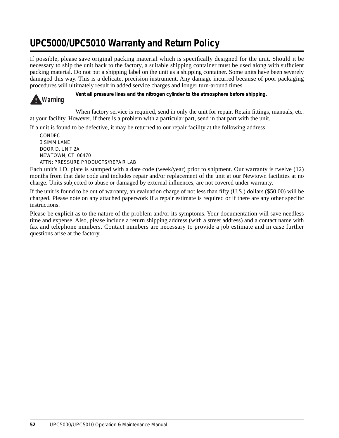# **UPC5000/UPC5010 Warranty and Return Policy**

If possible, please save original packing material which is specifically designed for the unit. Should it be necessary to ship the unit back to the factory, a suitable shipping container must be used along with sufficient packing material. Do not put a shipping label on the unit as a shipping container. Some units have been severely damaged this way. This is a delicate, precision instrument. Any damage incurred because of poor packaging procedures will ultimately result in added service charges and longer turn-around times.



*Vent all pressure lines and the nitrogen cylinder to the atmosphere before shipping.*

When factory service is required, send in only the unit for repair. Retain fittings, manuals, etc. at your facility. However, if there is a problem with a particular part, send in that part with the unit.

If a unit is found to be defective, it may be returned to our repair facility at the following address:

CONDEC 3 SIMM LANE DOOR D, UNIT 2A NEWTOWN, CT 06470 ATTN: PRESSURE PRODUCTS/REPAIR LAB

Each unit's I.D. plate is stamped with a date code (week/year) prior to shipment. Our warranty is twelve (12) months from that date code and includes repair and/or replacement of the unit at our Newtown facilities at no charge. Units subjected to abuse or damaged by external influences, are not covered under warranty.

If the unit is found to be out of warranty, an evaluation charge of not less than fifty (U.S.) dollars (\$50.00) will be charged. Please note on any attached paperwork if a repair estimate is required or if there are any other specific instructions.

Please be explicit as to the nature of the problem and/or its symptoms. Your documentation will save needless time and expense. Also, please include a return shipping address (with a street address) and a contact name with fax and telephone numbers. Contact numbers are necessary to provide a job estimate and in case further questions arise at the factory.